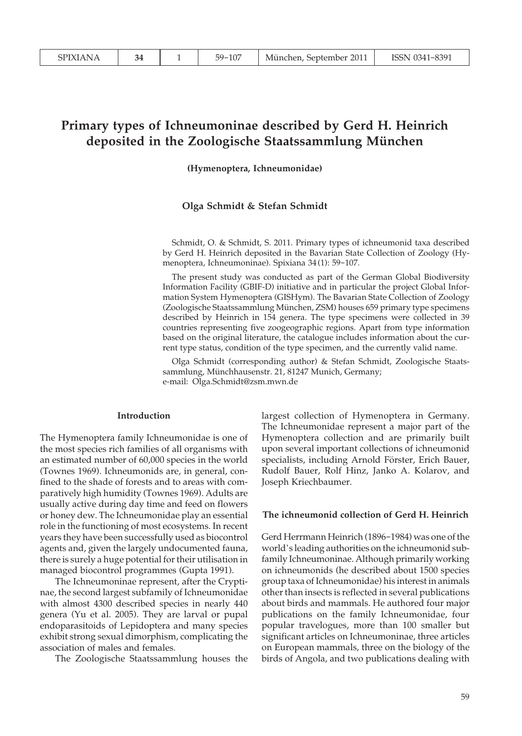# **Primary types of Ichneumoninae described by Gerd H. Heinrich deposited in the Zoologische Staatssammlung München**

**(Hymenoptera, Ichneumonidae)**

## **Olga Schmidt & Stefan Schmidt**

Schmidt, O. & Schmidt, S. 2011. Primary types of ichneumonid taxa described by Gerd H. Heinrich deposited in the Bavarian State Collection of Zoology (Hymenoptera, Ichneumoninae). Spixiana 34 (1): 59-107.

The present study was conducted as part of the German Global Biodiversity Information Facility (GBIF-D) initiative and in particular the project Global Information System Hymenoptera (GISHym). The Bavarian State Collection of Zoology (Zoologische Staatssammlung München, ZSM) houses 659 primary type specimens described by Heinrich in 154 genera. The type specimens were collected in 39 countries representing five zoogeographic regions. Apart from type information based on the original literature, the catalogue includes information about the current type status, condition of the type specimen, and the currently valid name.

Olga Schmidt (corresponding author) & Stefan Schmidt, Zoologische Staatssammlung, Münchhausenstr. 21, 81247 Munich, Germany; e-mail: Olga.Schmidt@zsm.mwn.de

#### **Introduction**

The Hymenoptera family Ichneumonidae is one of the most species rich families of all organisms with an estimated number of 60,000 species in the world (Townes 1969). Ichneumonids are, in general, confined to the shade of forests and to areas with comparatively high humidity (Townes 1969). Adults are usually active during day time and feed on flowers or honey dew. The Ichneumonidae play an essential role in the functioning of most ecosystems. In recent years they have been successfully used as biocontrol agents and, given the largely undocumented fauna, there is surely a huge potential for their utilisation in managed biocontrol programmes (Gupta 1991).

 The Ichneumoninae represent, after the Cryptinae, the second largest subfamily of Ichneumonidae with almost 4300 described species in nearly 440 genera (Yu et al. 2005). They are larval or pupal endoparasitoids of Lepidoptera and many species exhibit strong sexual dimorphism, complicating the association of males and females.

The Zoologische Staatssammlung houses the

largest collection of Hymenoptera in Germany. The Ichneumonidae represent a major part of the Hymenoptera collection and are primarily built upon several important collections of ichneumonid specialists, including Arnold Förster, Erich Bauer, Rudolf Bauer, Rolf Hinz, Janko A. Kolarov, and Joseph Kriechbaumer.

#### **The ichneumonid collection of Gerd H. Heinrich**

Gerd Herrmann Heinrich (1896-1984) was one of the world's leading authorities on the ichneumonid subfamily Ichneumoninae. Although primarily working on ichneumonids (he described about 1500 species group taxa of Ichneumonidae) his interest in animals other than insects is reflected in several publications about birds and mammals. He authored four major publications on the family Ichneumonidae, four popular travelogues, more than 100 smaller but significant articles on Ichneumoninae, three articles on European mammals, three on the biology of the birds of Angola, and two publications dealing with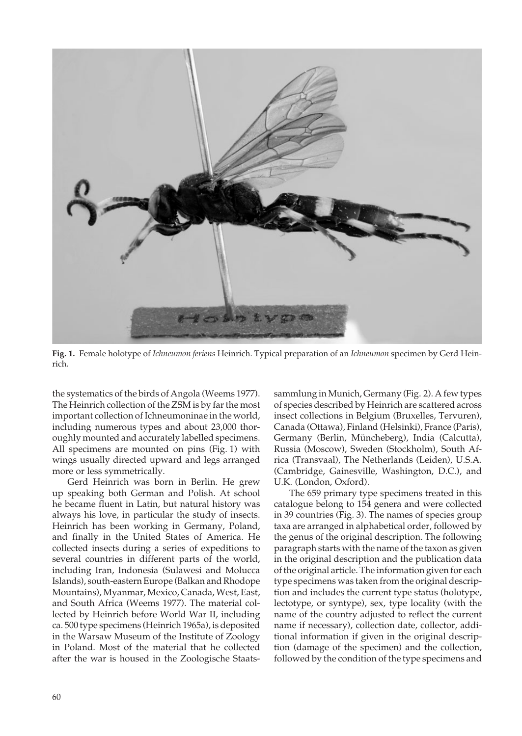

**Fig. 1.** Female holotype of *Ichneumon feriens* Heinrich. Typical preparation of an *Ichneumon* specimen by Gerd Heinrich.

the systematics of the birds of Angola (Weems 1977). The Heinrich collection of the ZSM is by far the most important collection of Ichneumoninae in the world, including numerous types and about 23,000 thoroughly mounted and accurately labelled specimens. All specimens are mounted on pins (Fig. 1) with wings usually directed upward and legs arranged more or less symmetrically.

 Gerd Heinrich was born in Berlin. He grew up speaking both German and Polish. At school he became fluent in Latin, but natural history was always his love, in particular the study of insects. Heinrich has been working in Germany, Poland, and finally in the United States of America. He collected insects during a series of expeditions to several countries in different parts of the world, including Iran, Indonesia (Sulawesi and Molucca Islands), south-eastern Europe (Balkan and Rhodope Mountains), Myanmar, Mexico, Canada, West, East, and South Africa (Weems 1977). The material collected by Heinrich before World War II, including ca. 500 type specimens (Heinrich 1965a), is deposited in the Warsaw Museum of the Institute of Zoology in Poland. Most of the material that he collected after the war is housed in the Zoologische Staatssammlung in Munich, Germany (Fig. 2). A few types of species described by Heinrich are scattered across insect collections in Belgium (Bruxelles, Tervuren), Canada (Ottawa), Finland (Helsinki), France (Paris), Germany (Berlin, Müncheberg), India (Calcutta), Russia (Moscow), Sweden (Stockholm), South Africa (Transvaal), The Netherlands (Leiden), U.S.A. (Cambridge, Gainesville, Washington, D.C.), and U.K. (London, Oxford).

 The 659 primary type specimens treated in this catalogue belong to 154 genera and were collected in 39 countries (Fig. 3). The names of species group taxa are arranged in alphabetical order, followed by the genus of the original description. The following paragraph starts with the name of the taxon as given in the original description and the publication data of the original article. The information given for each type specimens was taken from the original description and includes the current type status (holotype, lectotype, or syntype), sex, type locality (with the name of the country adjusted to reflect the current name if necessary), collection date, collector, additional information if given in the original description (damage of the specimen) and the collection, followed by the condition of the type specimens and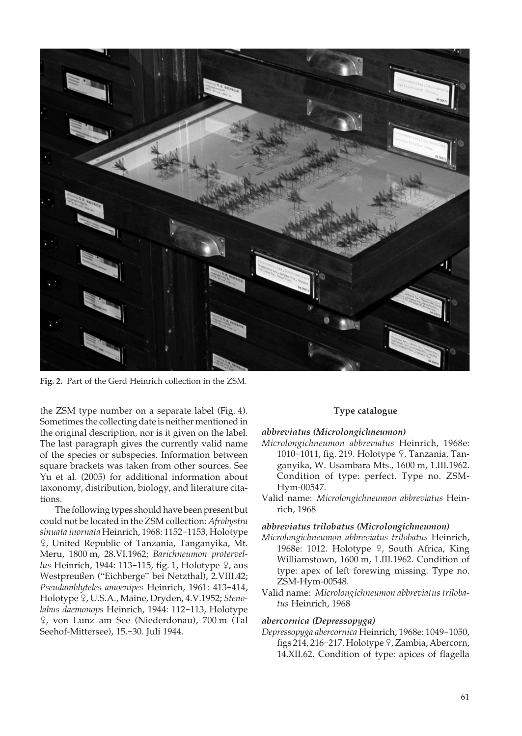

**Fig. 2.** Part of the Gerd Heinrich collection in the ZSM.

the ZSM type number on a separate label (Fig. 4). Sometimes the collecting date is neither mentioned in the original description, nor is it given on the label. The last paragraph gives the currently valid name of the species or subspecies. Information between square brackets was taken from other sources. See Yu et al. (2005) for additional information about taxonomy, distribution, biology, and literature citations.

 The following types should have been present but could not be located in the ZSM collection: *Afrobystra sinuata inornata* Heinrich, 1968: 1152-1153, Holotype W, United Republic of Tanzania, Tanganyika, Mt. Meru, 1800 m, 28.VI.1962; *Barichneumon protervellus* Heinrich, 1944: 113-115, fig. 1, Holotype  $9$ , aus Westpreußen ("Eichberge" bei Netzthal), 2.VIII.42; *Pseudamblyteles amoenipes* Heinrich, 1961: 413-414, Holotype <sup>Q</sup>, U.S.A., Maine, Dryden, 4.V.1952; Steno*labus daemonops* Heinrich, 1944: 112-113, Holotype W, von Lunz am See (Niederdonau), 700 m (Tal Seehof-Mittersee), 15.-30. Juli 1944.

## **Type catalogue**

## *abbreviatus (Microlongichneumon)*

- *Microlongichneumon abbreviatus* Heinrich, 1968e: 1010-1011, fig. 219. Holotype 9, Tanzania, Tanganyika, W. Usambara Mts., 1600 m, 1.III.1962. Condition of type: perfect. Type no. ZSM-Hym-00547.
- Valid name: *Microlongichneumon abbreviatus* Heinrich, 1968

#### *abbreviatus trilobatus (Microlongichneumon)*

- *Microlongichneumon abbreviatus trilobatus* Heinrich, 1968e: 1012. Holotype  $9$ , South Africa, King Williamstown, 1600 m, 1.III.1962. Condition of type: apex of left forewing missing. Type no. ZSM-Hym-00548.
- Valid name: *Microlongichneumon abbreviatus trilobatus* Heinrich, 1968

#### *abercornica (Depressopyga)*

*Depressopyga abercornica* Heinrich, 1968e: 1049-1050, figs 214, 216-217. Holotype 9, Zambia, Abercorn, 14.XII.62. Condition of type: apices of flagella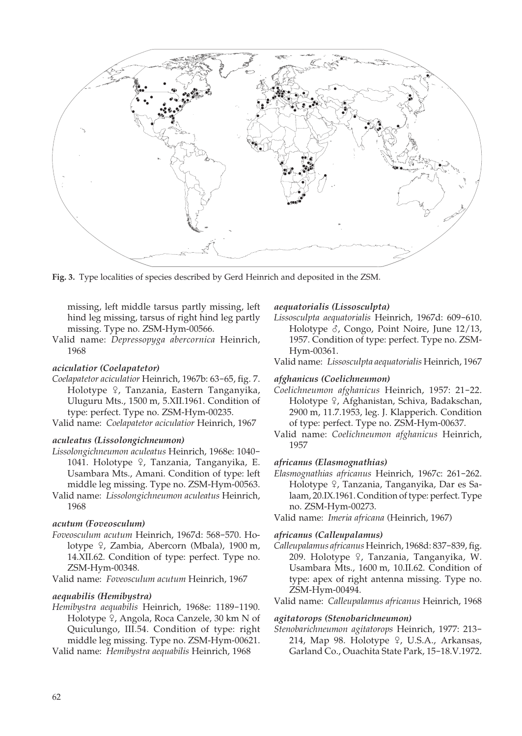

**Fig. 3.** Type localities of species described by Gerd Heinrich and deposited in the ZSM.

missing, left middle tarsus partly missing, left hind leg missing, tarsus of right hind leg partly missing. Type no. ZSM-Hym-00566.

Valid name: *Depressopyga abercornica* Heinrich, 1968

#### *aciculatior (Coelapatetor)*

- *Coelapatetor aciculatior* Heinrich, 1967b: 63-65, fig. 7. Holotype <sup>Q</sup>, Tanzania, Eastern Tanganyika, Uluguru Mts., 1500 m, 5.XII.1961. Condition of type: perfect. Type no. ZSM-Hym-00235.
- Valid name: *Coelapatetor aciculatior* Heinrich, 1967

#### *aculeatus (Lissolongichneumon)*

- *Lissolongichneumon aculeatus* Heinrich, 1968e: 1040- 1041. Holotype <sup>Q</sup>, Tanzania, Tanganyika, E. Usambara Mts., Amani. Condition of type: left middle leg missing. Type no. ZSM-Hym-00563.
- Valid name: *Lissolongichneumon aculeatus* Heinrich, 1968

#### *acutum (Foveosculum)*

- *Foveosculum acutum* Heinrich, 1967d: 568-570. Holotype <sup>Q</sup>, Zambia, Abercorn (Mbala), 1900 m, 14.XII.62. Condition of type: perfect. Type no. ZSM-Hym-00348.
- Valid name: *Foveosculum acutum* Heinrich, 1967

#### *aequabilis (Hemibystra)*

*Hemibystra aequabilis* Heinrich, 1968e: 1189-1190. Holotype 9, Angola, Roca Canzele, 30 km N of Quiculungo, III.54. Condition of type: right middle leg missing. Type no. ZSM-Hym-00621.

Valid name: *Hemibystra aequabilis* Heinrich, 1968

## *aequatorialis (Lissosculpta)*

- *Lissosculpta aequatorialis* Heinrich, 1967d: 609-610. Holotype  $\delta$ , Congo, Point Noire, June 12/13, 1957. Condition of type: perfect. Type no. ZSM-Hym-00361.
- Valid name: *Lissosculpta aequatorialis* Heinrich, 1967

#### *afghanicus (Coelichneumon)*

- *Coelichneumon afghanicus* Heinrich, 1957: 21-22. Holotype <sup>Q</sup>, Afghanistan, Schiva, Badakschan, 2900 m, 11.7.1953, leg. J. Klapperich. Condition of type: perfect. Type no. ZSM-Hym-00637.
- Valid name: *Coelichneumon afghanicus* Heinrich, 1957

## *africanus (Elasmognathias)*

*Elasmognathias africanus* Heinrich, 1967c: 261-262. Holotype 9, Tanzania, Tanganyika, Dar es Salaam, 20.IX.1961. Condition of type: perfect. Type no. ZSM-Hym-00273.

Valid name: *Imeria africana* (Heinrich, 1967)

#### *africanus (Calleupalamus)*

*Calleupalamus africanus* Heinrich, 1968d: 837-839, fig. 209. Holotype 9, Tanzania, Tanganyika, W. Usambara Mts., 1600 m, 10.II.62. Condition of type: apex of right antenna missing. Type no. ZSM-Hym-00494.

Valid name: *Calleupalamus africanus* Heinrich, 1968

#### *agitatorops (Stenobarichneumon)*

*Stenobarichneumon agitatorops* Heinrich, 1977: 213- 214, Map 98. Holotype 9, U.S.A., Arkansas, Garland Co., Ouachita State Park, 15-18.V.1972.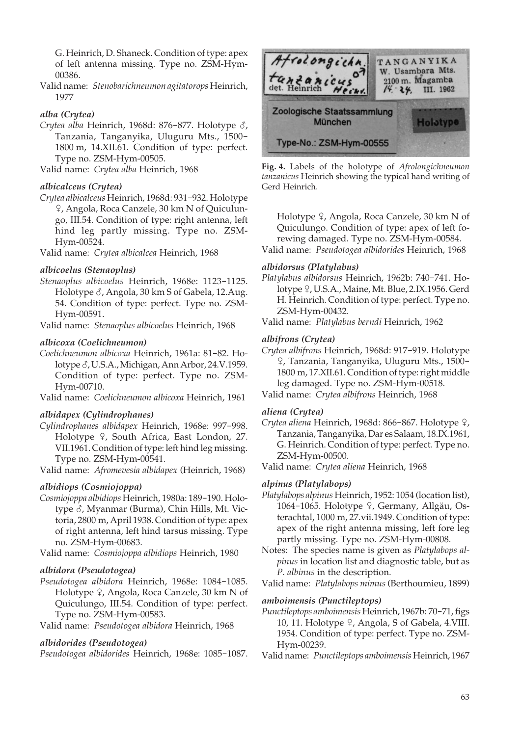G. Heinrich, D. Shaneck. Condition of type: apex of left antenna missing. Type no. ZSM-Hym-00386.

Valid name: *Stenobarichneumon agitatorops* Heinrich, 1977

## *alba (Crytea)*

*Crytea alba* Heinrich, 1968d: 876-877. Holotype  $\delta$ , Tanzania, Tanganyika, Uluguru Mts., 1500- 1800 m, 14.XII.61. Condition of type: perfect. Type no. ZSM-Hym-00505.

Valid name: *Crytea alba* Heinrich, 1968

## *albicalceus (Crytea)*

*Crytea albicalceus* Heinrich, 1968d: 931-932. Holotype W, Angola, Roca Canzele, 30 km N of Quiculungo, III.54. Condition of type: right antenna, left hind leg partly missing. Type no. ZSM-Hym-00524.

Valid name: *Crytea albicalcea* Heinrich, 1968

## *albicoelus (Stenaoplus)*

*Stenaoplus albicoelus* Heinrich, 1968e: 1123-1125. Holotype  $\delta$ , Angola, 30 km S of Gabela, 12.Aug. 54. Condition of type: perfect. Type no. ZSM-Hym-00591.

Valid name: *Stenaoplus albicoelus* Heinrich, 1968

## *albicoxa (Coelichneumon)*

*Coelichneumon albicoxa* Heinrich, 1961a: 81-82. Holotype  $\delta$ , U.S.A., Michigan, Ann Arbor, 24.V.1959. Condition of type: perfect. Type no. ZSM-Hym-00710.

Valid name: *Coelichneumon albicoxa* Heinrich, 1961

## *albidapex (Cylindrophanes)*

*Cylindrophanes albidapex* Heinrich, 1968e: 997-998. Holotype  $9$ , South Africa, East London, 27. VII.1961. Condition of type: left hind leg missing. Type no. ZSM-Hym-00541.

Valid name: *Afromevesia albidapex* (Heinrich, 1968)

## *albidiops (Cosmiojoppa)*

*Cosmiojoppa albidiops* Heinrich, 1980a: 189-190. Holotype  $\delta$ , Myanmar (Burma), Chin Hills, Mt. Victoria, 2800 m, April 1938. Condition of type: apex of right antenna, left hind tarsus missing. Type no. ZSM-Hym-00683.

Valid name: *Cosmiojoppa albidiops* Heinrich, 1980

## *albidora (Pseudotogea)*

*Pseudotogea albidora* Heinrich, 1968e: 1084-1085. Holotype  $\sqrt{2}$ , Angola, Roca Canzele, 30 km N of Quiculungo, III.54. Condition of type: perfect. Type no. ZSM-Hym-00583.

Valid name: *Pseudotogea albidora* Heinrich, 1968

## *albidorides (Pseudotogea)*

*Pseudotogea albidorides* Heinrich, 1968e: 1085-1087.



**Fig. 4.** Labels of the holotype of *Afrolongichneumon tanzanicus* Heinrich showing the typical hand writing of Gerd Heinrich.

Holotype  $9$ , Angola, Roca Canzele, 30 km N of Quiculungo. Condition of type: apex of left forewing damaged. Type no. ZSM-Hym-00584.

Valid name: *Pseudotogea albidorides* Heinrich, 1968

## *albidorsus (Platylabus)*

- *Platylabus albidorsus* Heinrich, 1962b: 740-741. Holotype <sup>Q</sup>, U.S.A., Maine, Mt. Blue, 2.IX.1956. Gerd H. Heinrich. Condition of type: perfect. Type no. ZSM-Hym-00432.
- Valid name: *Platylabus berndi* Heinrich, 1962

## *albifrons (Crytea)*

*Crytea albifrons* Heinrich, 1968d: 917-919. Holotype W, Tanzania, Tanganyika, Uluguru Mts., 1500- 1800 m, 17.XII.61. Condition of type: right middle leg damaged. Type no. ZSM-Hym-00518.

Valid name: *Crytea albifrons* Heinrich, 1968

## *aliena (Crytea)*

Crytea aliena Heinrich, 1968d: 866-867. Holotype <sup>Q</sup>, Tanzania, Tanganyika, Dar es Salaam, 18.IX.1961, G. Heinrich. Condition of type: perfect. Type no. ZSM-Hym-00500.

Valid name: *Crytea aliena* Heinrich, 1968

## *alpinus (Platylabops)*

- *Platylabops alpinus* Heinrich, 1952: 1054 (location list), 1064-1065. Holotype º, Germany, Allgäu, Osterachtal, 1000 m, 27.vii.1949. Condition of type: apex of the right antenna missing, left fore leg partly missing. Type no. ZSM-Hym-00808.
- Notes: The species name is given as *Platylabops alpinus* in location list and diagnostic table, but as *P. albinus* in the description.

Valid name: *Platylabops mimus* (Berthoumieu, 1899)

## *amboimensis (Punctileptops)*

- *Punctileptops amboimensis* Heinrich, 1967b: 70-71, figs 10, 11. Holotype  $9$ , Angola, S of Gabela, 4.VIII. 1954. Condition of type: perfect. Type no. ZSM-Hym-00239.
- Valid name: *Punctileptops amboimensis* Heinrich, 1967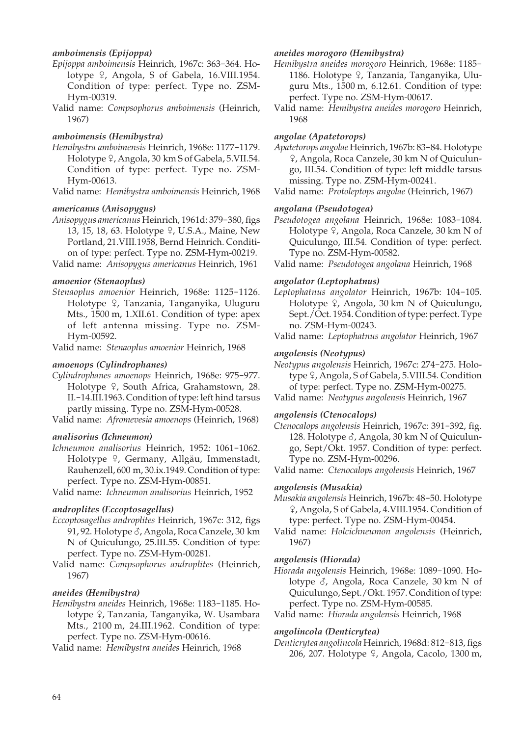## *amboimensis (Epijoppa)*

- *Epijoppa amboimensis* Heinrich, 1967c: 363-364. Holotype  $\varphi$ , Angola, S of Gabela, 16.VIII.1954. Condition of type: perfect. Type no. ZSM-Hym-00319.
- Valid name: *Compsophorus amboimensis* (Heinrich, 1967)

#### *amboimensis (Hemibystra)*

- *Hemibystra amboimensis* Heinrich, 1968e: 1177-1179. Holotype  $\frac{9}{7}$ , Angola, 30 km S of Gabela, 5.VII.54. Condition of type: perfect. Type no. ZSM-Hym-00613.
- Valid name: *Hemibystra amboimensis* Heinrich, 1968

#### *americanus (Anisopygus)*

- *Anisopygus americanus* Heinrich, 1961d: 379-380, figs 13, 15, 18, 63. Holotype <sup>2</sup>, U.S.A., Maine, New Portland, 21.VIII.1958, Bernd Heinrich. Condition of type: perfect. Type no. ZSM-Hym-00219.
- Valid name: *Anisopygus americanus* Heinrich, 1961

#### *amoenior (Stenaoplus)*

*Stenaoplus amoenior* Heinrich, 1968e: 1125-1126. Holotype <sup>Q</sup>, Tanzania, Tanganyika, Uluguru Mts., 1500 m, 1.XII.61. Condition of type: apex of left antenna missing. Type no. ZSM-Hym-00592.

Valid name: *Stenaoplus amoenior* Heinrich, 1968

#### *amoenops (Cylindrophanes)*

*Cylindrophanes amoenops* Heinrich, 1968e: 975-977. Holotype 9, South Africa, Grahamstown, 28. II.-14.III.1963. Condition of type: left hind tarsus partly missing. Type no. ZSM-Hym-00528.

Valid name: *Afromevesia amoenops* (Heinrich, 1968)

#### *analisorius (Ichneumon)*

*Ichneumon analisorius* Heinrich, 1952: 1061-1062. Holotype ?, Germany, Allgäu, Immenstadt, Rauhenzell, 600 m, 30.ix.1949. Condition of type: perfect. Type no. ZSM-Hym-00851.

Valid name: *Ichneumon analisorius* Heinrich, 1952

#### *androplites (Eccoptosagellus)*

- *Eccoptosagellus androplites* Heinrich, 1967c: 312, figs 91, 92. Holotype  $\delta$ , Angola, Roca Canzele, 30 km N of Quiculungo, 25.III.55. Condition of type: perfect. Type no. ZSM-Hym-00281.
- Valid name: *Compsophorus androplites* (Heinrich, 1967)

#### *aneides (Hemibystra)*

*Hemibystra aneides* Heinrich, 1968e: 1183-1185. Holotype 9, Tanzania, Tanganyika, W. Usambara Mts., 2100 m, 24.III.1962. Condition of type: perfect. Type no. ZSM-Hym-00616.

Valid name: *Hemibystra aneides* Heinrich, 1968

#### *aneides morogoro (Hemibystra)*

*Hemibystra aneides morogoro* Heinrich, 1968e: 1185- 1186. Holotype <sup>Q</sup>, Tanzania, Tanganyika, Uluguru Mts., 1500 m, 6.12.61. Condition of type: perfect. Type no. ZSM-Hym-00617.

Valid name: *Hemibystra aneides morogoro* Heinrich, 1968

#### *angolae (Apatetorops)*

*Apatetorops angolae* Heinrich, 1967b: 83-84. Holotype W, Angola, Roca Canzele, 30 km N of Quiculungo, III.54. Condition of type: left middle tarsus missing. Type no. ZSM-Hym-00241.

Valid name: *Protoleptops angolae* (Heinrich, 1967)

## *angolana (Pseudotogea)*

*Pseudotogea angolana* Heinrich, 1968e: 1083-1084. Holotype <sup>Q</sup>, Angola, Roca Canzele, 30 km N of Quiculungo, III.54. Condition of type: perfect. Type no. ZSM-Hym-00582.

Valid name: *Pseudotogea angolana* Heinrich, 1968

#### *angolator (Leptophatnus)*

*Leptophatnus angolator* Heinrich, 1967b: 104-105. Holotype  $\frac{1}{2}$ , Angola, 30 km N of Quiculungo, Sept./Oct. 1954. Condition of type: perfect. Type no. ZSM-Hym-00243.

Valid name: *Leptophatnus angolator* Heinrich, 1967

#### *angolensis (Neotypus)*

*Neotypus angolensis* Heinrich, 1967c: 274-275. Holotype  $9$ , Angola, S of Gabela, 5.VIII.54. Condition of type: perfect. Type no. ZSM-Hym-00275.

Valid name: *Neotypus angolensis* Heinrich, 1967

## *angolensis (Ctenocalops)*

*Ctenocalops angolensis* Heinrich, 1967c: 391-392, fig. 128. Holotype  $\delta$ , Angola, 30 km N of Quiculungo, Sept/Okt. 1957. Condition of type: perfect. Type no. ZSM-Hym-00296.

Valid name: *Ctenocalops angolensis* Heinrich, 1967

#### *angolensis (Musakia)*

*Musakia angolensis* Heinrich, 1967b: 48-50. Holotype W, Angola, S of Gabela, 4.VIII.1954. Condition of type: perfect. Type no. ZSM-Hym-00454.

Valid name: *Holcichneumon angolensis* (Heinrich, 1967)

#### *angolensis (Hiorada)*

*Hiorada angolensis* Heinrich, 1968e: 1089-1090. Holotype  $\delta$ , Angola, Roca Canzele, 30 km N of Quiculungo, Sept./Okt. 1957. Condition of type: perfect. Type no. ZSM-Hym-00585.

Valid name: *Hiorada angolensis* Heinrich, 1968

## *angolincola (Denticrytea)*

*Denticrytea angolincola* Heinrich, 1968d: 812-813, figs 206, 207. Holotype 9, Angola, Cacolo, 1300 m,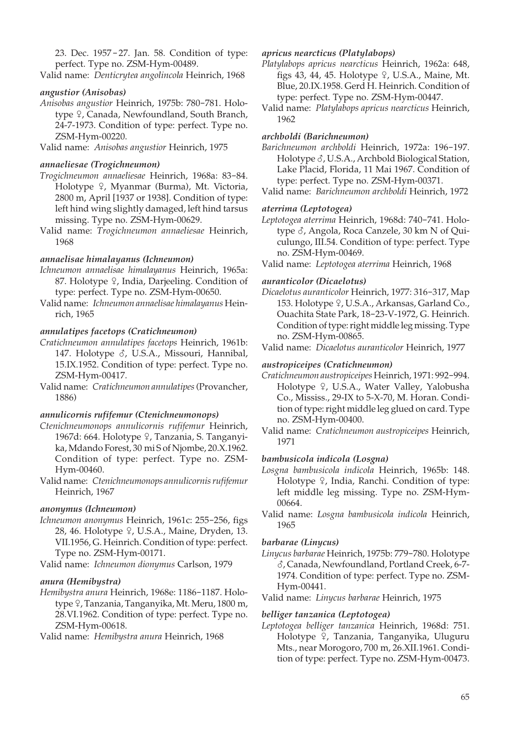23. Dec. 1957 - 27. Jan. 58. Condition of type: perfect. Type no. ZSM-Hym-00489.

Valid name: *Denticrytea angolincola* Heinrich, 1968

## *angustior (Anisobas)*

*Anisobas angustior* Heinrich, 1975b: 780-781. Holotype <sup> $\varphi$ </sup>, Canada, Newfoundland, South Branch, 24-7-1973. Condition of type: perfect. Type no. ZSM-Hym-00220.

Valid name: *Anisobas angustior* Heinrich, 1975

#### *annaeliesae (Trogichneumon)*

- *Trogichneumon annaeliesae* Heinrich, 1968a: 83-84. Holotype <sup>Q</sup>, Myanmar (Burma), Mt. Victoria, 2800 m, April [1937 or 1938]. Condition of type: left hind wing slightly damaged, left hind tarsus missing. Type no. ZSM-Hym-00629.
- Valid name: *Trogichneumon annaeliesae* Heinrich, 1968

## *annaelisae himalayanus (Ichneumon)*

- *Ichneumon annaelisae himalayanus* Heinrich, 1965a: 87. Holotype  $\varphi$ , India, Darjeeling. Condition of type: perfect. Type no. ZSM-Hym-00650.
- Valid name: *Ichneumon annaelisae himalayanus* Heinrich, 1965

## *annulatipes facetops (Cratichneumon)*

- *Cratichneumon annulatipes facetops* Heinrich, 1961b: 147. Holotype  $\delta$ , U.S.A., Missouri, Hannibal, 15.IX.1952. Condition of type: perfect. Type no. ZSM-Hym-00417.
- Valid name: *Cratichneumon annulatipes* (Provancher, 1886)

## *annulicornis rufifemur (Ctenichneumonops)*

- *Ctenichneumonops annulicornis rufifemur* Heinrich, 1967d: 664. Holotype ?, Tanzania, S. Tanganyika, Mdando Forest, 30 mi S of Njombe, 20.X.1962. Condition of type: perfect. Type no. ZSM-Hym-00460.
- Valid name: *Ctenichneumonops annulicornis rufifemur* Heinrich, 1967

## *anonymus (Ichneumon)*

*Ichneumon anonymus* Heinrich, 1961c: 255-256, figs 28, 46. Holotype <sup>Q</sup>, U.S.A., Maine, Dryden, 13. VII.1956, G. Heinrich. Condition of type: perfect. Type no. ZSM-Hym-00171.

Valid name: *Ichneumon dionymus* Carlson, 1979

## *anura (Hemibystra)*

*Hemibystra anura* Heinrich, 1968e: 1186-1187. Holotype  $\frac{1}{2}$ , Tanzania, Tanganyika, Mt. Meru, 1800 m, 28.VI.1962. Condition of type: perfect. Type no. ZSM-Hym-00618.

Valid name: *Hemibystra anura* Heinrich, 1968

### *apricus nearcticus (Platylabops)*

- *Platylabops apricus nearcticus* Heinrich, 1962a: 648, figs 43, 44, 45. Holotype  $9$ , U.S.A., Maine, Mt. Blue, 20.IX.1958. Gerd H. Heinrich. Condition of type: perfect. Type no. ZSM-Hym-00447.
- Valid name: *Platylabops apricus nearcticus* Heinrich, 1962

#### *archboldi (Barichneumon)*

- *Barichneumon archboldi* Heinrich, 1972a: 196-197. Holotype  $\delta$ , U.S.A., Archbold Biological Station, Lake Placid, Florida, 11 Mai 1967. Condition of type: perfect. Type no. ZSM-Hym-00371.
- Valid name: *Barichneumon archboldi* Heinrich, 1972

## *aterrima (Leptotogea)*

*Leptotogea aterrima* Heinrich, 1968d: 740-741. Holotype  $\delta$ , Angola, Roca Canzele, 30 km N of Quiculungo, III.54. Condition of type: perfect. Type no. ZSM-Hym-00469.

Valid name: *Leptotogea aterrima* Heinrich, 1968

## *auranticolor (Dicaelotus)*

*Dicaelotus auranticolor* Heinrich, 1977: 316-317, Map 153. Holotype 9, U.S.A., Arkansas, Garland Co., Ouachita State Park, 18-23-V-1972, G. Heinrich. Condition of type: right middle leg missing. Type no. ZSM-Hym-00865.

Valid name: *Dicaelotus auranticolor* Heinrich, 1977

#### *austropiceipes (Cratichneumon)*

- *Cratichneumon austropiceipes* Heinrich, 1971: 992-994. Holotype <sub>9</sub>, U.S.A., Water Valley, Yalobusha Co., Mississ., 29-IX to 5-X-70, M. Horan. Condition of type: right middle leg glued on card. Type no. ZSM-Hym-00400.
- Valid name: *Cratichneumon austropiceipes* Heinrich, 1971

#### *bambusicola indicola (Losgna)*

- *Losgna bambusicola indicola* Heinrich, 1965b: 148. Holotype  $9$ , India, Ranchi. Condition of type: left middle leg missing. Type no. ZSM-Hym-00664.
- Valid name: *Losgna bambusicola indicola* Heinrich, 1965

#### *barbarae (Linycus)*

*Linycus barbarae* Heinrich, 1975b: 779-780. Holotype M, Canada, Newfoundland, Portland Creek, 6-7- 1974. Condition of type: perfect. Type no. ZSM-Hym-00441.

Valid name: *Linycus barbarae* Heinrich, 1975

#### *belliger tanzanica (Leptotogea)*

*Leptotogea belliger tanzanica* Heinrich, 1968d: 751. Holotype  $\hat{P}$ , Tanzania, Tanganyika, Uluguru Mts., near Morogoro, 700 m, 26.XII.1961. Condition of type: perfect. Type no. ZSM-Hym-00473.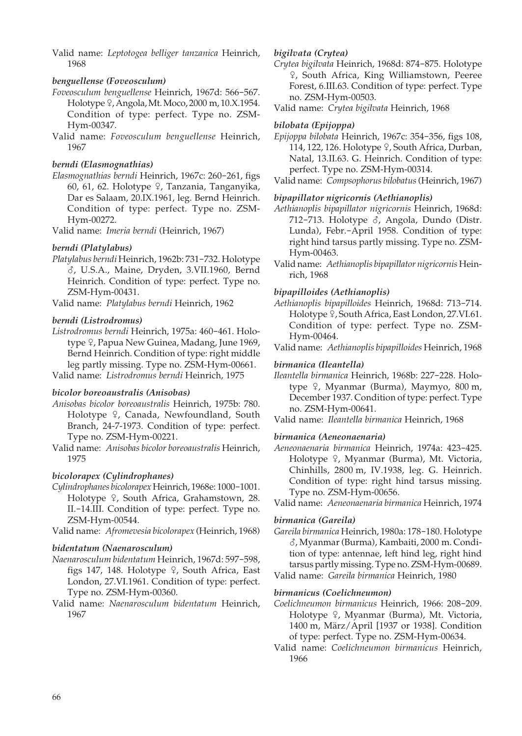Valid name: *Leptotogea belliger tanzanica* Heinrich, 1968

## *benguellense (Foveosculum)*

- *Foveosculum benguellense* Heinrich, 1967d: 566-567. Holotype 9, Angola, Mt. Moco, 2000 m, 10.X.1954. Condition of type: perfect. Type no. ZSM-Hym-00347.
- Valid name: *Foveosculum benguellense* Heinrich, 1967

## *berndi (Elasmognathias)*

*Elasmognathias berndi* Heinrich, 1967c: 260-261, figs 60, 61, 62. Holotype <sup>Q</sup>, Tanzania, Tanganyika, Dar es Salaam, 20.IX.1961, leg. Bernd Heinrich. Condition of type: perfect. Type no. ZSM-Hym-00272.

Valid name: *Imeria berndi* (Heinrich, 1967)

# *berndi (Platylabus)*

*Platylabus berndi* Heinrich, 1962b: 731-732. Holotype M, U.S.A., Maine, Dryden, 3.VII.1960, Bernd Heinrich. Condition of type: perfect. Type no. ZSM-Hym-00431.

Valid name: *Platylabus berndi* Heinrich, 1962

## *berndi (Listrodromus)*

*Listrodromus berndi* Heinrich, 1975a: 460-461. Holotype <sup>Q</sup>, Papua New Guinea, Madang, June 1969, Bernd Heinrich. Condition of type: right middle leg partly missing. Type no. ZSM-Hym-00661.

Valid name: *Listrodromus berndi* Heinrich, 1975

## *bicolor boreoaustralis (Anisobas)*

- *Anisobas bicolor boreoaustralis* Heinrich, 1975b: 780. Holotype <sup>Q</sup>, Canada, Newfoundland, South Branch, 24-7-1973. Condition of type: perfect. Type no. ZSM-Hym-00221.
- Valid name: *Anisobas bicolor boreoaustralis* Heinrich, 1975

## *bicolorapex (Cylindrophanes)*

- *Cylindrophanes bicolorapex* Heinrich, 1968e: 1000-1001. Holotype 9, South Africa, Grahamstown, 28. II.-14.III. Condition of type: perfect. Type no. ZSM-Hym-00544.
- Valid name: *Afromevesia bicolorapex* (Heinrich, 1968)

## *bidentatum (Naenarosculum)*

- *Naenarosculum bidentatum* Heinrich, 1967d: 597-598, figs 147, 148. Holotype  $9$ , South Africa, East London, 27.VI.1961. Condition of type: perfect. Type no. ZSM-Hym-00360.
- Valid name: *Naenarosculum bidentatum* Heinrich, 1967

## *bigilvata (Crytea)*

- *Crytea bigilvata* Heinrich, 1968d: 874-875. Holotype W, South Africa, King Williamstown, Peeree Forest, 6.III.63. Condition of type: perfect. Type no. ZSM-Hym-00503.
- Valid name: *Crytea bigilvata* Heinrich, 1968

## *bilobata (Epijoppa)*

- *Epijoppa bilobata* Heinrich, 1967c: 354-356, figs 108, 114, 122, 126. Holotype 9, South Africa, Durban, Natal, 13.II.63. G. Heinrich. Condition of type: perfect. Type no. ZSM-Hym-00314.
- Valid name: *Compsophorus bilobatus* (Heinrich, 1967)

## *bipapillator nigricornis (Aethianoplis)*

- *Aethianoplis bipapillator nigricornis* Heinrich, 1968d: 712-713. Holotype  $\delta$ , Angola, Dundo (Distr. Lunda), Febr.-April 1958. Condition of type: right hind tarsus partly missing. Type no. ZSM-Hym-00463.
- Valid name: *Aethianoplis bipapillator nigricornis* Heinrich, 1968

## *bipapilloides (Aethianoplis)*

- *Aethianoplis bipapilloides* Heinrich, 1968d: 713-714. Holotype  $9$ , South Africa, East London, 27.VI.61. Condition of type: perfect. Type no. ZSM-Hym-00464.
- Valid name: *Aethianoplis bipapilloides* Heinrich, 1968

# *birmanica (Ileantella)*

- *Ileantella birmanica* Heinrich, 1968b: 227-228. Holotype  $\varphi$ , Myanmar (Burma), Maymyo, 800 m, December 1937. Condition of type: perfect. Type no. ZSM-Hym-00641.
- Valid name: *Ileantella birmanica* Heinrich, 1968

## *birmanica (Aeneonaenaria)*

*Aeneonaenaria birmanica* Heinrich, 1974a: 423-425. Holotype <sup>Q</sup>, Myanmar (Burma), Mt. Victoria, Chinhills, 2800 m, IV.1938, leg. G. Heinrich. Condition of type: right hind tarsus missing. Type no. ZSM-Hym-00656.

Valid name: *Aeneonaenaria birmanica* Heinrich, 1974

## *birmanica (Gareila)*

*Gareila birmanica* Heinrich, 1980a: 178-180. Holotype M, Myanmar (Burma), Kambaiti, 2000 m. Condition of type: antennae, left hind leg, right hind tarsus partly missing. Type no. ZSM-Hym-00689. Valid name: *Gareila birmanica* Heinrich, 1980

## *birmanicus (Coelichneumon)*

- *Coelichneumon birmanicus* Heinrich, 1966: 208-209. Holotype 9, Myanmar (Burma), Mt. Victoria, 1400 m, März/April [1937 or 1938]. Condition of type: perfect. Type no. ZSM-Hym-00634.
- Valid name: *Coelichneumon birmanicus* Heinrich, 1966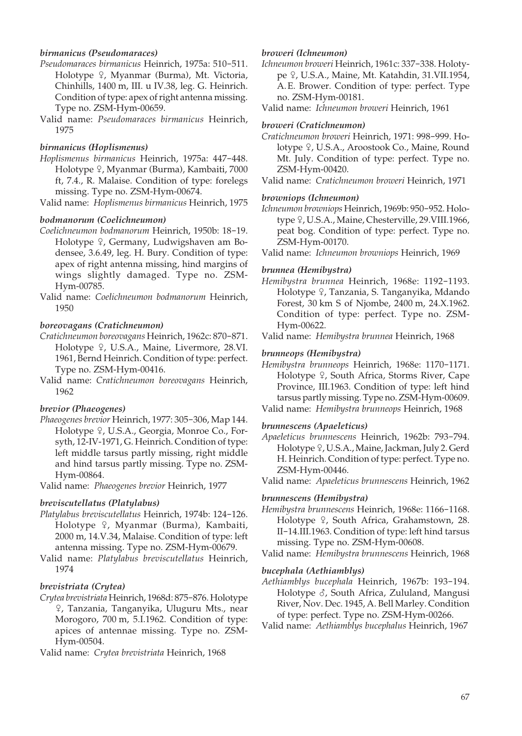## *birmanicus (Pseudomaraces)*

- *Pseudomaraces birmanicus* Heinrich, 1975a: 510-511. Holotype <sup>Q</sup>, Myanmar (Burma), Mt. Victoria, Chinhills, 1400 m, III. u IV.38, leg. G. Heinrich. Condition of type: apex of right antenna missing. Type no. ZSM-Hym-00659.
- Valid name: *Pseudomaraces birmanicus* Heinrich, 1975

#### *birmanicus (Hoplismenus)*

*Hoplismenus birmanicus* Heinrich, 1975a: 447-448. Holotype <sup>Q</sup>, Myanmar (Burma), Kambaiti, 7000 ft, 7.4., R. Malaise. Condition of type: forelegs missing. Type no. ZSM-Hym-00674.

Valid name: *Hoplismenus birmanicus* Heinrich, 1975

## *bodmanorum (Coelichneumon)*

- *Coelichneumon bodmanorum* Heinrich, 1950b: 18-19. Holotype <sup>Q</sup>, Germany, Ludwigshaven am Bodensee, 3.6.49, leg. H. Bury. Condition of type: apex of right antenna missing, hind margins of wings slightly damaged. Type no. ZSM-Hym-00785.
- Valid name: *Coelichneumon bodmanorum* Heinrich, 1950

#### *boreovagans (Cratichneumon)*

- *Cratichneumon boreovagans* Heinrich, 1962c: 870-871. Holotype <sup>Q</sup>, U.S.A., Maine, Livermore, 28.VI. 1961, Bernd Heinrich. Condition of type: perfect. Type no. ZSM-Hym-00416.
- Valid name: *Cratichneumon boreovagans* Heinrich, 1962

#### *brevior (Phaeogenes)*

*Phaeogenes brevior* Heinrich, 1977: 305-306, Map 144. Holotype <sup>Q</sup>, U.S.A., Georgia, Monroe Co., Forsyth, 12-IV-1971, G. Heinrich. Condition of type: left middle tarsus partly missing, right middle and hind tarsus partly missing. Type no. ZSM-Hym-00864.

Valid name: *Phaeogenes brevior* Heinrich, 1977

## *breviscutellatus (Platylabus)*

- *Platylabus breviscutellatus* Heinrich, 1974b: 124-126. Holotype <sup>Q</sup>, Myanmar (Burma), Kambaiti, 2000 m, 14.V.34, Malaise. Condition of type: left antenna missing. Type no. ZSM-Hym-00679.
- Valid name: *Platylabus breviscutellatus* Heinrich, 1974

#### *brevistriata (Crytea)*

*Crytea brevistriata* Heinrich, 1968d: 875-876. Holotype W, Tanzania, Tanganyika, Uluguru Mts., near Morogoro, 700 m, 5.I.1962. Condition of type: apices of antennae missing. Type no. ZSM-Hym-00504.

Valid name: *Crytea brevistriata* Heinrich, 1968

## *broweri (Ichneumon)*

*Ichneumon broweri* Heinrich, 1961c: 337-338. Holotype º, U.S.A., Maine, Mt. Katahdin, 31.VII.1954, A. E. Brower. Condition of type: perfect. Type no. ZSM-Hym-00181.

Valid name: *Ichneumon broweri* Heinrich, 1961

#### *broweri (Cratichneumon)*

*Cratichneumon broweri* Heinrich, 1971: 998-999. Holotype <sub>9</sub>, U.S.A., Aroostook Co., Maine, Round Mt. July. Condition of type: perfect. Type no. ZSM-Hym-00420.

Valid name: *Cratichneumon broweri* Heinrich, 1971

#### *browniops (Ichneumon)*

*Ichneumon browniops* Heinrich, 1969b: 950-952. Holotype  $9$ , U.S.A., Maine, Chesterville, 29.VIII.1966, peat bog. Condition of type: perfect. Type no. ZSM-Hym-00170.

Valid name: *Ichneumon browniops* Heinrich, 1969

#### *brunnea (Hemibystra)*

*Hemibystra brunnea* Heinrich, 1968e: 1192-1193. Holotype <sup>Q</sup>, Tanzania, S. Tanganyika, Mdando Forest, 30 km S of Njombe, 2400 m, 24.X.1962. Condition of type: perfect. Type no. ZSM-Hym-00622.

Valid name: *Hemibystra brunnea* Heinrich, 1968

#### *brunneops (Hemibystra)*

*Hemibystra brunneops* Heinrich, 1968e: 1170-1171. Holotype <sup>Q</sup>, South Africa, Storms River, Cape Province, III.1963. Condition of type: left hind tarsus partly missing. Type no. ZSM-Hym-00609. Valid name: *Hemibystra brunneops* Heinrich, 1968

#### *brunnescens (Apaeleticus)*

*Apaeleticus brunnescens* Heinrich, 1962b: 793-794. Holotype  $9$ , U.S.A., Maine, Jackman, July 2. Gerd H. Heinrich. Condition of type: perfect. Type no. ZSM-Hym-00446.

Valid name: *Apaeleticus brunnescens* Heinrich, 1962

#### *brunnescens (Hemibystra)*

- *Hemibystra brunnescens* Heinrich, 1968e: 1166-1168. Holotype  $9$ , South Africa, Grahamstown, 28. II-14.III.1963. Condition of type: left hind tarsus missing. Type no. ZSM-Hym-00608.
- Valid name: *Hemibystra brunnescens* Heinrich, 1968

#### *bucephala (Aethiamblys)*

- *Aethiamblys bucephala* Heinrich, 1967b: 193-194. Holotype  $\delta$ , South Africa, Zululand, Mangusi River, Nov. Dec. 1945, A. Bell Marley. Condition of type: perfect. Type no. ZSM-Hym-00266.
- Valid name: *Aethiamblys bucephalus* Heinrich, 1967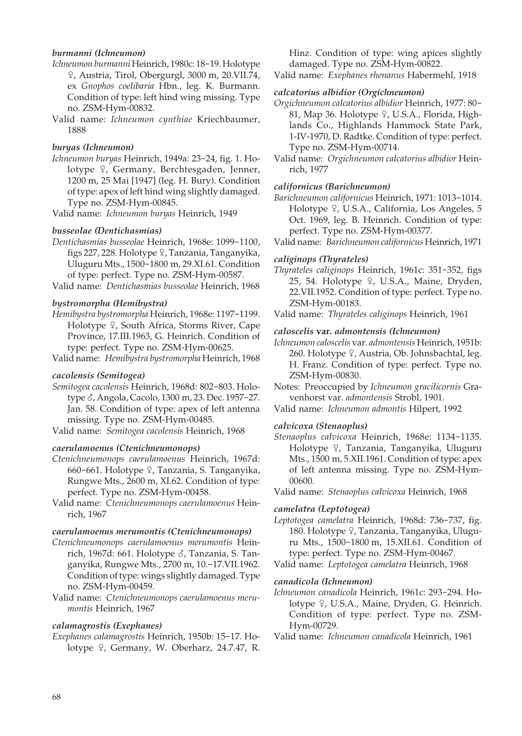## *burmanni (Ichneumon)*

- *Ichneumon burmanni* Heinrich, 1980c: 18-19. Holotype W, Austria, Tirol, Obergurgl, 3000 m, 20.VII.74, ex *Gnophos coelibaria* Hbn., leg. K. Burmann. Condition of type: left hind wing missing. Type no. ZSM-Hym-00832.
- Valid name: *Ichneumon cynthiae* Kriechbaumer, 1888

#### *buryas (Ichneumon)*

*Ichneumon buryas* Heinrich, 1949a: 23-24, fig. 1. Holotype <sup>Q</sup>, Germany, Berchtesgaden, Jenner, 1200 m, 25 Mai [1947] (leg. H. Bury). Condition of type: apex of left hind wing slightly damaged. Type no. ZSM-Hym-00845.

Valid name: *Ichneumon buryas* Heinrich, 1949

## *busseolae (Dentichasmias)*

*Dentichasmias busseolae* Heinrich, 1968e: 1099-1100, figs 227, 228. Holotype ?, Tanzania, Tanganyika, Uluguru Mts., 1500-1800 m, 29.XI.61. Condition of type: perfect. Type no. ZSM-Hym-00587.

Valid name: *Dentichasmias busseolae* Heinrich, 1968

## *bystromorpha (Hemibystra)*

*Hemibystra bystromorpha* Heinrich, 1968e: 1197-1199. Holotype <sup>Q</sup>, South Africa, Storms River, Cape Province, 17.III.1963, G. Heinrich. Condition of type: perfect. Type no. ZSM-Hym-00625.

Valid name: *Hemibystra bystromorpha* Heinrich, 1968

#### *cacolensis (Semitogea)*

*Semitogea cacolensis* Heinrich, 1968d: 802-803. Holotype  $\delta$ , Angola, Cacolo, 1300 m, 23. Dec. 1957-27. Jan. 58. Condition of type: apex of left antenna missing. Type no. ZSM-Hym-00485.

Valid name: *Semitogea cacolensis* Heinrich, 1968

## *caerulamoenus (Ctenichneumonops)*

- *Ctenichneumonops caerulamoenus* Heinrich, 1967d: 660-661. Holotype <sup>Q</sup>, Tanzania, S. Tanganyika, Rungwe Mts., 2600 m, XI.62. Condition of type: perfect. Type no. ZSM-Hym-00458.
- Valid name: *Ctenichneumonops caerulamoenus* Heinrich, 1967

#### *caerulamoenus merumontis (Ctenichneumonops)*

- *Ctenichneumonops caerulamoenus merumontis* Heinrich, 1967d: 661. Holotype  $\delta$ , Tanzania, S. Tanganyika, Rungwe Mts., 2700 m, 10.-17.VII.1962. Condition of type: wings slightly damaged. Type no. ZSM-Hym-00459.
- Valid name: *Ctenichneumonops caerulamoenus merumontis* Heinrich, 1967

## *calamagrostis (Exephanes)*

*Exephanes calamagrostis* Heinrich, 1950b: 15-17. Holotype  $9$ , Germany, W. Oberharz, 24.7.47, R. Hinz. Condition of type: wing apices slightly damaged. Type no. ZSM-Hym-00822.

Valid name: *Exephanes rhenanus* Habermehl, 1918

## *calcatorius albidior (Orgichneumon)*

*Orgichneumon calcatorius albidior* Heinrich, 1977: 80- 81, Map 36. Holotype  $9$ , U.S.A., Florida, Highlands Co., Highlands Hammock State Park, 1-IV-1970, D. Radtke. Condition of type: perfect. Type no. ZSM-Hym-00714.

#### *californicus (Barichneumon)*

*Barichneumon californicus* Heinrich, 1971: 1013-1014. Holotype <sup>Q</sup>, U.S.A., California, Los Angeles, 5 Oct. 1969, leg. B. Heinrich. Condition of type: perfect. Type no. ZSM-Hym-00377.

Valid name: *Barichneumon californicus* Heinrich, 1971

## *caliginops (Thyrateles)*

- *Thyrateles caliginops* Heinrich, 1961c: 351-352, figs 25, 54. Holotype  $9$ , U.S.A., Maine, Dryden, 22.VII.1952. Condition of type: perfect. Type no. ZSM-Hym-00183.
- Valid name: *Thyrateles caliginops* Heinrich, 1961

## *caloscelis* **var.** *admontensis (Ichneumon)*

*Ichneumon caloscelis* var. *admontensis* Heinrich, 1951b: 260. Holotype  $9$ , Austria, Ob. Johnsbachtal, leg. H. Franz. Condition of type: perfect. Type no. ZSM-Hym-00830.

Notes: Preoccupied by *Ichneumon gracilicornis* Gravenhorst var. *admontensis* Strobl, 1901.

Valid name: *Ichneumon admontis* Hilpert, 1992

## *calvicoxa (Stenaoplus)*

*Stenaoplus calvicoxa* Heinrich, 1968e: 1134-1135. Holotype 9, Tanzania, Tanganyika, Uluguru Mts., 1500 m, 5.XII.1961. Condition of type: apex of left antenna missing. Type no. ZSM-Hym-00600.

Valid name: *Stenaoplus calvicoxa* Heinrich, 1968

#### *camelatra (Leptotogea)*

*Leptotogea camelatra* Heinrich, 1968d: 736-737, fig. 180. Holotype 9, Tanzania, Tanganyika, Uluguru Mts., 1500-1800 m, 15.XII.61. Condition of type: perfect. Type no. ZSM-Hym-00467.

Valid name: *Leptotogea camelatra* Heinrich, 1968

## *canadicola (Ichneumon)*

*Ichneumon canadicola* Heinrich, 1961c: 293-294. Holotype <sub>9</sub>, U.S.A., Maine, Dryden, G. Heinrich. Condition of type: perfect. Type no. ZSM-Hym-00729.

Valid name: *Ichneumon canadicola* Heinrich, 1961

Valid name: *Orgichneumon calcatorius albidior* Heinrich, 1977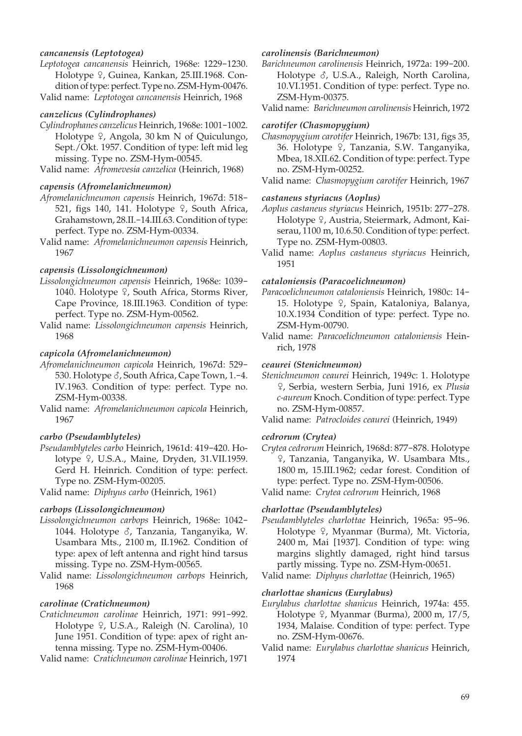## *cancanensis (Leptotogea)*

*Leptotogea cancanensis* Heinrich, 1968e: 1229-1230. Holotype <sup>Q</sup>, Guinea, Kankan, 25.III.1968. Condition of type: perfect. Type no. ZSM-Hym-00476. Valid name: *Leptotogea cancanensis* Heinrich, 1968

#### *canzelicus (Cylindrophanes)*

*Cylindrophanes canzelicus* Heinrich, 1968e: 1001-1002. Holotype  $\varphi$ , Angola, 30 km N of Quiculungo, Sept./Okt. 1957. Condition of type: left mid leg missing. Type no. ZSM-Hym-00545.

Valid name: *Afromevesia canzelica* (Heinrich, 1968)

## *capensis (Afromelanichneumon)*

- *Afromelanichneumon capensis* Heinrich, 1967d: 518- 521, figs 140, 141. Holotype  $\frac{1}{7}$ , South Africa, Grahamstown, 28.II.-14.III.63. Condition of type: perfect. Type no. ZSM-Hym-00334.
- Valid name: *Afromelanichneumon capensis* Heinrich, 1967

## *capensis (Lissolongichneumon)*

- *Lissolongichneumon capensis* Heinrich, 1968e: 1039- 1040. Holotype  $\frac{1}{2}$ , South Africa, Storms River, Cape Province, 18.III.1963. Condition of type: perfect. Type no. ZSM-Hym-00562.
- Valid name: *Lissolongichneumon capensis* Heinrich, 1968

## *capicola (Afromelanichneumon)*

- *Afromelanichneumon capicola* Heinrich, 1967d: 529- 530. Holotype  $\delta$ , South Africa, Cape Town, 1.-4. IV.1963. Condition of type: perfect. Type no. ZSM-Hym-00338.
- Valid name: *Afromelanichneumon capicola* Heinrich, 1967

### *carbo (Pseudamblyteles)*

*Pseudamblyteles carbo* Heinrich, 1961d: 419-420. Holotype 9, U.S.A., Maine, Dryden, 31.VII.1959. Gerd H. Heinrich. Condition of type: perfect. Type no. ZSM-Hym-00205.

Valid name: *Diphyus carbo* (Heinrich, 1961)

#### *carbops (Lissolongichneumon)*

- *Lissolongichneumon carbops* Heinrich, 1968e: 1042- 1044. Holotype  $\delta$ , Tanzania, Tanganyika, W. Usambara Mts., 2100 m, II.1962. Condition of type: apex of left antenna and right hind tarsus missing. Type no. ZSM-Hym-00565.
- Valid name: *Lissolongichneumon carbops* Heinrich, 1968

#### *carolinae (Cratichneumon)*

*Cratichneumon carolinae* Heinrich, 1971: 991-992. Holotype <sup>Q</sup>, U.S.A., Raleigh (N. Carolina), 10 June 1951. Condition of type: apex of right antenna missing. Type no. ZSM-Hym-00406.

Valid name: *Cratichneumon carolinae* Heinrich, 1971

## *carolinensis (Barichneumon)*

*Barichneumon carolinensis* Heinrich, 1972a: 199-200. Holotype  $\delta$ , U.S.A., Raleigh, North Carolina, 10.VI.1951. Condition of type: perfect. Type no. ZSM-Hym-00375.

Valid name: *Barichneumon carolinensis* Heinrich, 1972

#### *carotifer (Chasmopygium)*

*Chasmopygium carotifer* Heinrich, 1967b: 131, figs 35, 36. Holotype 9, Tanzania, S.W. Tanganyika, Mbea, 18.XII.62. Condition of type: perfect. Type no. ZSM-Hym-00252.

Valid name: *Chasmopygium carotifer* Heinrich, 1967

## *castaneus styriacus (Aoplus)*

- *Aoplus castaneus styriacus* Heinrich, 1951b: 277-278. Holotype <sup>Q</sup>, Austria, Steiermark, Admont, Kaiserau, 1100 m, 10.6.50. Condition of type: perfect. Type no. ZSM-Hym-00803.
- Valid name: *Aoplus castaneus styriacus* Heinrich, 1951

#### *cataloniensis (Paracoelichneumon)*

- *Paracoelichneumon cataloniensis* Heinrich, 1980c: 14- 15. Holotype º, Spain, Kataloniya, Balanya, 10.X.1934 Condition of type: perfect. Type no. ZSM-Hym-00790.
- Valid name: *Paracoelichneumon cataloniensis* Heinrich, 1978

## *ceaurei (Stenichneumon)*

- *Stenichneumon ceaurei* Heinrich, 1949c: 1. Holotype W, Serbia, western Serbia, Juni 1916, ex *Plusia c-aureum* Knoch. Condition of type: perfect. Type no. ZSM-Hym-00857.
- Valid name: *Patrocloides ceaurei* (Heinrich, 1949)

#### *cedrorum (Crytea)*

*Crytea cedrorum* Heinrich, 1968d: 877-878. Holotype W, Tanzania, Tanganyika, W. Usambara Mts., 1800 m, 15.III.1962; cedar forest. Condition of type: perfect. Type no. ZSM-Hym-00506.

Valid name: *Crytea cedrorum* Heinrich, 1968

#### *charlottae (Pseudamblyteles)*

*Pseudamblyteles charlottae* Heinrich, 1965a: 95-96. Holotype <sup>Q</sup>, Myanmar (Burma), Mt. Victoria, 2400 m, Mai [1937]. Condition of type: wing margins slightly damaged, right hind tarsus partly missing. Type no. ZSM-Hym-00651.

Valid name: *Diphyus charlottae* (Heinrich, 1965)

#### *charlottae shanicus (Eurylabus)*

- *Eurylabus charlottae shanicus* Heinrich, 1974a: 455. Holotype  $9$ , Myanmar (Burma), 2000 m, 17/5, 1934, Malaise. Condition of type: perfect. Type no. ZSM-Hym-00676.
- Valid name: *Eurylabus charlottae shanicus* Heinrich, 1974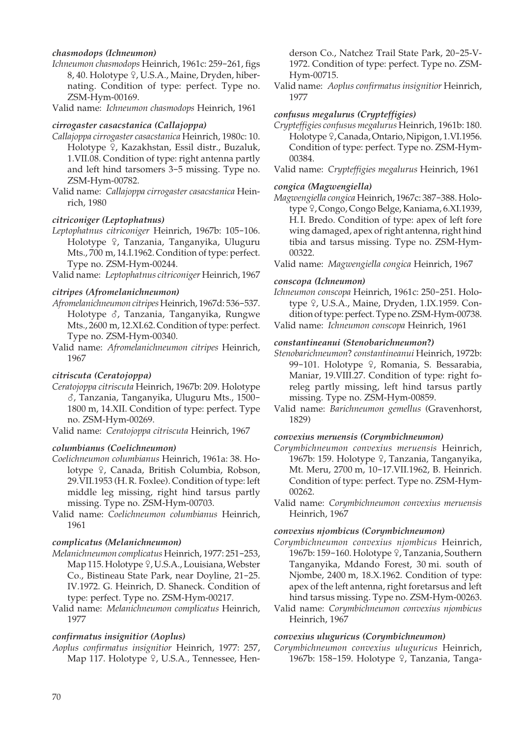## *chasmodops (Ichneumon)*

*Ichneumon chasmodops* Heinrich, 1961c: 259-261, figs 8, 40. Holotype  $9$ , U.S.A., Maine, Dryden, hibernating. Condition of type: perfect. Type no. ZSM-Hym-00169.

Valid name: *Ichneumon chasmodops* Heinrich, 1961

## *cirrogaster casacstanica (Callajoppa)*

- *Callajoppa cirrogaster casacstanica* Heinrich, 1980c: 10. Holotype <sup>Q</sup>, Kazakhstan, Essil distr., Buzaluk, 1.VII.08. Condition of type: right antenna partly and left hind tarsomers 3-5 missing. Type no. ZSM-Hym-00782.
- Valid name: *Callajoppa cirrogaster casacstanica* Heinrich, 1980

## *citriconiger (Leptophatnus)*

*Leptophatnus citriconiger* Heinrich, 1967b: 105-106. Holotype 9, Tanzania, Tanganyika, Uluguru Mts., 700 m, 14.I.1962. Condition of type: perfect. Type no. ZSM-Hym-00244.

Valid name: *Leptophatnus citriconiger* Heinrich, 1967

## *citripes (Afromelanichneumon)*

- *Afromelanichneumon citripes* Heinrich, 1967d: 536-537. Holotype  $\delta$ , Tanzania, Tanganyika, Rungwe Mts., 2600 m, 12.XI.62. Condition of type: perfect. Type no. ZSM-Hym-00340.
- Valid name: *Afromelanichneumon citripes* Heinrich, 1967

## *citriscuta (Ceratojoppa)*

*Ceratojoppa citriscuta* Heinrich, 1967b: 209. Holotype M, Tanzania, Tanganyika, Uluguru Mts., 1500- 1800 m, 14.XII. Condition of type: perfect. Type no. ZSM-Hym-00269.

Valid name: *Ceratojoppa citriscuta* Heinrich, 1967

#### *columbianus (Coelichneumon)*

- *Coelichneumon columbianus* Heinrich, 1961a: 38. Holotype <sup>Q</sup>, Canada, British Columbia, Robson, 29.VII.1953 (H. R. Foxlee). Condition of type: left middle leg missing, right hind tarsus partly missing. Type no. ZSM-Hym-00703.
- Valid name: *Coelichneumon columbianus* Heinrich, 1961

## *complicatus (Melanichneumon)*

- *Melanichneumon complicatus* Heinrich, 1977: 251-253, Map 115. Holotype 9, U.S.A., Louisiana, Webster Co., Bistineau State Park, near Doyline, 21-25. IV.1972. G. Heinrich, D. Shaneck. Condition of type: perfect. Type no. ZSM-Hym-00217.
- Valid name: *Melanichneumon complicatus* Heinrich, 1977

## *confirmatus insignitior (Aoplus)*

*Aoplus confirmatus insignitior* Heinrich, 1977: 257, Map 117. Holotype 9, U.S.A., Tennessee, Henderson Co., Natchez Trail State Park, 20-25-V-1972. Condition of type: perfect. Type no. ZSM-Hym-00715.

Valid name: *Aoplus confirmatus insignitior* Heinrich, 1977

#### *confusus megalurus (Crypteffigies)*

- *Crypteffigies confusus megalurus* Heinrich, 1961b: 180.  $H$ olotype  $\frac{1}{2}$ , Canada, Ontario, Nipigon, 1.VI.1956. Condition of type: perfect. Type no. ZSM-Hym-00384.
- Valid name: *Crypteffigies megalurus* Heinrich, 1961

## *congica (Magwengiella)*

*Magwengiella congica* Heinrich, 1967c: 387-388. Holotype <sup>Q</sup>, Congo, Congo Belge, Kaniama, 6.XI.1939, H. I. Bredo. Condition of type: apex of left fore wing damaged, apex of right antenna, right hind tibia and tarsus missing. Type no. ZSM-Hym-00322.

Valid name: *Magwengiella congica* Heinrich, 1967

## *conscopa (Ichneumon)*

*Ichneumon conscopa* Heinrich, 1961c: 250-251. Holotype  $9$ , U.S.A., Maine, Dryden, 1.IX.1959. Condition of type: perfect. Type no. ZSM-Hym-00738. Valid name: *Ichneumon conscopa* Heinrich, 1961

## *constantineanui (Stenobarichneumon***?***)*

*Stenobarichneumon*? *constantineanui* Heinrich, 1972b: 99-101. Holotype 9, Romania, S. Bessarabia, Maniar, 19.VIII.27. Condition of type: right foreleg partly missing, left hind tarsus partly missing. Type no. ZSM-Hym-00859.

Valid name: *Barichneumon gemellus* (Gravenhorst, 1829)

#### *convexius meruensis (Corymbichneumon)*

- *Corymbichneumon convexius meruensis* Heinrich, 1967b: 159. Holotype ?, Tanzania, Tanganyika, Mt. Meru, 2700 m, 10-17.VII.1962, B. Heinrich. Condition of type: perfect. Type no. ZSM-Hym-00262.
- Valid name: *Corymbichneumon convexius meruensis* Heinrich, 1967

#### *convexius njombicus (Corymbichneumon)*

- *Corymbichneumon convexius njombicus* Heinrich, 1967b: 159-160. Holotype ?, Tanzania, Southern Tanganyika, Mdando Forest, 30 mi. south of Njombe, 2400 m, 18.X.1962. Condition of type: apex of the left antenna, right foretarsus and left hind tarsus missing. Type no. ZSM-Hym-00263.
- Valid name: *Corymbichneumon convexius njombicus* Heinrich, 1967

## *convexius uluguricus (Corymbichneumon)*

*Corymbichneumon convexius uluguricus* Heinrich, 1967b: 158-159. Holotype 9, Tanzania, Tanga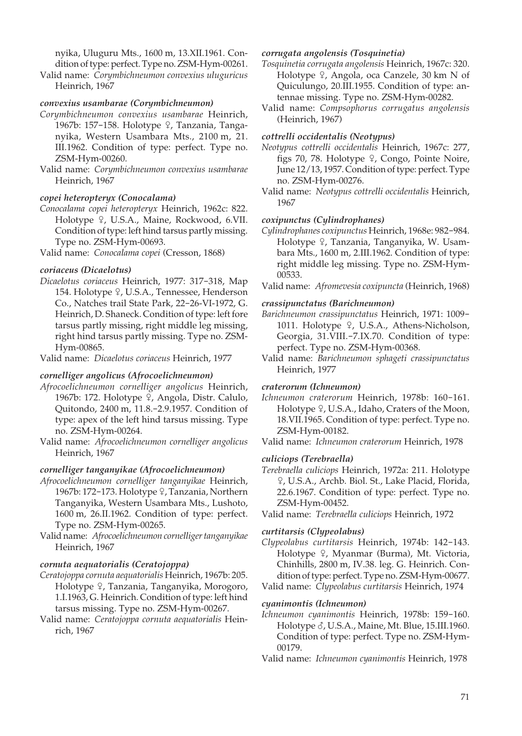nyika, Uluguru Mts., 1600 m, 13.XII.1961. Condition of type: perfect. Type no. ZSM-Hym-00261.

Valid name: *Corymbichneumon convexius uluguricus* Heinrich, 1967

## *convexius usambarae (Corymbichneumon)*

- *Corymbichneumon convexius usambarae* Heinrich, 1967b: 157-158. Holotype  $\frac{1}{2}$ , Tanzania, Tanganyika, Western Usambara Mts., 2100 m, 21. III.1962. Condition of type: perfect. Type no. ZSM-Hym-00260.
- Valid name: *Corymbichneumon convexius usambarae* Heinrich, 1967

## *copei heteropteryx (Conocalama)*

*Conocalama copei heteropteryx* Heinrich, 1962c: 822. Holotype <sup>Q</sup>, U.S.A., Maine, Rockwood, 6.VII. Condition of type: left hind tarsus partly missing. Type no. ZSM-Hym-00693.

Valid name: *Conocalama copei* (Cresson, 1868)

## *coriaceus (Dicaelotus)*

*Dicaelotus coriaceus* Heinrich, 1977: 317-318, Map 154. Holotype 9, U.S.A., Tennessee, Henderson Co., Natches trail State Park, 22-26-VI-1972, G. Heinrich, D. Shaneck. Condition of type: left fore tarsus partly missing, right middle leg missing, right hind tarsus partly missing. Type no. ZSM-Hym-00865.

Valid name: *Dicaelotus coriaceus* Heinrich, 1977

## *cornelliger angolicus (Afrocoelichneumon)*

- *Afrocoelichneumon cornelliger angolicus* Heinrich, 1967b: 172. Holotype <sup>Q</sup>, Angola, Distr. Calulo, Quitondo, 2400 m, 11.8.-2.9.1957. Condition of type: apex of the left hind tarsus missing. Type no. ZSM-Hym-00264.
- Valid name: *Afrocoelichneumon cornelliger angolicus* Heinrich, 1967

## *cornelliger tanganyikae (Afrocoelichneumon)*

- *Afrocoelichneumon cornelliger tanganyikae* Heinrich, 1967b: 172–173. Holotype  $\frac{1}{2}$ , Tanzania, Northern Tanganyika, Western Usambara Mts., Lushoto, 1600 m, 26.II.1962. Condition of type: perfect. Type no. ZSM-Hym-00265.
- Valid name: *Afrocoelichneumon cornelliger tanganyikae* Heinrich, 1967

## *cornuta aequatorialis (Ceratojoppa)*

- *Ceratojoppa cornuta aequatorialis* Heinrich, 1967b: 205. Holotype <sup>Q</sup>, Tanzania, Tanganyika, Morogoro, 1.I.1963, G. Heinrich. Condition of type: left hind tarsus missing. Type no. ZSM-Hym-00267.
- Valid name: *Ceratojoppa cornuta aequatorialis* Heinrich, 1967

## *corrugata angolensis (Tosquinetia)*

- *Tosquinetia corrugata angolensis* Heinrich, 1967c: 320. Holotype  $\varphi$ , Angola, oca Canzele, 30 km N of Quiculungo, 20.III.1955. Condition of type: antennae missing. Type no. ZSM-Hym-00282.
- Valid name: *Compsophorus corrugatus angolensis* (Heinrich, 1967)

## *cottrelli occidentalis (Neotypus)*

- *Neotypus cottrelli occidentalis* Heinrich, 1967c: 277, figs 70, 78. Holotype  $\frac{1}{2}$ , Congo, Pointe Noire, June 12/13, 1957. Condition of type: perfect. Type no. ZSM-Hym-00276.
- Valid name: *Neotypus cottrelli occidentalis* Heinrich, 1967

## *coxipunctus (Cylindrophanes)*

- *Cylindrophanes coxipunctus* Heinrich, 1968e: 982-984. Holotype 9, Tanzania, Tanganyika, W. Usambara Mts., 1600 m, 2.III.1962. Condition of type: right middle leg missing. Type no. ZSM-Hym-00533.
- Valid name: *Afromevesia coxipuncta* (Heinrich, 1968)

## *crassipunctatus (Barichneumon)*

- *Barichneumon crassipunctatus* Heinrich, 1971: 1009- 1011. Holotype 9, U.S.A., Athens-Nicholson, Georgia, 31.VIII.-7.IX.70. Condition of type: perfect. Type no. ZSM-Hym-00368.
- Valid name: *Barichneumon sphageti crassipunctatus* Heinrich, 1977

## *craterorum (Ichneumon)*

- *Ichneumon craterorum* Heinrich, 1978b: 160-161. Holotype  $\frac{1}{7}$ , U.S.A., Idaho, Craters of the Moon, 18.VII.1965. Condition of type: perfect. Type no. ZSM-Hym-00182.
- Valid name: *Ichneumon craterorum* Heinrich, 1978

## *culiciops (Terebraella)*

*Terebraella culiciops* Heinrich, 1972a: 211. Holotype W, U.S.A., Archb. Biol. St., Lake Placid, Florida, 22.6.1967. Condition of type: perfect. Type no. ZSM-Hym-00452.

Valid name: *Terebraella culiciops* Heinrich, 1972

## *curtitarsis (Clypeolabus)*

- *Clypeolabus curtitarsis* Heinrich, 1974b: 142-143. Holotype <sup>Q</sup>, Myanmar (Burma), Mt. Victoria, Chinhills, 2800 m, IV.38. leg. G. Heinrich. Condition of type: perfect. Type no. ZSM-Hym-00677. Valid name: *Clypeolabus curtitarsis* Heinrich, 1974
- 

## *cyanimontis (Ichneumon)*

- *Ichneumon cyanimontis* Heinrich, 1978b: 159-160. Holotype  $\delta$ , U.S.A., Maine, Mt. Blue, 15.III.1960. Condition of type: perfect. Type no. ZSM-Hym-00179.
- Valid name: *Ichneumon cyanimontis* Heinrich, 1978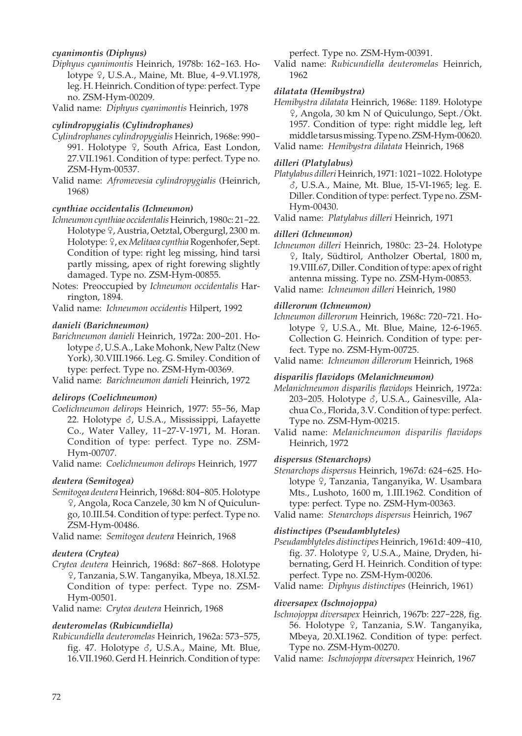## *cyanimontis (Diphyus)*

*Diphyus cyanimontis* Heinrich, 1978b: 162-163. Holotype <sub>9</sub>, U.S.A., Maine, Mt. Blue, 4-9.VI.1978, leg. H. Heinrich. Condition of type: perfect. Type no. ZSM-Hym-00209.

Valid name: *Diphyus cyanimontis* Heinrich, 1978

#### *cylindropygialis (Cylindrophanes)*

- *Cylindrophanes cylindropygialis* Heinrich, 1968e: 990- 991. Holotype 9, South Africa, East London, 27.VII.1961. Condition of type: perfect. Type no. ZSM-Hym-00537.
- Valid name: *Afromevesia cylindropygialis* (Heinrich, 1968)

## *cynthiae occidentalis (Ichneumon)*

- *Ichneumon cynthiae occidentalis* Heinrich, 1980c: 21-22. Holotype  $9$ , Austria, Oetztal, Obergurgl, 2300 m. Holotype: 9, ex *Melitaea cynthia* Rogenhofer, Sept. Condition of type: right leg missing, hind tarsi partly missing, apex of right forewing slightly damaged. Type no. ZSM-Hym-00855.
- Notes: Preoccupied by *Ichneumon occidentalis* Harrington, 1894.

Valid name: *Ichneumon occidentis* Hilpert, 1992

## *danieli (Barichneumon)*

*Barichneumon danieli* Heinrich, 1972a: 200-201. Holotype  $\delta$ , U.S.A., Lake Mohonk, New Paltz (New York), 30.VIII.1966. Leg. G. Smiley. Condition of type: perfect. Type no. ZSM-Hym-00369.

Valid name: *Barichneumon danieli* Heinrich, 1972

## *delirops (Coelichneumon)*

*Coelichneumon delirops* Heinrich, 1977: 55-56, Map 22. Holotype  $\delta$ , U.S.A., Mississippi, Lafayette Co., Water Valley, 11-27-V-1971, M. Horan. Condition of type: perfect. Type no. ZSM-Hym-00707.

Valid name: *Coelichneumon delirops* Heinrich, 1977

#### *deutera (Semitogea)*

*Semitogea deutera* Heinrich, 1968d: 804-805. Holotype W, Angola, Roca Canzele, 30 km N of Quiculungo, 10.III.54. Condition of type: perfect. Type no. ZSM-Hym-00486.

Valid name: *Semitogea deutera* Heinrich, 1968

## *deutera (Crytea)*

*Crytea deutera* Heinrich, 1968d: 867-868. Holotype W, Tanzania, S.W. Tanganyika, Mbeya, 18.XI.52. Condition of type: perfect. Type no. ZSM-Hym-00501.

Valid name: *Crytea deutera* Heinrich, 1968

## *deuteromelas (Rubicundiella)*

*Rubicundiella deuteromelas* Heinrich, 1962a: 573-575, fig. 47. Holotype  $\delta$ , U.S.A., Maine, Mt. Blue, 16.VII.1960. Gerd H. Heinrich. Condition of type: perfect. Type no. ZSM-Hym-00391.

Valid name: *Rubicundiella deuteromelas* Heinrich, 1962

## *dilatata (Hemibystra)*

*Hemibystra dilatata* Heinrich, 1968e: 1189. Holotype W, Angola, 30 km N of Quiculungo, Sept./Okt. 1957. Condition of type: right middle leg, left middle tarsus missing. Type no. ZSM-Hym-00620. Valid name: *Hemibystra dilatata* Heinrich, 1968

## *dilleri (Platylabus)*

*Platylabus dilleri* Heinrich, 1971: 1021-1022. Holotype M, U.S.A., Maine, Mt. Blue, 15-VI-1965; leg. E. Diller. Condition of type: perfect. Type no. ZSM-Hym-00430.

Valid name: *Platylabus dilleri* Heinrich, 1971

## *dilleri (Ichneumon)*

*Ichneumon dilleri* Heinrich, 1980c: 23-24. Holotype W, Italy, Südtirol, Antholzer Obertal, 1800 m, 19.VIII.67, Diller. Condition of type: apex of right antenna missing. Type no. ZSM-Hym-00853.

Valid name: *Ichneumon dilleri* Heinrich, 1980

#### *dillerorum (Ichneumon)*

*Ichneumon dillerorum* Heinrich, 1968c: 720-721. Holotype  $9$ , U.S.A., Mt. Blue, Maine, 12-6-1965. Collection G. Heinrich. Condition of type: perfect. Type no. ZSM-Hym-00725.

Valid name: *Ichneumon dillerorum* Heinrich, 1968

## *disparilis flavidops (Melanichneumon)*

*Melanichneumon disparilis flavidops* Heinrich, 1972a: 203-205. Holotype  $\delta$ , U.S.A., Gainesville, Alachua Co., Florida, 3.V. Condition of type: perfect. Type no. ZSM-Hym-00215.

Valid name: *Melanichneumon disparilis flavidops* Heinrich, 1972

#### *dispersus (Stenarchops)*

*Stenarchops dispersus* Heinrich, 1967d: 624-625. Holotype 9, Tanzania, Tanganyika, W. Usambara Mts., Lushoto, 1600 m, 1.III.1962. Condition of type: perfect. Type no. ZSM-Hym-00363.

Valid name: *Stenarchops dispersus* Heinrich, 1967

#### *distinctipes (Pseudamblyteles)*

*Pseudamblyteles distinctipes* Heinrich, 1961d: 409-410, fig. 37. Holotype 9, U.S.A., Maine, Dryden, hibernating, Gerd H. Heinrich. Condition of type: perfect. Type no. ZSM-Hym-00206.

Valid name: *Diphyus distinctipes* (Heinrich, 1961)

#### *diversapex (Ischnojoppa)*

*Ischnojoppa diversapex* Heinrich, 1967b: 227-228, fig. 56. Holotype 9, Tanzania, S.W. Tanganyika, Mbeya, 20.XI.1962. Condition of type: perfect. Type no. ZSM-Hym-00270.

Valid name: *Ischnojoppa diversapex* Heinrich, 1967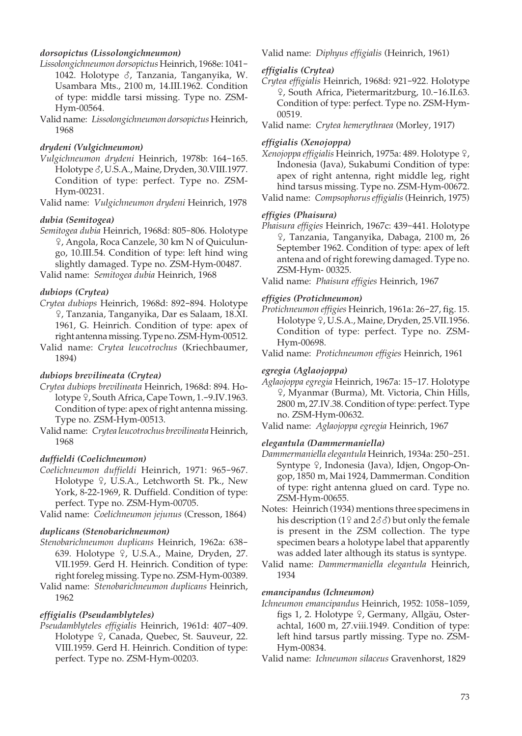## *dorsopictus (Lissolongichneumon)*

- *Lissolongichneumon dorsopictus* Heinrich, 1968e: 1041- 1042. Holotype  $\delta$ , Tanzania, Tanganyika, W. Usambara Mts., 2100 m, 14.III.1962. Condition of type: middle tarsi missing. Type no. ZSM-Hym-00564.
- Valid name: *Lissolongichneumon dorsopictus* Heinrich, 1968

#### *drydeni (Vulgichneumon)*

- *Vulgichneumon drydeni* Heinrich, 1978b: 164-165. Holotype  $\delta$ , U.S.A., Maine, Dryden, 30.VIII.1977. Condition of type: perfect. Type no. ZSM-Hym-00231.
- Valid name: *Vulgichneumon drydeni* Heinrich, 1978

#### *dubia (Semitogea)*

*Semitogea dubia* Heinrich, 1968d: 805-806. Holotype W, Angola, Roca Canzele, 30 km N of Quiculungo, 10.III.54. Condition of type: left hind wing slightly damaged. Type no. ZSM-Hym-00487.

Valid name: *Semitogea dubia* Heinrich, 1968

### *dubiops (Crytea)*

- *Crytea dubiops* Heinrich, 1968d: 892-894. Holotype W, Tanzania, Tanganyika, Dar es Salaam, 18.XI. 1961, G. Heinrich. Condition of type: apex of right antenna missing. Type no. ZSM-Hym-00512.
- Valid name: *Crytea leucotrochus* (Kriechbaumer, 1894)

#### *dubiops brevilineata (Crytea)*

- *Crytea dubiops brevilineata* Heinrich, 1968d: 894. Holotype 9, South Africa, Cape Town, 1.-9.IV.1963. Condition of type: apex of right antenna missing. Type no. ZSM-Hym-00513.
- Valid name: *Crytea leucotrochus brevilineata* Heinrich, 1968

#### *duffieldi (Coelichneumon)*

*Coelichneumon duffieldi* Heinrich, 1971: 965-967. Holotype <sub>9</sub>, U.S.A., Letchworth St. Pk., New York, 8-22-1969, R. Duffield. Condition of type: perfect. Type no. ZSM-Hym-00705.

Valid name: *Coelichneumon jejunus* (Cresson, 1864)

## *duplicans (Stenobarichneumon)*

- *Stenobarichneumon duplicans* Heinrich, 1962a: 638- 639. Holotype  $9$ , U.S.A., Maine, Dryden, 27. VII.1959. Gerd H. Heinrich. Condition of type: right foreleg missing. Type no. ZSM-Hym-00389.
- Valid name: *Stenobarichneumon duplicans* Heinrich, 1962

#### *effigialis (Pseudamblyteles)*

*Pseudamblyteles effigialis* Heinrich, 1961d: 407-409. Holotype <sup>Q</sup>, Canada, Quebec, St. Sauveur, 22. VIII.1959. Gerd H. Heinrich. Condition of type: perfect. Type no. ZSM-Hym-00203.

Valid name: *Diphyus effigialis* (Heinrich, 1961)

#### *effigialis (Crytea)*

- *Crytea effigialis* Heinrich, 1968d: 921-922. Holotype W, South Africa, Pietermaritzburg, 10.-16.II.63. Condition of type: perfect. Type no. ZSM-Hym-00519.
- Valid name: *Crytea hemerythraea* (Morley, 1917)

## *effigialis (Xenojoppa)*

- Xenojoppa effigialis Heinrich, 1975a: 489. Holotype <sup>Q</sup>, Indonesia (Java), Sukabumi Condition of type: apex of right antenna, right middle leg, right hind tarsus missing. Type no. ZSM-Hym-00672.
- Valid name: *Compsophorus effigialis* (Heinrich, 1975)

#### *effigies (Phaisura)*

*Phaisura effigies* Heinrich, 1967c: 439-441. Holotype W, Tanzania, Tanganyika, Dabaga, 2100 m, 26 September 1962. Condition of type: apex of left antena and of right forewing damaged. Type no. ZSM-Hym- 00325.

Valid name: *Phaisura effigies* Heinrich, 1967

#### *effigies (Protichneumon)*

- *Protichneumon effigies* Heinrich, 1961a: 26-27, fig. 15. Holotype <sup>Q</sup>, U.S.A., Maine, Dryden, 25.VII.1956. Condition of type: perfect. Type no. ZSM-Hym-00698.
- Valid name: *Protichneumon effigies* Heinrich, 1961

#### *egregia (Aglaojoppa)*

*Aglaojoppa egregia* Heinrich, 1967a: 15-17. Holotype W, Myanmar (Burma), Mt. Victoria, Chin Hills, 2800 m, 27.IV.38. Condition of type: perfect. Type no. ZSM-Hym-00632.

#### *elegantula (Dammermaniella)*

- *Dammermaniella elegantula* Heinrich, 1934a: 250-251. Syntype 9, Indonesia (Java), Idjen, Ongop-Ongop, 1850 m, Mai 1924, Dammerman. Condition of type: right antenna glued on card. Type no. ZSM-Hym-00655.
- Notes: Heinrich (1934) mentions three specimens in his description (19 and 2 $\delta\delta$ ) but only the female is present in the ZSM collection. The type specimen bears a holotype label that apparently was added later although its status is syntype.
- Valid name: *Dammermaniella elegantula* Heinrich, 1934

#### *emancipandus (Ichneumon)*

- *Ichneumon emancipandus* Heinrich, 1952: 1058-1059, figs 1, 2. Holotype 9, Germany, Allgäu, Osterachtal, 1600 m, 27.viii.1949. Condition of type: left hind tarsus partly missing. Type no. ZSM-Hym-00834.
- Valid name: *Ichneumon silaceus* Gravenhorst, 1829

Valid name: *Aglaojoppa egregia* Heinrich, 1967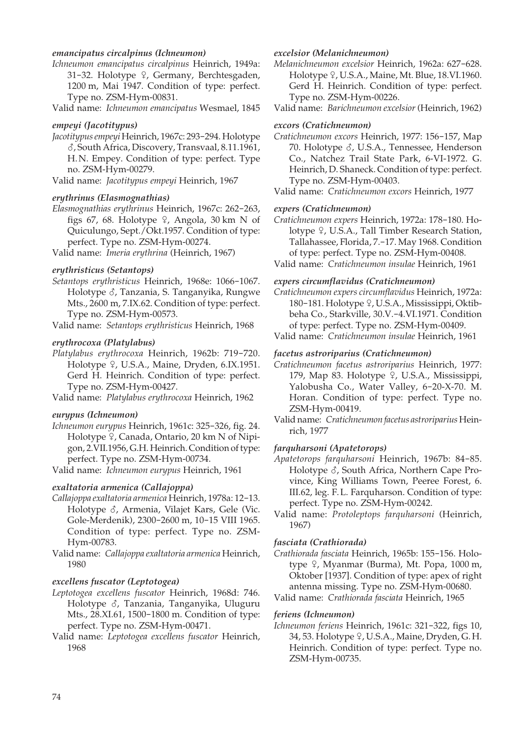#### *emancipatus circalpinus (Ichneumon)*

*Ichneumon emancipatus circalpinus* Heinrich, 1949a: 31-32. Holotype  $9$ , Germany, Berchtesgaden, 1200 m, Mai 1947. Condition of type: perfect. Type no. ZSM-Hym-00831.

Valid name: *Ichneumon emancipatus* Wesmael, 1845

#### *empeyi (Jacotitypus)*

*Jacotitypus empeyi* Heinrich, 1967c: 293-294. Holotype M, South Africa, Discovery, Transvaal, 8.11.1961, H. N. Empey. Condition of type: perfect. Type no. ZSM-Hym-00279.

Valid name: *Jacotitypus empeyi* Heinrich, 1967

#### *erythrinus (Elasmognathias)*

*Elasmognathias erythrinus* Heinrich, 1967c: 262-263, figs 67, 68. Holotype  $\frac{6}{7}$ , Angola, 30 km N of Quiculungo, Sept./Okt.1957. Condition of type: perfect. Type no. ZSM-Hym-00274.

Valid name: *Imeria erythrina* (Heinrich, 1967)

#### *erythristicus (Setantops)*

*Setantops erythristicus* Heinrich, 1968e: 1066-1067. Holotype  $\delta$ , Tanzania, S. Tanganyika, Rungwe Mts., 2600 m, 7.IX.62. Condition of type: perfect. Type no. ZSM-Hym-00573.

Valid name: *Setantops erythristicus* Heinrich, 1968

#### *erythrocoxa (Platylabus)*

*Platylabus erythrocoxa* Heinrich, 1962b: 719-720. Holotype  $9$ , U.S.A., Maine, Dryden, 6.IX.1951. Gerd H. Heinrich. Condition of type: perfect. Type no. ZSM-Hym-00427.

Valid name: *Platylabus erythrocoxa* Heinrich, 1962

#### *eurypus (Ichneumon)*

*Ichneumon eurypus* Heinrich, 1961c: 325-326, fig. 24. Holotype <sup>Q</sup>, Canada, Ontario, 20 km N of Nipigon, 2.VII.1956, G.H. Heinrich. Condition of type: perfect. Type no. ZSM-Hym-00734.

Valid name: *Ichneumon eurypus* Heinrich, 1961

#### *exaltatoria armenica (Callajoppa)*

- *Callajoppa exaltatoria armenica* Heinrich, 1978a: 12-13. Holotype  $\delta$ , Armenia, Vilajet Kars, Gele (Vic. Gole-Merdenik), 2300-2600 m, 10-15 VIII 1965. Condition of type: perfect. Type no. ZSM-Hym-00783.
- Valid name: *Callajoppa exaltatoria armenica* Heinrich, 1980

## *excellens fuscator (Leptotogea)*

- *Leptotogea excellens fuscator* Heinrich, 1968d: 746. Holotype &, Tanzania, Tanganyika, Uluguru Mts., 28.XI.61, 1500-1800 m. Condition of type: perfect. Type no. ZSM-Hym-00471.
- Valid name: *Leptotogea excellens fuscator* Heinrich, 1968

## *excelsior (Melanichneumon)*

*Melanichneumon excelsior* Heinrich, 1962a: 627-628. Holotype  $9$ , U.S.A., Maine, Mt. Blue, 18.VI.1960. Gerd H. Heinrich. Condition of type: perfect. Type no. ZSM-Hym-00226.

Valid name: *Barichneumon excelsior* (Heinrich, 1962)

## *excors (Cratichneumon)*

- *Cratichneumon excors* Heinrich, 1977: 156-157, Map 70. Holotype  $\delta$ , U.S.A., Tennessee, Henderson Co., Natchez Trail State Park, 6-VI-1972. G. Heinrich, D. Shaneck. Condition of type: perfect. Type no. ZSM-Hym-00403.
- Valid name: *Cratichneumon excors* Heinrich, 1977

## *expers (Cratichneumon)*

*Cratichneumon expers* Heinrich, 1972a: 178-180. Holotype  $9$ , U.S.A., Tall Timber Research Station, Tallahassee, Florida, 7.-17. May 1968. Condition of type: perfect. Type no. ZSM-Hym-00408.

Valid name: *Cratichneumon insulae* Heinrich, 1961

## *expers circumflavidus (Cratichneumon)*

*Cratichneumon expers circumflavidus* Heinrich, 1972a: 180-181. Holotype  $9$ , U.S.A., Mississippi, Oktibbeha Co., Starkville, 30.V.-4.VI.1971. Condition of type: perfect. Type no. ZSM-Hym-00409.

Valid name: *Cratichneumon insulae* Heinrich, 1961

#### *facetus astroriparius (Cratichneumon)*

- *Cratichneumon facetus astroriparius* Heinrich, 1977: 179, Map 83. Holotype <sup>Q</sup>, U.S.A., Mississippi, Yalobusha Co., Water Valley, 6-20-X-70. M. Horan. Condition of type: perfect. Type no. ZSM-Hym-00419.
- Valid name: *Cratichneumon facetus astroriparius* Heinrich, 1977

#### *farquharsoni (Apatetorops)*

- *Apatetorops farquharsoni* Heinrich, 1967b: 84-85. Holotype  $\delta$ , South Africa, Northern Cape Province, King Williams Town, Peeree Forest, 6. III.62, leg. F. L. Farquharson. Condition of type: perfect. Type no. ZSM-Hym-00242.
- Valid name: *Protoleptops farquharsoni* (Heinrich, 1967)

## *fasciata (Crathiorada)*

*Crathiorada fasciata* Heinrich, 1965b: 155-156. Holotype 9, Myanmar (Burma), Mt. Popa, 1000 m, Oktober [1937]. Condition of type: apex of right antenna missing. Type no. ZSM-Hym-00680.

Valid name: *Crathiorada fasciata* Heinrich, 1965

#### *feriens (Ichneumon)*

*Ichneumon feriens* Heinrich, 1961c: 321-322, figs 10, 34, 53. Holotype  $9$ , U.S.A., Maine, Dryden, G.H. Heinrich. Condition of type: perfect. Type no. ZSM-Hym-00735.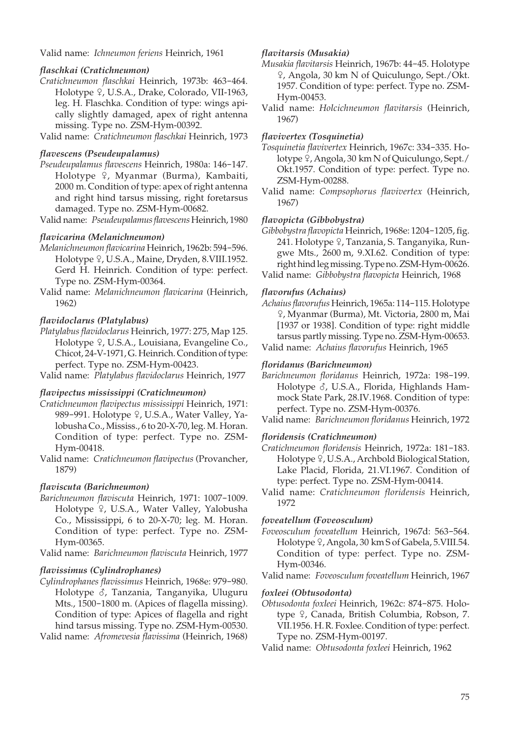Valid name: *Ichneumon feriens* Heinrich, 1961

## *flaschkai (Cratichneumon)*

- *Cratichneumon flaschkai* Heinrich, 1973b: 463-464. Holotype <sup>Q</sup>, U.S.A., Drake, Colorado, VII-1963, leg. H. Flaschka. Condition of type: wings apically slightly damaged, apex of right antenna missing. Type no. ZSM-Hym-00392.
- Valid name: *Cratichneumon flaschkai* Heinrich, 1973

#### *flavescens (Pseudeupalamus)*

- *Pseudeupalamus flavescens* Heinrich, 1980a: 146-147. Holotype  $\varphi$ , Myanmar (Burma), Kambaiti, 2000 m. Condition of type: apex of right antenna and right hind tarsus missing, right foretarsus damaged. Type no. ZSM-Hym-00682.
- Valid name: *Pseudeupalamus flavescens* Heinrich, 1980

## *flavicarina (Melanichneumon)*

- *Melanichneumon flavicarina* Heinrich, 1962b: 594-596. Holotype  $9$ , U.S.A., Maine, Dryden, 8.VIII.1952. Gerd H. Heinrich. Condition of type: perfect. Type no. ZSM-Hym-00364.
- Valid name: *Melanichneumon flavicarina* (Heinrich, 1962)

## *flavidoclarus (Platylabus)*

*Platylabus flavidoclarus* Heinrich, 1977: 275, Map 125. Holotype 9, U.S.A., Louisiana, Evangeline Co., Chicot, 24-V-1971, G. Heinrich. Condition of type: perfect. Type no. ZSM-Hym-00423.

Valid name: *Platylabus flavidoclarus* Heinrich, 1977

## *flavipectus mississippi (Cratichneumon)*

- *Cratichneumon flavipectus mississippi* Heinrich, 1971: 989-991. Holotype 9, U.S.A., Water Valley, Yalobusha Co., Mississ., 6 to 20-X-70, leg. M. Horan. Condition of type: perfect. Type no. ZSM-Hym-00418.
- Valid name: *Cratichneumon flavipectus* (Provancher, 1879)

#### *flaviscuta (Barichneumon)*

- *Barichneumon flaviscuta* Heinrich, 1971: 1007-1009. Holotype <sub>9</sub>, U.S.A., Water Valley, Yalobusha Co., Mississippi, 6 to 20-X-70; leg. M. Horan. Condition of type: perfect. Type no. ZSM-Hym-00365.
- Valid name: *Barichneumon flaviscuta* Heinrich, 1977

#### *flavissimus (Cylindrophanes)*

- *Cylindrophanes flavissimus* Heinrich, 1968e: 979-980. Holotype  $\delta$ , Tanzania, Tanganyika, Uluguru Mts., 1500-1800 m. (Apices of flagella missing). Condition of type: Apices of flagella and right hind tarsus missing. Type no. ZSM-Hym-00530.
- Valid name: *Afromevesia flavissima* (Heinrich, 1968)

#### *flavitarsis (Musakia)*

- *Musakia flavitarsis* Heinrich, 1967b: 44-45. Holotype W, Angola, 30 km N of Quiculungo, Sept./Okt. 1957. Condition of type: perfect. Type no. ZSM-Hym-00453.
- Valid name: *Holcichneumon flavitarsis* (Heinrich, 1967)

#### *flavivertex (Tosquinetia)*

- *Tosquinetia flavivertex* Heinrich, 1967c: 334-335. Holotype  $\frac{1}{2}$ , Angola, 30 km N of Quiculungo, Sept./ Okt.1957. Condition of type: perfect. Type no. ZSM-Hym-00288.
- Valid name: *Compsophorus flavivertex* (Heinrich, 1967)

#### *flavopicta (Gibbobystra)*

*Gibbobystra flavopicta* Heinrich, 1968e: 1204-1205, fig. 241. Holotype 9, Tanzania, S. Tanganyika, Rungwe Mts., 2600 m, 9.XI.62. Condition of type: right hind leg missing. Type no. ZSM-Hym-00626.

Valid name: *Gibbobystra flavopicta* Heinrich, 1968

#### *flavorufus (Achaius)*

*Achaius flavorufus* Heinrich, 1965a: 114-115. Holotype W, Myanmar (Burma), Mt. Victoria, 2800 m, Mai [1937 or 1938]. Condition of type: right middle tarsus partly missing. Type no. ZSM-Hym-00653.

Valid name: *Achaius flavorufus* Heinrich, 1965

## *floridanus (Barichneumon)*

*Barichneumon floridanus* Heinrich, 1972a: 198-199. Holotype  $\delta$ , U.S.A., Florida, Highlands Hammock State Park, 28.IV.1968. Condition of type: perfect. Type no. ZSM-Hym-00376.

Valid name: *Barichneumon floridanus* Heinrich, 1972

#### *floridensis (Cratichneumon)*

- *Cratichneumon floridensis* Heinrich, 1972a: 181-183. Holotype  $9$ , U.S.A., Archbold Biological Station, Lake Placid, Florida, 21.VI.1967. Condition of type: perfect. Type no. ZSM-Hym-00414.
- Valid name: *Cratichneumon floridensis* Heinrich, 1972

#### *foveatellum (Foveosculum)*

*Foveosculum foveatellum* Heinrich, 1967d: 563-564. Holotype  $\frac{1}{7}$ , Angola, 30 km S of Gabela, 5.VIII.54. Condition of type: perfect. Type no. ZSM-Hym-00346.

Valid name: *Foveosculum foveatellum* Heinrich, 1967

#### *foxleei (Obtusodonta)*

- *Obtusodonta foxleei* Heinrich, 1962c: 874-875. Holotype <sup>9</sup>, Canada, British Columbia, Robson, 7. VII.1956. H. R. Foxlee. Condition of type: perfect. Type no. ZSM-Hym-00197.
- Valid name: *Obtusodonta foxleei* Heinrich, 1962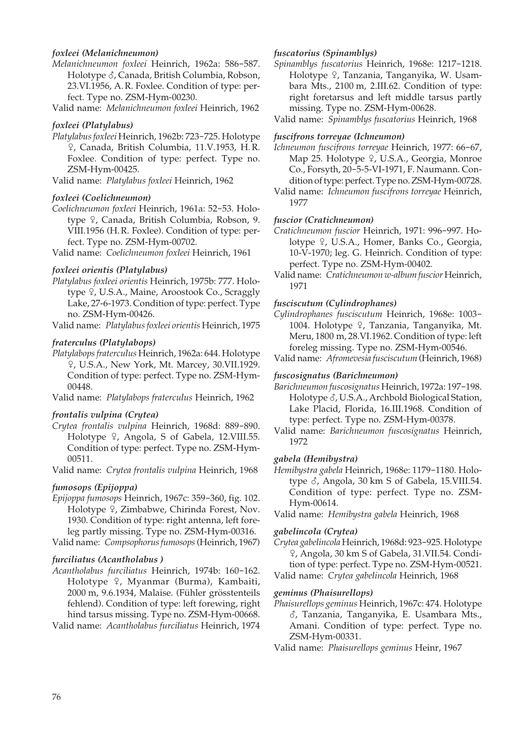## *foxleei (Melanichneumon)*

*Melanichneumon foxleei* Heinrich, 1962a: 586-587. Holotype  $\delta$ , Canada, British Columbia, Robson, 23.VI.1956, A. R. Foxlee. Condition of type: perfect. Type no. ZSM-Hym-00230.

Valid name: *Melanichneumon foxleei* Heinrich, 1962

## *foxleei (Platylabus)*

*Platylabus foxleei* Heinrich, 1962b: 723-725. Holotype W, Canada, British Columbia, 11.V.1953, H. R. Foxlee. Condition of type: perfect. Type no. ZSM-Hym-00425.

Valid name: *Platylabus foxleei* Heinrich, 1962

## *foxleei (Coelichneumon)*

*Coelichneumon foxleei* Heinrich, 1961a: 52-53. Holotype <sup> $\Omega$ </sup>, Canada, British Columbia, Robson, 9. VIII.1956 (H. R. Foxlee). Condition of type: perfect. Type no. ZSM-Hym-00702.

Valid name: *Coelichneumon foxleei* Heinrich, 1961

## *foxleei orientis (Platylabus)*

*Platylabus foxleei orientis* Heinrich, 1975b: 777. Holotype <sup>Q</sup>, U.S.A., Maine, Aroostook Co., Scraggly Lake, 27-6-1973. Condition of type: perfect. Type no. ZSM-Hym-00426.

Valid name: *Platylabus foxleei orientis* Heinrich, 1975

## *fraterculus (Platylabops)*

*Platylabops fraterculus* Heinrich, 1962a: 644. Holotype W, U.S.A., New York, Mt. Marcey, 30.VII.1929. Condition of type: perfect. Type no. ZSM-Hym-00448.

Valid name: *Platylabops fraterculus* Heinrich, 1962

## *frontalis vulpina (Crytea)*

- *Crytea frontalis vulpina* Heinrich, 1968d: 889-890. Holotype  $9$ , Angola, S of Gabela, 12.VIII.55. Condition of type: perfect. Type no. ZSM-Hym-00511.
- Valid name: *Crytea frontalis vulpina* Heinrich, 1968

## *fumosops (Epijoppa)*

*Epijoppa fumosops* Heinrich, 1967c: 359-360, fig. 102. Holotype  $9$ , Zimbabwe, Chirinda Forest, Nov. 1930. Condition of type: right antenna, left foreleg partly missing. Type no. ZSM-Hym-00316.

Valid name: *Compsophorus fumosops* (Heinrich, 1967)

## *furciliatus (Acantholabus )*

*Acantholabus furciliatus* Heinrich, 1974b: 160-162. Holotype ♀, Myanmar (Burma), Kambaiti, 2000 m, 9.6.1934, Malaise. (Fühler grösstenteils fehlend). Condition of type: left forewing, right hind tarsus missing. Type no. ZSM-Hym-00668.

Valid name: *Acantholabus furciliatus* Heinrich, 1974

## *fuscatorius (Spinamblys)*

*Spinamblys fuscatorius* Heinrich, 1968e: 1217-1218. Holotype 9, Tanzania, Tanganyika, W. Usambara Mts., 2100 m, 2.III.62. Condition of type: right foretarsus and left middle tarsus partly missing. Type no. ZSM-Hym-00628.

Valid name: *Spinamblys fuscatorius* Heinrich, 1968

## *fuscifrons torreyae (Ichneumon)*

- *Ichneumon fuscifrons torreyae* Heinrich, 1977: 66-67, Map 25. Holotype <sup>9</sup>, U.S.A., Georgia, Monroe Co., Forsyth, 20-5-5-VI-1971, F. Naumann. Condition of type: perfect. Type no. ZSM-Hym-00728.
- Valid name: *Ichneumon fuscifrons torreyae* Heinrich, 1977

## *fuscior (Cratichneumon)*

*Cratichneumon fuscior* Heinrich, 1971: 996-997. Holotype 9, U.S.A., Homer, Banks Co., Georgia, 10-V-1970; leg. G. Heinrich. Condition of type: perfect. Type no. ZSM-Hym-00402.

Valid name: *Cratichneumon w-album fuscior* Heinrich, 1971

## *fusciscutum (Cylindrophanes)*

*Cylindrophanes fusciscutum* Heinrich, 1968e: 1003- 1004. Holotype 9, Tanzania, Tanganyika, Mt. Meru, 1800 m, 28.VI.1962. Condition of type: left foreleg missing. Type no. ZSM-Hym-00546.

Valid name: *Afromevesia fusciscutum* (Heinrich, 1968)

#### *fuscosignatus (Barichneumon)*

*Barichneumon fuscosignatus* Heinrich, 1972a: 197-198. Holotype  $\delta$ , U.S.A., Archbold Biological Station, Lake Placid, Florida, 16.III.1968. Condition of type: perfect. Type no. ZSM-Hym-00378.

Valid name: *Barichneumon fuscosignatus* Heinrich, 1972

#### *gabela (Hemibystra)*

*Hemibystra gabela* Heinrich, 1968e: 1179-1180. Holotype  $\delta$ , Angola, 30 km S of Gabela, 15.VIII.54. Condition of type: perfect. Type no. ZSM-Hym-00614.

Valid name: *Hemibystra gabela* Heinrich, 1968

## *gabelincola (Crytea)*

*Crytea gabelincola* Heinrich, 1968d: 923-925. Holotype W, Angola, 30 km S of Gabela, 31.VII.54. Condition of type: perfect. Type no. ZSM-Hym-00521.

Valid name: *Crytea gabelincola* Heinrich, 1968

#### *geminus (Phaisurellops)*

*Phaisurellops geminus* Heinrich, 1967c: 474. Holotype M, Tanzania, Tanganyika, E. Usambara Mts., Amani. Condition of type: perfect. Type no. ZSM-Hym-00331.

Valid name: *Phaisurellops geminus* Heinr, 1967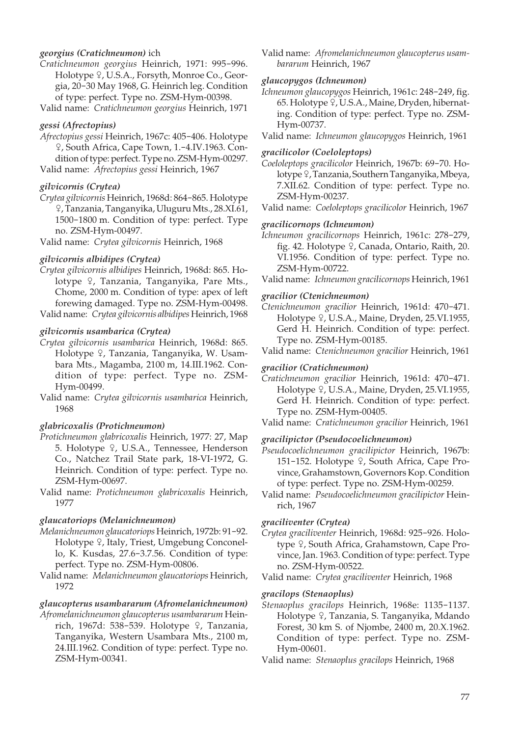## *georgius (Cratichneumon)* ich

- *Cratichneumon georgius* Heinrich, 1971: 995-996. Holotype <sup>Q</sup>, U.S.A., Forsyth, Monroe Co., Georgia, 20-30 May 1968, G. Heinrich leg. Condition of type: perfect. Type no. ZSM-Hym-00398.
- Valid name: *Cratichneumon georgius* Heinrich, 1971

## *gessi (Afrectopius)*

*Afrectopius gessi* Heinrich, 1967c: 405-406. Holotype W, South Africa, Cape Town, 1.-4.IV.1963. Condition of type: perfect. Type no. ZSM-Hym-00297. Valid name: *Afrectopius gessi* Heinrich, 1967

# *gilvicornis (Crytea)*

*Crytea gilvicornis* Heinrich, 1968d: 864-865. Holotype W, Tanzania, Tanganyika, Uluguru Mts., 28.XI.61, 1500-1800 m. Condition of type: perfect. Type no. ZSM-Hym-00497.

Valid name: *Crytea gilvicornis* Heinrich, 1968

## *gilvicornis albidipes (Crytea)*

*Crytea gilvicornis albidipes* Heinrich, 1968d: 865. Holotype  $\varphi$ , Tanzania, Tanganyika, Pare Mts., Chome, 2000 m. Condition of type: apex of left forewing damaged. Type no. ZSM-Hym-00498.

Valid name: *Crytea gilvicornis albidipes* Heinrich, 1968

## *gilvicornis usambarica (Crytea)*

- *Crytea gilvicornis usambarica* Heinrich, 1968d: 865. Holotype <sup>Q</sup>, Tanzania, Tanganyika, W. Usambara Mts., Magamba, 2100 m, 14.III.1962. Condition of type: perfect. Type no. ZSM-Hym-00499.
- Valid name: *Crytea gilvicornis usambarica* Heinrich, 1968

#### *glabricoxalis (Protichneumon)*

- *Protichneumon glabricoxalis* Heinrich, 1977: 27, Map 5. Holotype 9, U.S.A., Tennessee, Henderson Co., Natchez Trail State park, 18-VI-1972, G. Heinrich. Condition of type: perfect. Type no. ZSM-Hym-00697.
- Valid name: *Protichneumon glabricoxalis* Heinrich, 1977

#### *glaucatoriops (Melanichneumon)*

- *Melanichneumon glaucatoriops* Heinrich, 1972b: 91-92. Holotype <sup>Q</sup>, Italy, Triest, Umgebung Conconello, K. Kusdas, 27.6-3.7.56. Condition of type: perfect. Type no. ZSM-Hym-00806.
- Valid name: *Melanichneumon glaucatoriops* Heinrich, 1972

# *glaucopterus usambararum (Afromelanichneumon)*

*Afromelanichneumon glaucopterus usambararum* Heinrich, 1967d: 538-539. Holotype  $9$ , Tanzania, Tanganyika, Western Usambara Mts., 2100 m, 24.III.1962. Condition of type: perfect. Type no. ZSM-Hym-00341.

Valid name: *Afromelanichneumon glaucopterus usambararum* Heinrich, 1967

#### *glaucopygos (Ichneumon)*

*Ichneumon glaucopygos* Heinrich, 1961c: 248-249, fig. 65. Holotype  $9$ , U.S.A., Maine, Dryden, hibernating. Condition of type: perfect. Type no. ZSM-Hym-00737.

Valid name: *Ichneumon glaucopygos* Heinrich, 1961

#### *gracilicolor (Coeloleptops)*

*Coeloleptops gracilicolor* Heinrich, 1967b: 69-70. Holotype <sub>?</sub>, Tanzania, Southern Tanganyika, Mbeya, 7.XII.62. Condition of type: perfect. Type no. ZSM-Hym-00237.

Valid name: *Coeloleptops gracilicolor* Heinrich, 1967

#### *gracilicornops (Ichneumon)*

- *Ichneumon gracilicornops* Heinrich, 1961c: 278-279, fig. 42. Holotype  $9$ , Canada, Ontario, Raith, 20. VI.1956. Condition of type: perfect. Type no. ZSM-Hym-00722.
- Valid name: *Ichneumon gracilicornops* Heinrich, 1961

#### *gracilior (Ctenichneumon)*

- *Ctenichneumon gracilior* Heinrich, 1961d: 470-471. Holotype <sub>9</sub>, U.S.A., Maine, Dryden, 25.VI.1955, Gerd H. Heinrich. Condition of type: perfect. Type no. ZSM-Hym-00185.
- Valid name: *Ctenichneumon gracilior* Heinrich, 1961

### *gracilior (Cratichneumon)*

*Cratichneumon gracilior* Heinrich, 1961d: 470-471. Holotype <sup>2</sup>, U.S.A., Maine, Dryden, 25.VI.1955, Gerd H. Heinrich. Condition of type: perfect. Type no. ZSM-Hym-00405.

#### *gracilipictor (Pseudocoelichneumon)*

- *Pseudocoelichneumon gracilipictor* Heinrich, 1967b: 151-152. Holotype 9, South Africa, Cape Province, Grahamstown, Governors Kop. Condition of type: perfect. Type no. ZSM-Hym-00259.
- Valid name: *Pseudocoelichneumon gracilipictor* Heinrich, 1967

#### *graciliventer (Crytea)*

*Crytea graciliventer* Heinrich, 1968d: 925-926. Holotype 9, South Africa, Grahamstown, Cape Province, Jan. 1963. Condition of type: perfect. Type no. ZSM-Hym-00522.

Valid name: *Crytea graciliventer* Heinrich, 1968

## *gracilops (Stenaoplus)*

- *Stenaoplus gracilops* Heinrich, 1968e: 1135-1137. Holotype <sup>Q</sup>, Tanzania, S. Tanganyika, Mdando Forest, 30 km S. of Njombe, 2400 m, 20.X.1962. Condition of type: perfect. Type no. ZSM-Hym-00601.
- Valid name: *Stenaoplus gracilops* Heinrich, 1968

Valid name: *Cratichneumon gracilior* Heinrich, 1961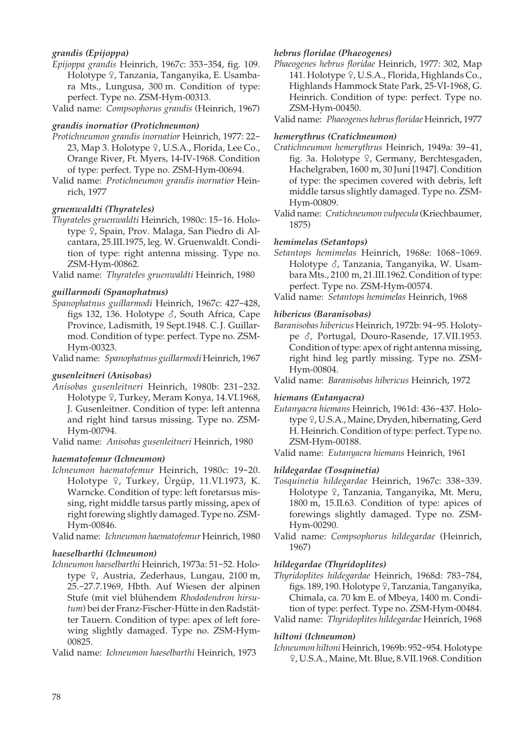## *grandis (Epijoppa)*

- *Epijoppa grandis* Heinrich, 1967c: 353-354, fig. 109. Holotype ?, Tanzania, Tanganyika, E. Usambara Mts., Lungusa, 300 m. Condition of type: perfect. Type no. ZSM-Hym-00313.
- Valid name: *Compsophorus grandis* (Heinrich, 1967)

## *grandis inornatior (Protichneumon)*

- *Protichneumon grandis inornatior* Heinrich, 1977: 22- 23, Map 3. Holotype 9, U.S.A., Florida, Lee Co., Orange River, Ft. Myers, 14-IV-1968. Condition of type: perfect. Type no. ZSM-Hym-00694.
- Valid name: *Protichneumon grandis inornatior* Heinrich, 1977

## *gruenwaldti (Thyrateles)*

*Thyrateles gruenwaldti* Heinrich, 1980c: 15-16. Holotype 9, Spain, Prov. Malaga, San Piedro di Alcantara, 25.III.1975, leg. W. Gruenwaldt. Condition of type: right antenna missing. Type no. ZSM-Hym-00862.

Valid name: *Thyrateles gruenwaldti* Heinrich, 1980

## *guillarmodi (Spanophatnus)*

*Spanophatnus guillarmodi* Heinrich, 1967c: 427-428, figs 132, 136. Holotype  $\delta$ , South Africa, Cape Province, Ladismith, 19 Sept.1948. C. J. Guillarmod. Condition of type: perfect. Type no. ZSM-Hym-00323.

Valid name: *Spanophatnus guillarmodi* Heinrich, 1967

#### *gusenleitneri (Anisobas)*

*Anisobas gusenleitneri* Heinrich, 1980b: 231-232. Holotype 9, Turkey, Meram Konya, 14.VI.1968, J. Gusenleitner. Condition of type: left antenna and right hind tarsus missing. Type no. ZSM-Hym-00794.

Valid name: *Anisobas gusenleitneri* Heinrich, 1980

#### *haematofemur (Ichneumon)*

*Ichneumon haematofemur* Heinrich, 1980c: 19-20. Holotype 9, Turkey, Ürgüp, 11.VI.1973, K. Warncke. Condition of type: left foretarsus missing, right middle tarsus partly missing, apex of right forewing slightly damaged. Type no. ZSM-Hym-00846.

Valid name: *Ichneumon haematofemur* Heinrich, 1980

## *haeselbarthi (Ichneumon)*

*Ichneumon haeselbarthi* Heinrich, 1973a: 51-52. Holotype <sup> $\Omega$ </sup>, Austria, Zederhaus, Lungau, 2100 m, 25.-27.7.1969, Hbth. Auf Wiesen der alpinen Stufe (mit viel blühendem *Rhododendron hirsutum*) bei der Franz-Fischer-Hütte in den Radstätter Tauern. Condition of type: apex of left forewing slightly damaged. Type no. ZSM-Hym-00825.

Valid name: *Ichneumon haeselbarthi* Heinrich, 1973

#### *hebrus floridae (Phaeogenes)*

*Phaeogenes hebrus floridae* Heinrich, 1977: 302, Map 141. Holotype  $9$ , U.S.A., Florida, Highlands Co., Highlands Hammock State Park, 25-VI-1968, G. Heinrich. Condition of type: perfect. Type no. ZSM-Hym-00450.

Valid name: *Phaeogenes hebrus floridae* Heinrich, 1977

## *hemerythrus (Cratichneumon)*

- *Cratichneumon hemerythrus* Heinrich, 1949a: 39-41, fig. 3a. Holotype  $9$ , Germany, Berchtesgaden, Hachelgraben, 1600 m, 30 Juni [1947]. Condition of type: the specimen covered with debris, left middle tarsus slightly damaged. Type no. ZSM-Hym-00809.
- Valid name: *Cratichneumon vulpecula* (Kriechbaumer, 1875)

## *hemimelas (Setantops)*

*Setantops hemimelas* Heinrich, 1968e: 1068-1069. Holotype  $\delta$ , Tanzania, Tanganyika, W. Usambara Mts., 2100 m, 21.III.1962. Condition of type: perfect. Type no. ZSM-Hym-00574.

Valid name: *Setantops hemimelas* Heinrich, 1968

## *hibericus (Baranisobas)*

*Baranisobas hibericus* Heinrich, 1972b: 94-95. Holotype  $\delta$ , Portugal, Douro-Rasende, 17.VII.1953. Condition of type: apex of right antenna missing, right hind leg partly missing. Type no. ZSM-Hym-00804.

Valid name: *Baranisobas hibericus* Heinrich, 1972

## *hiemans (Eutanyacra)*

*Eutanyacra hiemans* Heinrich, 1961d: 436-437. Holotype <sup>Q</sup>, U.S.A., Maine, Dryden, hibernating, Gerd H. Heinrich. Condition of type: perfect. Type no. ZSM-Hym-00188.

Valid name: *Eutanyacra hiemans* Heinrich, 1961

## *hildegardae (Tosquinetia)*

- *Tosquinetia hildegardae* Heinrich, 1967c: 338-339. Holotype  $\varphi$ , Tanzania, Tanganyika, Mt. Meru, 1800 m, 15.II.63. Condition of type: apices of forewings slightly damaged. Type no. ZSM-Hym-00290.
- Valid name: *Compsophorus hildegardae* (Heinrich, 1967)

## *hildegardae (Thyridoplites)*

*Thyridoplites hildegardae* Heinrich, 1968d: 783-784, figs. 189, 190. Holotype º, Tanzania, Tanganyika, Chimala, ca. 70 km E. of Mbeya, 1400 m. Condition of type: perfect. Type no. ZSM-Hym-00484. Valid name: *Thyridoplites hildegardae* Heinrich, 1968

## *hiltoni (Ichneumon)*

*Ichneumon hiltoni* Heinrich, 1969b: 952-954. Holotype W, U.S.A., Maine, Mt. Blue, 8.VII.1968. Condition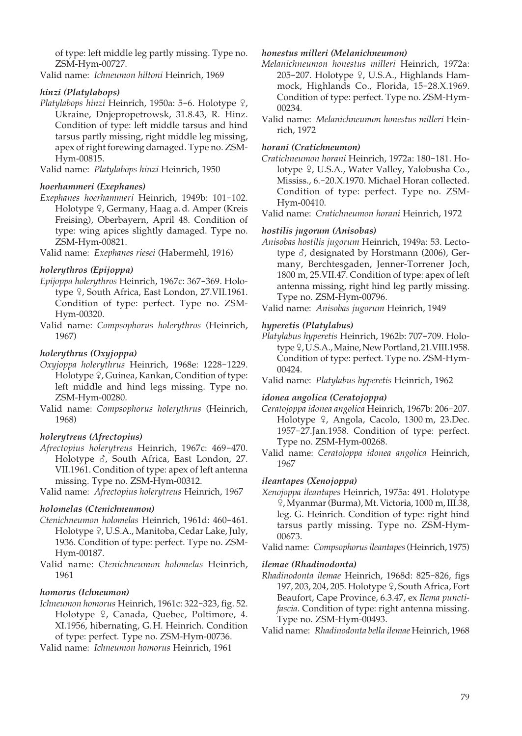of type: left middle leg partly missing. Type no. ZSM-Hym-00727.

Valid name: *Ichneumon hiltoni* Heinrich, 1969

## *hinzi (Platylabops)*

Platylabops hinzi Heinrich, 1950a: 5-6. Holotype <sup>Q</sup>, Ukraine, Dnjepropetrowsk, 31.8.43, R. Hinz. Condition of type: left middle tarsus and hind tarsus partly missing, right middle leg missing, apex of right forewing damaged. Type no. ZSM-Hym-00815.

Valid name: *Platylabops hinzi* Heinrich, 1950

#### *hoerhammeri (Exephanes)*

*Exephanes hoerhammeri* Heinrich, 1949b: 101-102. Holotype <sup>Q</sup>, Germany, Haag a. d. Amper (Kreis Freising), Oberbayern, April 48. Condition of type: wing apices slightly damaged. Type no. ZSM-Hym-00821.

Valid name: *Exephanes riesei* (Habermehl, 1916)

## *holerythros (Epijoppa)*

- *Epijoppa holerythros* Heinrich, 1967c: 367-369. Holotype  $9$ , South Africa, East London, 27.VII.1961. Condition of type: perfect. Type no. ZSM-Hym-00320.
- Valid name: *Compsophorus holerythros* (Heinrich, 1967)

#### *holerythrus (Oxyjoppa)*

- *Oxyjoppa holerythrus* Heinrich, 1968e: 1228-1229. Holotype <sup>Q</sup>, Guinea, Kankan, Condition of type: left middle and hind legs missing. Type no. ZSM-Hym-00280.
- Valid name: *Compsophorus holerythrus* (Heinrich, 1968)

#### *holerytreus (Afrectopius)*

*Afrectopius holerytreus* Heinrich, 1967c: 469-470. Holotype  $\delta$ , South Africa, East London, 27. VII.1961. Condition of type: apex of left antenna missing. Type no. ZSM-Hym-00312.

Valid name: *Afrectopius holerytreus* Heinrich, 1967

#### *holomelas (Ctenichneumon)*

- *Ctenichneumon holomelas* Heinrich, 1961d: 460-461. Holotype <sup>Q</sup>, U.S.A., Manitoba, Cedar Lake, July, 1936. Condition of type: perfect. Type no. ZSM-Hym-00187.
- Valid name: *Ctenichneumon holomelas* Heinrich, 1961

#### *homorus (Ichneumon)*

*Ichneumon homorus* Heinrich, 1961c: 322-323, fig. 52. Holotype 9, Canada, Quebec, Poltimore, 4. XI.1956, hibernating, G. H. Heinrich. Condition of type: perfect. Type no. ZSM-Hym-00736.

Valid name: *Ichneumon homorus* Heinrich, 1961

## *honestus milleri (Melanichneumon)*

- *Melanichneumon honestus milleri* Heinrich, 1972a: 205-207. Holotype  $9$ , U.S.A., Highlands Hammock, Highlands Co., Florida, 15-28.X.1969. Condition of type: perfect. Type no. ZSM-Hym-00234.
- Valid name: *Melanichneumon honestus milleri* Heinrich, 1972

#### *horani (Cratichneumon)*

*Cratichneumon horani* Heinrich, 1972a: 180-181. Holotype <sub>9</sub>, U.S.A., Water Valley, Yalobusha Co., Mississ., 6.-20.X.1970. Michael Horan collected. Condition of type: perfect. Type no. ZSM-Hym-00410.

Valid name: *Cratichneumon horani* Heinrich, 1972

## *hostilis jugorum (Anisobas)*

- *Anisobas hostilis jugorum* Heinrich, 1949a: 53. Lectotype  $\delta$ , designated by Horstmann (2006), Germany, Berchtesgaden, Jenner-Torrener Joch, 1800 m, 25.VII.47. Condition of type: apex of left antenna missing, right hind leg partly missing. Type no. ZSM-Hym-00796.
- Valid name: *Anisobas jugorum* Heinrich, 1949

## *hyperetis (Platylabus)*

- *Platylabus hyperetis* Heinrich, 1962b: 707-709. Holotype  $9$ , U.S.A., Maine, New Portland, 21. VIII.1958. Condition of type: perfect. Type no. ZSM-Hym- 00424.
- Valid name: *Platylabus hyperetis* Heinrich, 1962

## *idonea angolica (Ceratojoppa)*

- *Ceratojoppa idonea angolica* Heinrich, 1967b: 206-207. Holotype <sup>Q</sup>, Angola, Cacolo, 1300 m, 23.Dec. 1957-27.Jan.1958. Condition of type: perfect. Type no. ZSM-Hym-00268.
- Valid name: *Ceratojoppa idonea angolica* Heinrich, 1967

## *ileantapes (Xenojoppa)*

*Xenojoppa ileantapes* Heinrich, 1975a: 491. Holotype W, Myanmar (Burma), Mt. Victoria, 1000 m, III.38, leg. G. Heinrich. Condition of type: right hind tarsus partly missing. Type no. ZSM-Hym- 00673.

#### *ilemae (Rhadinodonta)*

*Rhadinodonta ilemae* Heinrich, 1968d: 825-826, figs 197, 203, 204, 205. Holotype  $9$ , South Africa, Fort Beaufort, Cape Province, 6.3.47, ex *Ilema punctifascia*. Condition of type: right antenna missing. Type no. ZSM-Hym-00493.

Valid name: *Rhadinodonta bella ilemae* Heinrich, 1968

Valid name: *Compsophorus ileantapes* (Heinrich, 1975)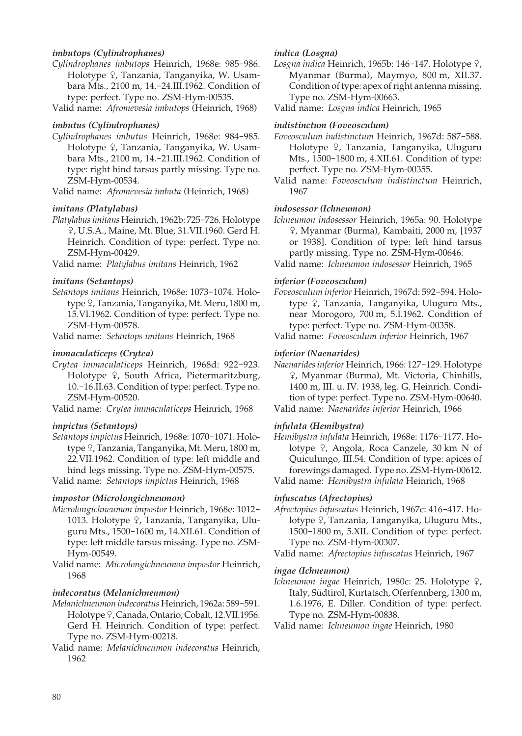## *imbutops (Cylindrophanes)*

- *Cylindrophanes imbutops* Heinrich, 1968e: 985-986. Holotype  $\varphi$ , Tanzania, Tanganyika, W. Usambara Mts., 2100 m, 14.-24.III.1962. Condition of type: perfect. Type no. ZSM-Hym-00535.
- Valid name: *Afromevesia imbutops* (Heinrich, 1968)

#### *imbutus (Cylindrophanes)*

*Cylindrophanes imbutus* Heinrich, 1968e: 984-985. Holotype <sup>Q</sup>, Tanzania, Tanganyika, W. Usambara Mts., 2100 m, 14.-21.III.1962. Condition of type: right hind tarsus partly missing. Type no. ZSM-Hym-00534.

Valid name: *Afromevesia imbuta* (Heinrich, 1968)

## *imitans (Platylabus)*

*Platylabus imitans* Heinrich, 1962b: 725-726. Holotype W, U.S.A., Maine, Mt. Blue, 31.VII.1960. Gerd H. Heinrich. Condition of type: perfect. Type no. ZSM-Hym-00429.

Valid name: *Platylabus imitans* Heinrich, 1962

## *imitans (Setantops)*

*Setantops imitans* Heinrich, 1968e: 1073-1074. Holotype W, Tanzania, Tanganyika, Mt. Meru, 1800 m, 15.VI.1962. Condition of type: perfect. Type no. ZSM-Hym-00578.

Valid name: *Setantops imitans* Heinrich, 1968

## *immaculaticeps (Crytea)*

*Crytea immaculaticeps* Heinrich, 1968d: 922-923. Holotype 9, South Africa, Pietermaritzburg, 10.-16.II.63. Condition of type: perfect. Type no. ZSM-Hym-00520.

Valid name: *Crytea immaculaticeps* Heinrich, 1968

#### *impictus (Setantops)*

*Setantops impictus* Heinrich, 1968e: 1070-1071. Holotype <sup> $\varphi$ </sup>, Tanzania, Tanganyika, Mt. Meru, 1800 m, 22.VII.1962. Condition of type: left middle and hind legs missing. Type no. ZSM-Hym-00575.

Valid name: *Setantops impictus* Heinrich, 1968

#### *impostor (Microlongichneumon)*

- *Microlongichneumon impostor* Heinrich, 1968e: 1012- 1013. Holotype 9, Tanzania, Tanganyika, Uluguru Mts., 1500-1600 m, 14.XII.61. Condition of type: left middle tarsus missing. Type no. ZSM-Hym-00549.
- Valid name: *Microlongichneumon impostor* Heinrich, 1968

## *indecoratus (Melanichneumon)*

- *Melanichneumon indecoratus* Heinrich, 1962a: 589-591. Holotype 9, Canada, Ontario, Cobalt, 12.VII.1956. Gerd H. Heinrich. Condition of type: perfect. Type no. ZSM-Hym-00218.
- Valid name: *Melanichneumon indecoratus* Heinrich, 1962

#### *indica (Losgna)*

Losgna indica Heinrich, 1965b: 146-147. Holotype <sup>Q</sup>, Myanmar (Burma), Maymyo, 800 m, XII.37. Condition of type: apex of right antenna missing. Type no. ZSM-Hym-00663.

Valid name: *Losgna indica* Heinrich, 1965

#### *indistinctum (Foveosculum)*

*Foveosculum indistinctum* Heinrich, 1967d: 587-588. Holotype <sup>Q</sup>, Tanzania, Tanganyika, Uluguru Mts., 1500-1800 m, 4.XII.61. Condition of type: perfect. Type no. ZSM-Hym-00355.

Valid name: *Foveosculum indistinctum* Heinrich, 1967

## *indosessor (Ichneumon)*

*Ichneumon indosessor* Heinrich, 1965a: 90. Holotype W, Myanmar (Burma), Kambaiti, 2000 m, [1937 or 1938]. Condition of type: left hind tarsus partly missing. Type no. ZSM-Hym-00646.

Valid name: *Ichneumon indosessor* Heinrich, 1965

## *inferior (Foveosculum)*

*Foveosculum inferior* Heinrich, 1967d: 592-594. Holotype <sup>Q</sup>, Tanzania, Tanganyika, Uluguru Mts., near Morogoro, 700 m, 5.I.1962. Condition of type: perfect. Type no. ZSM-Hym-00358.

Valid name: *Foveosculum inferior* Heinrich, 1967

## *inferior (Naenarides)*

*Naenarides inferior* Heinrich, 1966: 127-129. Holotype W, Myanmar (Burma), Mt. Victoria, Chinhills, 1400 m, III. u. IV. 1938, leg. G. Heinrich. Condition of type: perfect. Type no. ZSM-Hym-00640. Valid name: *Naenarides inferior* Heinrich, 1966

## *infulata (Hemibystra)*

*Hemibystra infulata* Heinrich, 1968e: 1176-1177. Holotype  $\frac{1}{2}$ , Angola, Roca Canzele, 30 km N of Quiculungo, III.54. Condition of type: apices of forewings damaged. Type no. ZSM-Hym-00612. Valid name: *Hemibystra infulata* Heinrich, 1968

#### *infuscatus (Afrectopius)*

*Afrectopius infuscatus* Heinrich, 1967c: 416-417. Holotype 9, Tanzania, Tanganyika, Uluguru Mts., 1500-1800 m, 5.XII. Condition of type: perfect. Type no. ZSM-Hym-00307.

Valid name: *Afrectopius infuscatus* Heinrich, 1967

#### *ingae (Ichneumon)*

*Ichneumon ingae* Heinrich, 1980c: 25. Holotype  $\varphi$ , Italy, Südtirol, Kurtatsch, Oferfennberg, 1300 m, 1.6.1976, E. Diller. Condition of type: perfect. Type no. ZSM-Hym-00838.

Valid name: *Ichneumon ingae* Heinrich, 1980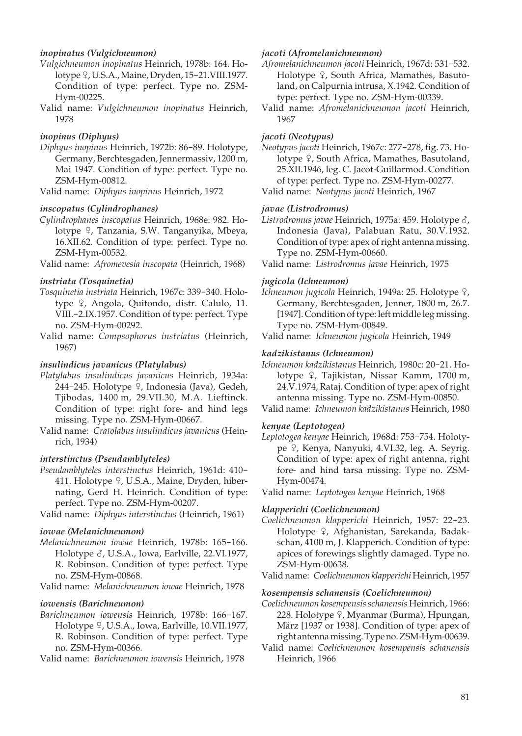## *inopinatus (Vulgichneumon)*

- *Vulgichneumon inopinatus* Heinrich, 1978b: 164. Holotype <sub>9</sub>, U.S.A., Maine, Dryden, 15-21.VIII.1977. Condition of type: perfect. Type no. ZSM-Hym-00225.
- Valid name: *Vulgichneumon inopinatus* Heinrich, 1978

#### *inopinus (Diphyus)*

*Diphyus inopinus* Heinrich, 1972b: 86-89. Holotype, Germany, Berchtesgaden, Jennermassiv, 1200 m, Mai 1947. Condition of type: perfect. Type no. ZSM-Hym-00812.

Valid name: *Diphyus inopinus* Heinrich, 1972

## *inscopatus (Cylindrophanes)*

*Cylindrophanes inscopatus* Heinrich, 1968e: 982. Holotype <sup>Q</sup>, Tanzania, S.W. Tanganyika, Mbeya, 16.XII.62. Condition of type: perfect. Type no. ZSM-Hym-00532.

Valid name: *Afromevesia inscopata* (Heinrich, 1968)

## *instriata (Tosquinetia)*

- *Tosquinetia instriata* Heinrich, 1967c: 339-340. Holotype <sup> $Q$ </sup>, Angola, Quitondo, distr. Calulo, 11. VIII.-2.IX.1957. Condition of type: perfect. Type no. ZSM-Hym-00292.
- Valid name: *Compsophorus instriatus* (Heinrich, 1967)

#### *insulindicus javanicus (Platylabus)*

- *Platylabus insulindicus javanicus* Heinrich, 1934a: 244-245. Holotype  $\hat{P}$ , Indonesia (Java), Gedeh, Tjibodas, 1400 m, 29.VII.30, M.A. Lieftinck. Condition of type: right fore- and hind legs missing. Type no. ZSM-Hym-00667.
- Valid name: *Cratolabus insulindicus javanicus* (Heinrich, 1934)

## *interstinctus (Pseudamblyteles)*

*Pseudamblyteles interstinctus* Heinrich, 1961d: 410- 411. Holotype 9, U.S.A., Maine, Dryden, hibernating, Gerd H. Heinrich. Condition of type: perfect. Type no. ZSM-Hym-00207.

Valid name: *Diphyus interstinctus* (Heinrich, 1961)

## *iowae (Melanichneumon)*

*Melanichneumon iowae* Heinrich, 1978b: 165-166. Holotype  $\delta$ , U.S.A., Iowa, Earlville, 22.VI.1977, R. Robinson. Condition of type: perfect. Type no. ZSM-Hym-00868.

Valid name: *Melanichneumon iowae* Heinrich, 1978

#### *iowensis (Barichneumon)*

*Barichneumon iowensis* Heinrich, 1978b: 166-167. Holotype  $9$ , U.S.A., Iowa, Earlville, 10.VII.1977, R. Robinson. Condition of type: perfect. Type no. ZSM-Hym-00366.

Valid name: *Barichneumon iowensis* Heinrich, 1978

#### *jacoti (Afromelanichneumon)*

*Afromelanichneumon jacoti* Heinrich, 1967d: 531-532. Holotype  $9$ , South Africa, Mamathes, Basutoland, on Calpurnia intrusa, X.1942. Condition of type: perfect. Type no. ZSM-Hym-00339.

Valid name: *Afromelanichneumon jacoti* Heinrich, 1967

#### *jacoti (Neotypus)*

*Neotypus jacoti* Heinrich, 1967c: 277-278, fig. 73. Holotype <sup>Q</sup>, South Africa, Mamathes, Basutoland, 25.XII.1946, leg. C. Jacot-Guillarmod. Condition of type: perfect. Type no. ZSM-Hym-00277. Valid name: *Neotypus jacoti* Heinrich, 1967

#### *javae (Listrodromus)*

Listrodromus javae Heinrich, 1975a: 459. Holotype  $\delta$ , Indonesia (Java), Palabuan Ratu, 30.V.1932. Condition of type: apex of right antenna missing. Type no. ZSM-Hym-00660.

Valid name: *Listrodromus javae* Heinrich, 1975

#### *jugicola (Ichneumon)*

- Ichneumon jugicola Heinrich, 1949a: 25. Holotype <sup>Q</sup>, Germany, Berchtesgaden, Jenner, 1800 m, 26.7. [1947]. Condition of type: left middle leg missing. Type no. ZSM-Hym-00849.
- Valid name: *Ichneumon jugicola* Heinrich, 1949

## *kadzikistanus (Ichneumon)*

*Ichneumon kadzikistanus* Heinrich, 1980c: 20-21. Holotype 9, Tajikistan, Nissar Kamm, 1700 m, 24.V.1974, Rataj. Condition of type: apex of right antenna missing. Type no. ZSM-Hym-00850.

#### *kenyae (Leptotogea)*

- *Leptotogea kenyae* Heinrich, 1968d: 753-754. Holotype º, Kenya, Nanyuki, 4.VI.32, leg. A. Seyrig. Condition of type: apex of right antenna, right fore- and hind tarsa missing. Type no. ZSM-Hym-00474.
- Valid name: *Leptotogea kenyae* Heinrich, 1968

#### *klapperichi (Coelichneumon)*

*Coelichneumon klapperichi* Heinrich, 1957: 22-23. Holotype <sup>Q</sup>, Afghanistan, Sarekanda, Badakschan, 4100 m, J. Klapperich. Condition of type: apices of forewings slightly damaged. Type no. ZSM-Hym-00638.

Valid name: *Coelichneumon klapperichi* Heinrich, 1957

#### *kosempensis schanensis (Coelichneumon)*

*Coelichneumon kosempensis schanensis* Heinrich, 1966: 228. Holotype  $\varphi$ , Myanmar (Burma), Hpungan, März [1937 or 1938]. Condition of type: apex of right antenna missing. Type no. ZSM-Hym-00639.

Valid name: *Coelichneumon kosempensis schanensis* Heinrich, 1966

Valid name: *Ichneumon kadzikistanus* Heinrich, 1980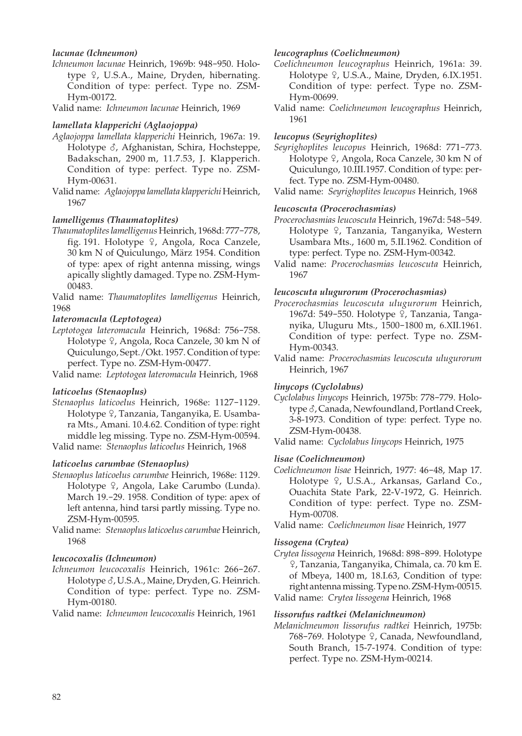## *lacunae (Ichneumon)*

*Ichneumon lacunae* Heinrich, 1969b: 948-950. Holotype  $\varphi$ , U.S.A., Maine, Dryden, hibernating. Condition of type: perfect. Type no. ZSM-Hym-00172.

Valid name: *Ichneumon lacunae* Heinrich, 1969

## *lamellata klapperichi (Aglaojoppa)*

- *Aglaojoppa lamellata klapperichi* Heinrich, 1967a: 19. Holotype  $\delta$ , Afghanistan, Schira, Hochsteppe, Badakschan, 2900 m, 11.7.53, J. Klapperich. Condition of type: perfect. Type no. ZSM-Hym-00631.
- Valid name: *Aglaojoppa lamellata klapperichi* Heinrich, 1967

## *lamelligenus (Thaumatoplites)*

- *Thaumatoplites lamelligenus* Heinrich, 1968d: 777-778, fig. 191. Holotype  $9$ , Angola, Roca Canzele, 30 km N of Quiculungo, März 1954. Condition of type: apex of right antenna missing, wings apically slightly damaged. Type no. ZSM-Hym- 00483.
- Valid name: *Thaumatoplites lamelligenus* Heinrich, 1968

## *lateromacula (Leptotogea)*

*Leptotogea lateromacula* Heinrich, 1968d: 756-758. Holotype  $\frac{1}{2}$ , Angola, Roca Canzele, 30 km N of Quiculungo, Sept./Okt. 1957. Condition of type: perfect. Type no. ZSM-Hym-00477.

Valid name: *Leptotogea lateromacula* Heinrich, 1968

#### *laticoelus (Stenaoplus)*

*Stenaoplus laticoelus* Heinrich, 1968e: 1127-1129. Holotype ?, Tanzania, Tanganyika, E. Usambara Mts., Amani. 10.4.62. Condition of type: right middle leg missing. Type no. ZSM-Hym-00594. Valid name: *Stenaoplus laticoelus* Heinrich, 1968

#### *laticoelus carumbae (Stenaoplus)*

- *Stenaoplus laticoelus carumbae* Heinrich, 1968e: 1129. Holotype <sup>Q</sup>, Angola, Lake Carumbo (Lunda). March 19.-29. 1958. Condition of type: apex of left antenna, hind tarsi partly missing. Type no. ZSM-Hym-00595.
- Valid name: *Stenaoplus laticoelus carumbae* Heinrich, 1968

#### *leucocoxalis (Ichneumon)*

*Ichneumon leucocoxalis* Heinrich, 1961c: 266-267. Holotype  $\delta$ , U.S.A., Maine, Dryden, G. Heinrich. Condition of type: perfect. Type no. ZSM-Hym-00180.

Valid name: *Ichneumon leucocoxalis* Heinrich, 1961

#### *leucographus (Coelichneumon)*

- *Coelichneumon leucographus* Heinrich, 1961a: 39. Holotype  $9$ , U.S.A., Maine, Dryden, 6.IX.1951. Condition of type: perfect. Type no. ZSM-Hym-00699.
- Valid name: *Coelichneumon leucographus* Heinrich, 1961

#### *leucopus (Seyrighoplites)*

- *Seyrighoplites leucopus* Heinrich, 1968d: 771-773. Holotype  $\frac{1}{2}$ , Angola, Roca Canzele, 30 km N of Quiculungo, 10.III.1957. Condition of type: perfect. Type no. ZSM-Hym-00480.
- Valid name: *Seyrighoplites leucopus* Heinrich, 1968

## *leucoscuta (Procerochasmias)*

- *Procerochasmias leucoscuta* Heinrich, 1967d: 548-549. Holotype <sup>Q</sup>, Tanzania, Tanganyika, Western Usambara Mts., 1600 m, 5.II.1962. Condition of type: perfect. Type no. ZSM-Hym-00342.
- Valid name: *Procerochasmias leucoscuta* Heinrich, 1967

## *leucoscuta ulugurorum (Procerochasmias)*

- *Procerochasmias leucoscuta ulugurorum* Heinrich, 1967d: 549-550. Holotype 9, Tanzania, Tanganyika, Uluguru Mts., 1500-1800 m, 6.XII.1961. Condition of type: perfect. Type no. ZSM-Hym-00343.
- Valid name: *Procerochasmias leucoscuta ulugurorum* Heinrich, 1967

#### *linycops (Cyclolabus)*

- *Cyclolabus linycops* Heinrich, 1975b: 778-779. Holotype  $\delta$ , Canada, Newfoundland, Portland Creek, 3-8-1973. Condition of type: perfect. Type no. ZSM-Hym-00438.
- Valid name: *Cyclolabus linycops* Heinrich, 1975

#### *lisae (Coelichneumon)*

- *Coelichneumon lisae* Heinrich, 1977: 46-48, Map 17. Holotype 9, U.S.A., Arkansas, Garland Co., Ouachita State Park, 22-V-1972, G. Heinrich. Condition of type: perfect. Type no. ZSM-Hym-00708.
- Valid name: *Coelichneumon lisae* Heinrich, 1977

#### *lissogena (Crytea)*

- *Crytea lissogena* Heinrich, 1968d: 898-899. Holotype W, Tanzania, Tanganyika, Chimala, ca. 70 km E. of Mbeya, 1400 m, 18.I.63, Condition of type: right antenna missing. Type no. ZSM-Hym-00515.
- Valid name: *Crytea lissogena* Heinrich, 1968

## *lissorufus radtkei (Melanichneumon)*

*Melanichneumon lissorufus radtkei* Heinrich, 1975b: 768-769. Holotype 9, Canada, Newfoundland, South Branch, 15-7-1974. Condition of type: perfect. Type no. ZSM-Hym-00214.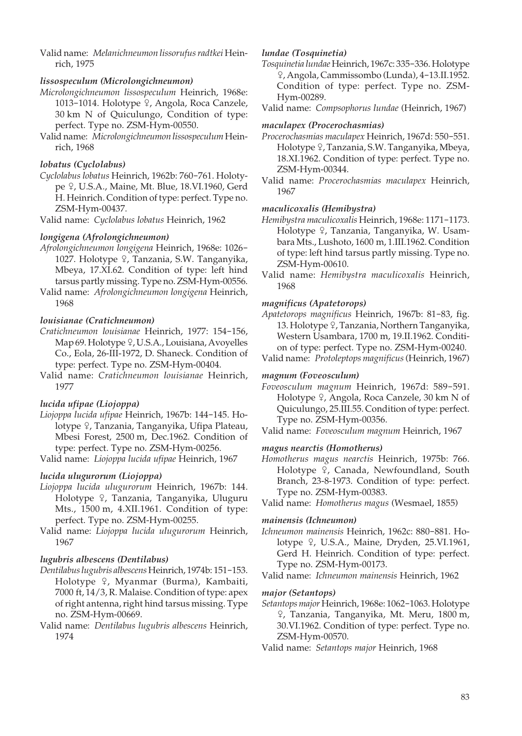Valid name: *Melanichneumon lissorufus radtkei* Heinrich, 1975

## *lissospeculum (Microlongichneumon)*

- *Microlongichneumon lissospeculum* Heinrich, 1968e: 1013-1014. Holotype 9, Angola, Roca Canzele, 30 km N of Quiculungo, Condition of type: perfect. Type no. ZSM-Hym-00550.
- Valid name: *Microlongichneumon lissospeculum* Heinrich, 1968

## *lobatus (Cyclolabus)*

*Cyclolabus lobatus* Heinrich, 1962b: 760-761. Holotype <sup>Q</sup>, U.S.A., Maine, Mt. Blue, 18.VI.1960, Gerd H. Heinrich. Condition of type: perfect. Type no. ZSM-Hym-00437.

Valid name: *Cyclolabus lobatus* Heinrich, 1962

## *longigena (Afrolongichneumon)*

- *Afrolongichneumon longigena* Heinrich, 1968e: 1026- 1027. Holotype 9, Tanzania, S.W. Tanganyika, Mbeya, 17.XI.62. Condition of type: left hind tarsus partly missing. Type no. ZSM-Hym-00556.
- Valid name: *Afrolongichneumon longigena* Heinrich, 1968

## *louisianae (Cratichneumon)*

- *Cratichneumon louisianae* Heinrich, 1977: 154-156, Map 69. Holotype 9, U.S.A., Louisiana, Avoyelles Co., Eola, 26-III-1972, D. Shaneck. Condition of type: perfect. Type no. ZSM-Hym-00404.
- Valid name: *Cratichneumon louisianae* Heinrich, 1977

## *lucida ufipae (Liojoppa)*

*Liojoppa lucida ufipae* Heinrich, 1967b: 144-145. Holotype <sup>Q</sup>, Tanzania, Tanganyika, Ufipa Plateau, Mbesi Forest, 2500 m, Dec.1962. Condition of type: perfect. Type no. ZSM-Hym-00256.

Valid name: *Liojoppa lucida ufipae* Heinrich, 1967

## *lucida ulugurorum (Liojoppa)*

- *Liojoppa lucida ulugurorum* Heinrich, 1967b: 144. Holotype <sup>Q</sup>, Tanzania, Tanganyika, Uluguru Mts., 1500 m, 4.XII.1961. Condition of type: perfect. Type no. ZSM-Hym-00255.
- Valid name: *Liojoppa lucida ulugurorum* Heinrich, 1967

## *lugubris albescens (Dentilabus)*

- *Dentilabus lugubris albescens* Heinrich, 1974b: 151-153. Holotype <sup>Q</sup>, Myanmar (Burma), Kambaiti, 7000 ft, 14/3, R. Malaise. Condition of type: apex of right antenna, right hind tarsus missing. Type no. ZSM-Hym-00669.
- Valid name: *Dentilabus lugubris albescens* Heinrich, 1974

## *lundae (Tosquinetia)*

- *Tosquinetia lundae* Heinrich, 1967c: 335-336. Holotype W, Angola, Cammissombo (Lunda), 4-13.II.1952. Condition of type: perfect. Type no. ZSM-Hym-00289.
- Valid name: *Compsophorus lundae* (Heinrich, 1967)

## *maculapex (Procerochasmias)*

- *Procerochasmias maculapex* Heinrich, 1967d: 550-551. Holotype 9, Tanzania, S.W. Tanganyika, Mbeya, 18.XI.1962. Condition of type: perfect. Type no. ZSM-Hym-00344.
- Valid name: *Procerochasmias maculapex* Heinrich, 1967

## *maculicoxalis (Hemibystra)*

- *Hemibystra maculicoxalis* Heinrich, 1968e: 1171-1173. Holotype 9, Tanzania, Tanganyika, W. Usambara Mts., Lushoto, 1600 m, 1.III.1962. Condition of type: left hind tarsus partly missing. Type no. ZSM-Hym-00610.
- Valid name: *Hemibystra maculicoxalis* Heinrich, 1968

## *magnificus (Apatetorops)*

- *Apatetorops magnificus* Heinrich, 1967b: 81-83, fig. 13. Holotype  $\hat{Y}$ , Tanzania, Northern Tanganyika, Western Usambara, 1700 m, 19.II.1962. Condition of type: perfect. Type no. ZSM-Hym-00240.
- Valid name: *Protoleptops magnificus* (Heinrich, 1967)

## *magnum (Foveosculum)*

- *Foveosculum magnum* Heinrich, 1967d: 589-591. Holotype 9, Angola, Roca Canzele, 30 km N of Quiculungo, 25.III.55. Condition of type: perfect. Type no. ZSM-Hym-00356.
- Valid name: *Foveosculum magnum* Heinrich, 1967

## *magus nearctis (Homotherus)*

*Homotherus magus nearctis* Heinrich, 1975b: 766. Holotype <sup>Q</sup>, Canada, Newfoundland, South Branch, 23-8-1973. Condition of type: perfect. Type no. ZSM-Hym-00383.

Valid name: *Homotherus magus* (Wesmael, 1855)

## *mainensis (Ichneumon)*

*Ichneumon mainensis* Heinrich, 1962c: 880-881. Holotype 9, U.S.A., Maine, Dryden, 25.VI.1961, Gerd H. Heinrich. Condition of type: perfect. Type no. ZSM-Hym-00173.

Valid name: *Ichneumon mainensis* Heinrich, 1962

#### *major (Setantops)*

- *Setantops major* Heinrich, 1968e: 1062-1063. Holotype W, Tanzania, Tanganyika, Mt. Meru, 1800 m, 30.VI.1962. Condition of type: perfect. Type no. ZSM-Hym-00570.
- Valid name: *Setantops major* Heinrich, 1968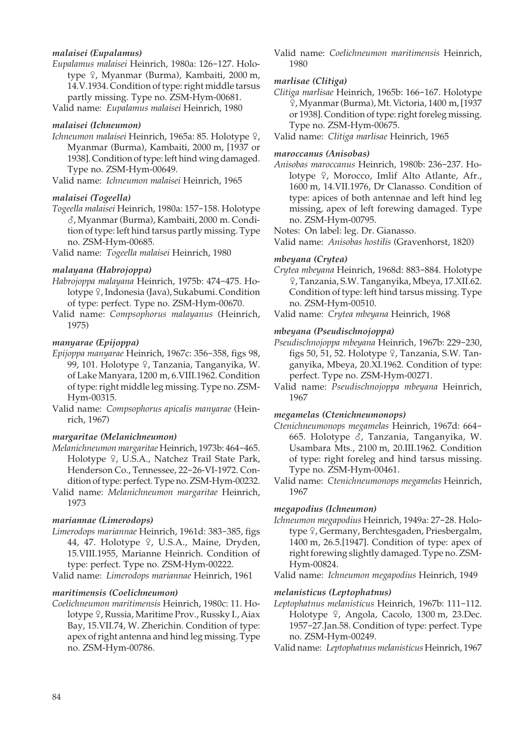## *malaisei (Eupalamus)*

*Eupalamus malaisei* Heinrich, 1980a: 126-127. Holotype <sup> $Q$ </sup>, Myanmar (Burma), Kambaiti, 2000 m, 14.V.1934. Condition of type: right middle tarsus partly missing. Type no. ZSM-Hym-00681.

Valid name: *Eupalamus malaisei* Heinrich, 1980

## *malaisei (Ichneumon)*

Ichneumon malaisei Heinrich, 1965a: 85. Holotype <sup>Q</sup>, Myanmar (Burma), Kambaiti, 2000 m, [1937 or 1938]. Condition of type: left hind wing damaged. Type no. ZSM-Hym-00649.

Valid name: *Ichneumon malaisei* Heinrich, 1965

#### *malaisei (Togeella)*

*Togeella malaisei* Heinrich, 1980a: 157-158. Holotype M, Myanmar (Burma), Kambaiti, 2000 m. Condition of type: left hind tarsus partly missing. Type no. ZSM-Hym-00685.

Valid name: *Togeella malaisei* Heinrich, 1980

#### *malayana (Habrojoppa)*

- *Habrojoppa malayana* Heinrich, 1975b: 474-475. Holotype <sup>Q</sup>, Indonesia (Java), Sukabumi. Condition of type: perfect. Type no. ZSM-Hym-00670.
- Valid name: *Compsophorus malayanus* (Heinrich, 1975)

#### *manyarae (Epijoppa)*

- *Epijoppa manyarae* Heinrich, 1967c: 356-358, figs 98, 99, 101. Holotype  $\varphi$ , Tanzania, Tanganyika, W. of Lake Manyara, 1200 m, 6.VIII.1962. Condition of type: right middle leg missing. Type no. ZSM-Hym-00315.
- Valid name: *Compsophorus apicalis manyarae* (Heinrich, 1967)

#### *margaritae (Melanichneumon)*

- *Melanichneumon margaritae* Heinrich, 1973b: 464-465. Holotype 9, U.S.A., Natchez Trail State Park, Henderson Co., Tennessee, 22-26-VI-1972. Condition of type: perfect. Type no. ZSM-Hym-00232.
- Valid name: *Melanichneumon margaritae* Heinrich, 1973

#### *mariannae (Limerodops)*

- *Limerodops mariannae* Heinrich, 1961d: 383-385, figs 44, 47. Holotype 9, U.S.A., Maine, Dryden, 15.VIII.1955, Marianne Heinrich. Condition of type: perfect. Type no. ZSM-Hym-00222.
- Valid name: *Limerodops mariannae* Heinrich, 1961

#### *maritimensis (Coelichneumon)*

*Coelichneumon maritimensis* Heinrich, 1980c: 11. Holotype 9, Russia, Maritime Prov., Russky I., Aiax Bay, 15.VII.74, W. Zherichin. Condition of type: apex of right antenna and hind leg missing. Type no. ZSM-Hym-00786.

Valid name: *Coelichneumon maritimensis* Heinrich, 1980

#### *marlisae (Clitiga)*

*Clitiga marlisae* Heinrich, 1965b: 166-167. Holotype W, Myanmar (Burma), Mt. Victoria, 1400 m, [1937 or 1938]. Condition of type: right foreleg missing. Type no. ZSM-Hym-00675.

Valid name: *Clitiga marlisae* Heinrich, 1965

#### *maroccanus (Anisobas)*

*Anisobas maroccanus* Heinrich, 1980b: 236-237. Holotype  $\varphi$ , Morocco, Imlif Alto Atlante, Afr., 1600 m, 14.VII.1976, Dr Clanasso. Condition of type: apices of both antennae and left hind leg missing, apex of left forewing damaged. Type no. ZSM-Hym-00795.

Notes: On label: leg. Dr. Gianasso.

Valid name: *Anisobas hostilis* (Gravenhorst, 1820)

#### *mbeyana (Crytea)*

- *Crytea mbeyana* Heinrich, 1968d: 883-884. Holotype W, Tanzania, S.W. Tanganyika, Mbeya, 17.XII.62. Condition of type: left hind tarsus missing. Type no. ZSM-Hym-00510.
- Valid name: *Crytea mbeyana* Heinrich, 1968

## *mbeyana (Pseudischnojoppa)*

- *Pseudischnojoppa mbeyana* Heinrich, 1967b: 229-230, figs 50, 51, 52. Holotype  $9$ , Tanzania, S.W. Tanganyika, Mbeya, 20.XI.1962. Condition of type: perfect. Type no. ZSM-Hym-00271.
- Valid name: *Pseudischnojoppa mbeyana* Heinrich, 1967

## *megamelas (Ctenichneumonops)*

- *Ctenichneumonops megamelas* Heinrich, 1967d: 664- 665. Holotype  $\delta$ , Tanzania, Tanganyika, W. Usambara Mts., 2100 m, 20.III.1962. Condition of type: right foreleg and hind tarsus missing. Type no. ZSM-Hym-00461.
- Valid name: *Ctenichneumonops megamelas* Heinrich, 1967

#### *megapodius (Ichneumon)*

*Ichneumon megapodius* Heinrich, 1949a: 27-28. Holotype <sup>Q</sup>, Germany, Berchtesgaden, Priesbergalm, 1400 m, 26.5.[1947]. Condition of type: apex of right forewing slightly damaged. Type no. ZSM-Hym-00824.

Valid name: *Ichneumon megapodius* Heinrich, 1949

#### *melanisticus (Leptophatnus)*

*Leptophatnus melanisticus* Heinrich, 1967b: 111-112. Holotype <sup>Q</sup>, Angola, Cacolo, 1300 m, 23.Dec. 1957-27.Jan.58. Condition of type: perfect. Type no. ZSM-Hym-00249.

Valid name: *Leptophatnus melanisticus* Heinrich, 1967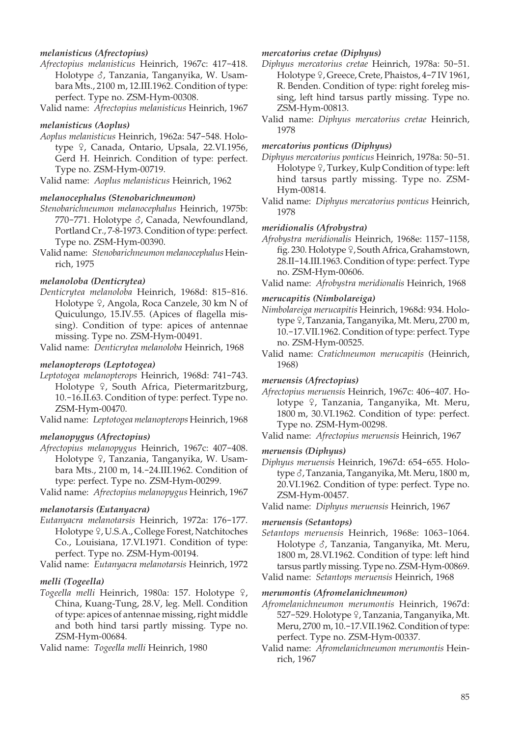## *melanisticus (Afrectopius)*

- *Afrectopius melanisticus* Heinrich, 1967c: 417-418. Holotype  $\delta$ , Tanzania, Tanganyika, W. Usambara Mts., 2100 m, 12.III.1962. Condition of type: perfect. Type no. ZSM-Hym-00308.
- Valid name: *Afrectopius melanisticus* Heinrich, 1967

#### *melanisticus (Aoplus)*

*Aoplus melanisticus* Heinrich, 1962a: 547-548. Holotype <sup>Q</sup>, Canada, Ontario, Upsala, 22.VI.1956, Gerd H. Heinrich. Condition of type: perfect. Type no. ZSM-Hym-00719.

Valid name: *Aoplus melanisticus* Heinrich, 1962

#### *melanocephalus (Stenobarichneumon)*

- *Stenobarichneumon melanocephalus* Heinrich, 1975b: 770-771. Holotype  $\delta$ , Canada, Newfoundland, Portland Cr., 7-8-1973. Condition of type: perfect. Type no. ZSM-Hym-00390.
- Valid name: *Stenobarichneumon melanocephalus* Heinrich, 1975

## *melanoloba (Denticrytea)*

*Denticrytea melanoloba* Heinrich, 1968d: 815-816. Holotype  $\sqrt{2}$ , Angola, Roca Canzele, 30 km N of Quiculungo, 15.IV.55. (Apices of flagella missing). Condition of type: apices of antennae missing. Type no. ZSM-Hym-00491.

Valid name: *Denticrytea melanoloba* Heinrich, 1968

## *melanopterops (Leptotogea)*

- *Leptotogea melanopterops* Heinrich, 1968d: 741-743. Holotype  $9$ , South Africa, Pietermaritzburg, 10.-16.II.63. Condition of type: perfect. Type no. ZSM-Hym-00470.
- Valid name: *Leptotogea melanopterops* Heinrich, 1968

### *melanopygus (Afrectopius)*

*Afrectopius melanopygus* Heinrich, 1967c: 407-408. Holotype <sup>Q</sup>, Tanzania, Tanganyika, W. Usambara Mts., 2100 m, 14.-24.III.1962. Condition of type: perfect. Type no. ZSM-Hym-00299.

Valid name: *Afrectopius melanopygus* Heinrich, 1967

#### *melanotarsis (Eutanyacra)*

*Eutanyacra melanotarsis* Heinrich, 1972a: 176-177. Holotype <sup>Q</sup>, U.S.A., College Forest, Natchitoches Co., Louisiana, 17.VI.1971. Condition of type: perfect. Type no. ZSM-Hym-00194.

Valid name: *Eutanyacra melanotarsis* Heinrich, 1972

## *melli (Togeella)*

Togeella melli Heinrich, 1980a: 157. Holotype <sub>9</sub>, China, Kuang-Tung, 28.V, leg. Mell. Condition of type: apices of antennae missing, right middle and both hind tarsi partly missing. Type no. ZSM-Hym-00684.

Valid name: *Togeella melli* Heinrich, 1980

#### *mercatorius cretae (Diphyus)*

- *Diphyus mercatorius cretae* Heinrich, 1978a: 50-51. Holotype  $9$ , Greece, Crete, Phaistos, 4-7 IV 1961, R. Benden. Condition of type: right foreleg missing, left hind tarsus partly missing. Type no. ZSM-Hym-00813.
- Valid name: *Diphyus mercatorius cretae* Heinrich, 1978

#### *mercatorius ponticus (Diphyus)*

- *Diphyus mercatorius ponticus* Heinrich, 1978a: 50-51. Holotype  $\sqrt{ }$ , Turkey, Kulp Condition of type: left hind tarsus partly missing. Type no. ZSM-Hym-00814.
- Valid name: *Diphyus mercatorius ponticus* Heinrich, 1978

#### *meridionalis (Afrobystra)*

- *Afrobystra meridionalis* Heinrich, 1968e: 1157-1158, fig. 230. Holotype  $9$ , South Africa, Grahamstown, 28.II-14.III.1963. Condition of type: perfect. Type no. ZSM-Hym-00606.
- Valid name: *Afrobystra meridionalis* Heinrich, 1968

#### *merucapitis (Nimbolareiga)*

- *Nimbolareiga merucapitis* Heinrich, 1968d: 934. Holotype 9, Tanzania, Tanganyika, Mt. Meru, 2700 m, 10.-17.VII.1962. Condition of type: perfect. Type no. ZSM-Hym-00525.
- Valid name: *Cratichneumon merucapitis* (Heinrich, 1968)

#### *meruensis (Afrectopius)*

- *Afrectopius meruensis* Heinrich, 1967c: 406-407. Holotype <sup>Q</sup>, Tanzania, Tanganyika, Mt. Meru, 1800 m, 30.VI.1962. Condition of type: perfect. Type no. ZSM-Hym-00298.
- Valid name: *Afrectopius meruensis* Heinrich, 1967

#### *meruensis (Diphyus)*

- *Diphyus meruensis* Heinrich, 1967d: 654-655. Holotype  $\delta$ , Tanzania, Tanganyika, Mt. Meru, 1800 m, 20.VI.1962. Condition of type: perfect. Type no. ZSM-Hym-00457.
- Valid name: *Diphyus meruensis* Heinrich, 1967

#### *meruensis (Setantops)*

- *Setantops meruensis* Heinrich, 1968e: 1063-1064. Holotype &, Tanzania, Tanganyika, Mt. Meru, 1800 m, 28.VI.1962. Condition of type: left hind tarsus partly missing. Type no. ZSM-Hym-00869.
- Valid name: *Setantops meruensis* Heinrich, 1968

#### *merumontis (Afromelanichneumon)*

- *Afromelanichneumon merumontis* Heinrich, 1967d: 527-529. Holotype ?, Tanzania, Tanganyika, Mt. Meru, 2700 m, 10.-17.VII.1962. Condition of type: perfect. Type no. ZSM-Hym-00337.
- Valid name: *Afromelanichneumon merumontis* Heinrich, 1967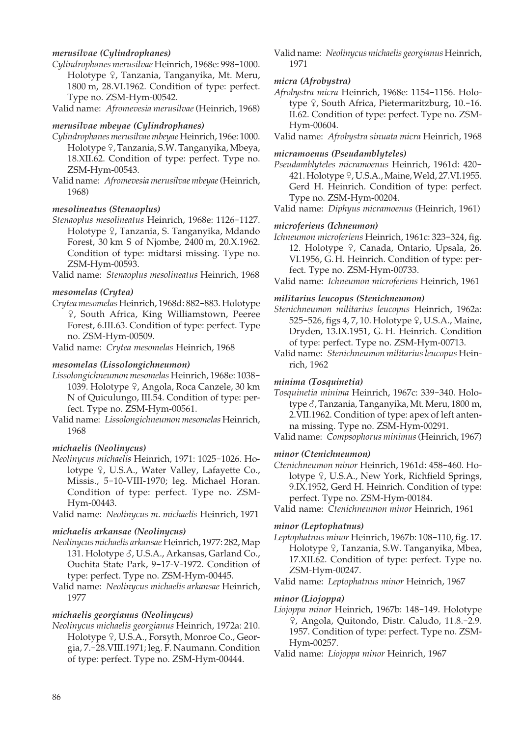## *merusilvae (Cylindrophanes)*

*Cylindrophanes merusilvae* Heinrich, 1968e: 998-1000. Holotype <sup>Q</sup>, Tanzania, Tanganyika, Mt. Meru, 1800 m, 28.VI.1962. Condition of type: perfect. Type no. ZSM-Hym-00542.

Valid name: *Afromevesia merusilvae* (Heinrich, 1968)

#### *merusilvae mbeyae (Cylindrophanes)*

- *Cylindrophanes merusilvae mbeyae* Heinrich, 196e: 1000. Holotype <sup>Q</sup>, Tanzania, S.W. Tanganyika, Mbeya, 18.XII.62. Condition of type: perfect. Type no. ZSM-Hym-00543.
- Valid name: *Afromevesia merusilvae mbeyae* (Heinrich, 1968)

#### *mesolineatus (Stenaoplus)*

*Stenaoplus mesolineatus* Heinrich, 1968e: 1126-1127. Holotype <sup>Q</sup>, Tanzania, S. Tanganyika, Mdando Forest, 30 km S of Njombe, 2400 m, 20.X.1962. Condition of type: midtarsi missing. Type no. ZSM-Hym-00593.

Valid name: *Stenaoplus mesolineatus* Heinrich, 1968

#### *mesomelas (Crytea)*

*Crytea mesomelas* Heinrich, 1968d: 882-883. Holotype W, South Africa, King Williamstown, Peeree Forest, 6.III.63. Condition of type: perfect. Type no. ZSM-Hym-00509.

Valid name: *Crytea mesomelas* Heinrich, 1968

#### *mesomelas (Lissolongichneumon)*

- *Lissolongichneumon mesomelas* Heinrich, 1968e: 1038- 1039. Holotype <sup>Q</sup>, Angola, Roca Canzele, 30 km N of Quiculungo, III.54. Condition of type: perfect. Type no. ZSM-Hym-00561.
- Valid name: *Lissolongichneumon mesomelas* Heinrich, 1968

#### *michaelis (Neolinycus)*

- *Neolinycus michaelis* Heinrich, 1971: 1025-1026. Holotype <sub>9</sub>, U.S.A., Water Valley, Lafayette Co., Missis., 5-10-VIII-1970; leg. Michael Horan. Condition of type: perfect. Type no. ZSM-Hym-00443.
- Valid name: *Neolinycus m. michaelis* Heinrich, 1971

#### *michaelis arkansae (Neolinycus)*

- *Neolinycus michaelis arkansae* Heinrich, 1977: 282, Map 131. Holotype  $\delta$ , U.S.A., Arkansas, Garland Co., Ouchita State Park, 9-17-V-1972. Condition of type: perfect. Type no. ZSM-Hym-00445.
- Valid name: *Neolinycus michaelis arkansae* Heinrich, 1977

## *michaelis georgianus (Neolinycus)*

*Neolinycus michaelis georgianus* Heinrich, 1972a: 210. Holotype <sup>Q</sup>, U.S.A., Forsyth, Monroe Co., Georgia, 7.-28.VIII.1971; leg. F. Naumann. Condition of type: perfect. Type no. ZSM-Hym-00444.

Valid name: *Neolinycus michaelis georgianus* Heinrich, 1971

## *micra (Afrobystra)*

*Afrobystra micra* Heinrich, 1968e: 1154-1156. Holotype 9, South Africa, Pietermaritzburg, 10.-16. II.62. Condition of type: perfect. Type no. ZSM-Hym-00604.

Valid name: *Afrobystra sinuata micra* Heinrich, 1968

#### *micramoenus (Pseudamblyteles)*

*Pseudamblyteles micramoenus* Heinrich, 1961d: 420- 421. Holotype  $9$ , U.S.A., Maine, Weld, 27.VI.1955. Gerd H. Heinrich. Condition of type: perfect. Type no. ZSM-Hym-00204.

Valid name: *Diphyus micramoenus* (Heinrich, 1961)

## *microferiens (Ichneumon)*

*Ichneumon microferiens* Heinrich, 1961c: 323-324, fig. 12. Holotype 9, Canada, Ontario, Upsala, 26. VI.1956, G. H. Heinrich. Condition of type: perfect. Type no. ZSM-Hym-00733.

Valid name: *Ichneumon microferiens* Heinrich, 1961

## *militarius leucopus (Stenichneumon)*

*Stenichneumon militarius leucopus* Heinrich, 1962a: 525-526, figs 4, 7, 10. Holotype  $9$ , U.S.A., Maine, Dryden, 13.IX.1951, G. H. Heinrich. Condition of type: perfect. Type no. ZSM-Hym-00713.

Valid name: *Stenichneumon militarius leucopus* Heinrich, 1962

## *minima (Tosquinetia)*

*Tosquinetia minima* Heinrich, 1967c: 339-340. Holotype  $\delta$ , Tanzania, Tanganyika, Mt. Meru, 1800 m, 2.VII.1962. Condition of type: apex of left antenna missing. Type no. ZSM-Hym-00291.

Valid name: *Compsophorus minimus* (Heinrich, 1967)

#### *minor (Ctenichneumon)*

*Ctenichneumon minor* Heinrich, 1961d: 458-460. Holotype <sub>9</sub>, U.S.A., New York, Richfield Springs, 9.IX.1952, Gerd H. Heinrich. Condition of type: perfect. Type no. ZSM-Hym-00184.

Valid name: *Ctenichneumon minor* Heinrich, 1961

#### *minor (Leptophatnus)*

*Leptophatnus minor* Heinrich, 1967b: 108-110, fig. 17. Holotype <sup>Q</sup>, Tanzania, S.W. Tanganyika, Mbea, 17.XII.62. Condition of type: perfect. Type no. ZSM-Hym-00247.

Valid name: *Leptophatnus minor* Heinrich, 1967

## *minor (Liojoppa)*

- *Liojoppa minor* Heinrich, 1967b: 148-149. Holotype W, Angola, Quitondo, Distr. Caludo, 11.8.-2.9. 1957. Condition of type: perfect. Type no. ZSM-Hym-00257.
- Valid name: *Liojoppa minor* Heinrich, 1967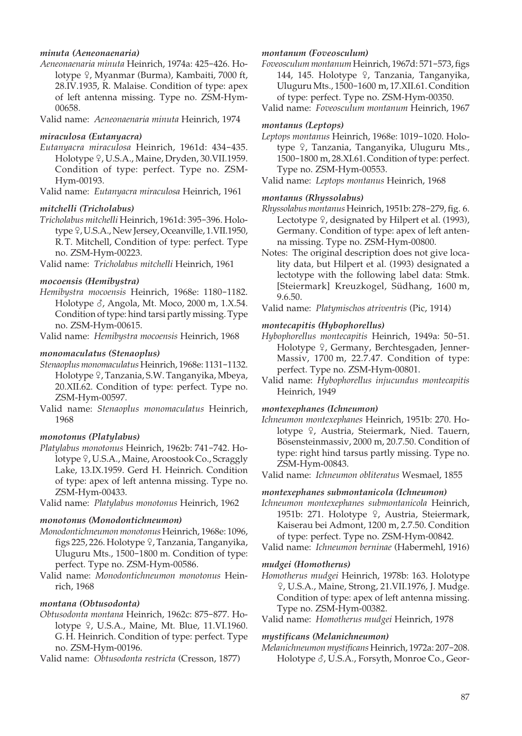## *minuta (Aeneonaenaria)*

*Aeneonaenaria minuta* Heinrich, 1974a: 425-426. Holotype <sup>2</sup>, Myanmar (Burma), Kambaiti, 7000 ft, 28.IV.1935, R. Malaise. Condition of type: apex of left antenna missing. Type no. ZSM-Hym- 00658.

Valid name: *Aeneonaenaria minuta* Heinrich, 1974

#### *miraculosa (Eutanyacra)*

*Eutanyacra miraculosa* Heinrich, 1961d: 434-435. Holotype  $9$ , U.S.A., Maine, Dryden, 30.VII.1959. Condition of type: perfect. Type no. ZSM-Hym-00193.

Valid name: *Eutanyacra miraculosa* Heinrich, 1961

## *mitchelli (Tricholabus)*

*Tricholabus mitchelli* Heinrich, 1961d: 395-396. Holotype  $9$ , U.S.A., New Jersey, Oceanville, 1.VII.1950, R. T. Mitchell, Condition of type: perfect. Type no. ZSM-Hym-00223.

Valid name: *Tricholabus mitchelli* Heinrich, 1961

#### *mocoensis (Hemibystra)*

*Hemibystra mocoensis* Heinrich, 1968e: 1180-1182. Holotype  $\delta$ , Angola, Mt. Moco, 2000 m, 1.X.54. Condition of type: hind tarsi partly missing. Type no. ZSM-Hym-00615.

Valid name: *Hemibystra mocoensis* Heinrich, 1968

## *monomaculatus (Stenaoplus)*

- *Stenaoplus monomaculatus* Heinrich, 1968e: 1131-1132. Holotype ?, Tanzania, S.W. Tanganyika, Mbeya, 20.XII.62. Condition of type: perfect. Type no. ZSM-Hym-00597.
- Valid name: *Stenaoplus monomaculatus* Heinrich, 1968

#### *monotonus (Platylabus)*

- *Platylabus monotonus* Heinrich, 1962b: 741-742. Holotype <sub>9</sub>, U.S.A., Maine, Aroostook Co., Scraggly Lake, 13.IX.1959. Gerd H. Heinrich. Condition of type: apex of left antenna missing. Type no. ZSM-Hym-00433.
- Valid name: *Platylabus monotonus* Heinrich, 1962

#### *monotonus (Monodontichneumon)*

- *Monodontichneumon monotonus* Heinrich, 1968e: 1096, figs 225, 226. Holotype 9, Tanzania, Tanganyika, Uluguru Mts., 1500-1800 m. Condition of type: perfect. Type no. ZSM-Hym-00586.
- Valid name: *Monodontichneumon monotonus* Heinrich, 1968

## *montana (Obtusodonta)*

*Obtusodonta montana* Heinrich, 1962c: 875-877. Holotype  $9$ , U.S.A., Maine, Mt. Blue, 11.VI.1960. G. H. Heinrich. Condition of type: perfect. Type no. ZSM-Hym-00196.

Valid name: *Obtusodonta restricta* (Cresson, 1877)

## *montanum (Foveosculum)*

*Foveosculum montanum* Heinrich, 1967d: 571-573, figs 144, 145. Holotype  $\varphi$ , Tanzania, Tanganyika, Uluguru Mts., 1500-1600 m, 17.XII.61. Condition of type: perfect. Type no. ZSM-Hym-00350.

Valid name: *Foveosculum montanum* Heinrich, 1967

## *montanus (Leptops)*

*Leptops montanus* Heinrich, 1968e: 1019-1020. Holotype <sup>Q</sup>, Tanzania, Tanganyika, Uluguru Mts., 1500-1800 m, 28.XI.61. Condition of type: perfect. Type no. ZSM-Hym-00553.

Valid name: *Leptops montanus* Heinrich, 1968

## *montanus (Rhyssolabus)*

- *Rhyssolabus montanus* Heinrich, 1951b: 278-279, fig. 6. Lectotype  $\frac{1}{2}$ , designated by Hilpert et al. (1993), Germany. Condition of type: apex of left antenna missing. Type no. ZSM-Hym-00800.
- Notes: The original description does not give locality data, but Hilpert et al. (1993) designated a lectotype with the following label data: Stmk. [Steiermark] Kreuzkogel, Südhang, 1600 m, 9.6.50.
- Valid name: *Platymischos atriventris* (Pic, 1914)

## *montecapitis (Hybophorellus)*

- *Hybophorellus montecapitis* Heinrich, 1949a: 50-51. Holotype <sup>Q</sup>, Germany, Berchtesgaden, Jenner-Massiv, 1700 m, 22.7.47. Condition of type: perfect. Type no. ZSM-Hym-00801.
- Valid name: *Hybophorellus injucundus montecapitis* Heinrich, 1949

#### *montexephanes (Ichneumon)*

*Ichneumon montexephanes* Heinrich, 1951b: 270. Holotype <sup>Q</sup>, Austria, Steiermark, Nied. Tauern, Bösensteinmassiv, 2000 m, 20.7.50. Condition of type: right hind tarsus partly missing. Type no. ZSM-Hym-00843.

Valid name: *Ichneumon obliteratus* Wesmael, 1855

#### *montexephanes submontanicola (Ichneumon)*

*Ichneumon montexephanes submontanicola* Heinrich, 1951b: 271. Holotype <sup>Q</sup>, Austria, Steiermark, Kaiserau bei Admont, 1200 m, 2.7.50. Condition of type: perfect. Type no. ZSM-Hym-00842.

## *mudgei (Homotherus)*

*Homotherus mudgei* Heinrich, 1978b: 163. Holotype W, U.S.A., Maine, Strong, 21.VII.1976, J. Mudge. Condition of type: apex of left antenna missing. Type no. ZSM-Hym-00382.

Valid name: *Homotherus mudgei* Heinrich, 1978

#### *mystificans (Melanichneumon)*

*Melanichneumon mystificans* Heinrich, 1972a: 207-208. Holotype  $\delta$ , U.S.A., Forsyth, Monroe Co., Geor-

Valid name: *Ichneumon berninae* (Habermehl, 1916)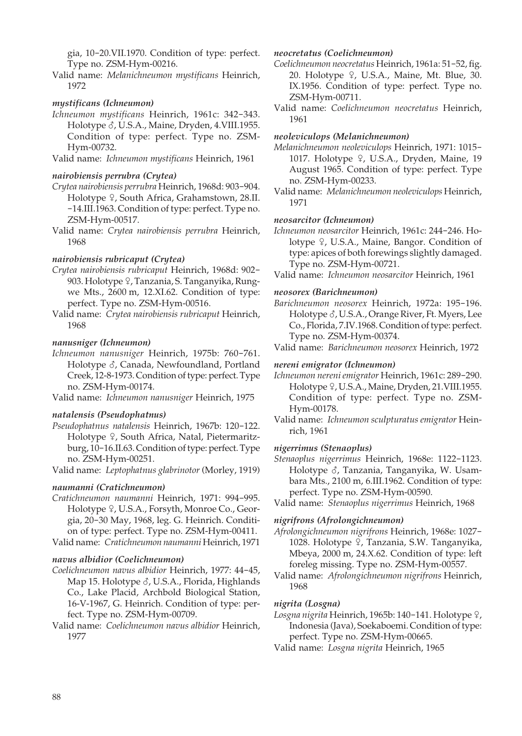gia, 10-20.VII.1970. Condition of type: perfect. Type no. ZSM-Hym-00216.

Valid name: *Melanichneumon mystificans* Heinrich, 1972

## *mystificans (Ichneumon)*

*Ichneumon mystificans* Heinrich, 1961c: 342-343. Holotype  $\delta$ , U.S.A., Maine, Dryden, 4.VIII.1955. Condition of type: perfect. Type no. ZSM-Hym-00732.

Valid name: *Ichneumon mystificans* Heinrich, 1961

## *nairobiensis perrubra (Crytea)*

- *Crytea nairobiensis perrubra* Heinrich, 1968d: 903-904. Holotype  $9$ , South Africa, Grahamstown, 28.II. -14.III.1963. Condition of type: perfect. Type no. ZSM-Hym-00517.
- Valid name: *Crytea nairobiensis perrubra* Heinrich, 1968

## *nairobiensis rubricaput (Crytea)*

- *Crytea nairobiensis rubricaput* Heinrich, 1968d: 902- 903. Holotype 9, Tanzania, S. Tanganyika, Rungwe Mts., 2600 m, 12.XI.62. Condition of type: perfect. Type no. ZSM-Hym-00516.
- Valid name: *Crytea nairobiensis rubricaput* Heinrich, 1968

## *nanusniger (Ichneumon)*

*Ichneumon nanusniger* Heinrich, 1975b: 760-761. Holotype  $\delta$ , Canada, Newfoundland, Portland Creek, 12-8-1973. Condition of type: perfect. Type no. ZSM-Hym-00174.

Valid name: *Ichneumon nanusniger* Heinrich, 1975

## *natalensis (Pseudophatnus)*

*Pseudophatnus natalensis* Heinrich, 1967b: 120-122. Holotype <sup>Q</sup>, South Africa, Natal, Pietermaritzburg, 10-16.II.63. Condition of type: perfect. Type no. ZSM-Hym-00251.

Valid name: *Leptophatnus glabrinotor* (Morley, 1919)

#### *naumanni (Cratichneumon)*

*Cratichneumon naumanni* Heinrich, 1971: 994-995. Holotype <sup>2</sup>, U.S.A., Forsyth, Monroe Co., Georgia, 20-30 May, 1968, leg. G. Heinrich. Condition of type: perfect. Type no. ZSM-Hym-00411. Valid name: *Cratichneumon naumanni* Heinrich, 1971

#### *navus albidior (Coelichneumon)*

- *Coelichneumon navus albidior* Heinrich, 1977: 44-45, Map 15. Holotype  $\delta$ , U.S.A., Florida, Highlands Co., Lake Placid, Archbold Biological Station, 16-V-1967, G. Heinrich. Condition of type: perfect. Type no. ZSM-Hym-00709.
- Valid name: *Coelichneumon navus albidior* Heinrich, 1977

#### *neocretatus (Coelichneumon)*

- *Coelichneumon neocretatus* Heinrich, 1961a: 51-52, fig. 20. Holotype  $9$ , U.S.A., Maine, Mt. Blue, 30. IX.1956. Condition of type: perfect. Type no. ZSM-Hym-00711.
- Valid name: *Coelichneumon neocretatus* Heinrich, 1961

#### *neoleviculops (Melanichneumon)*

- *Melanichneumon neoleviculops* Heinrich, 1971: 1015- 1017. Holotype <sup>Q</sup>, U.S.A., Dryden, Maine, 19 August 1965. Condition of type: perfect. Type no. ZSM-Hym-00233.
- Valid name: *Melanichneumon neoleviculops* Heinrich, 1971

## *neosarcitor (Ichneumon)*

*Ichneumon neosarcitor* Heinrich, 1961c: 244-246. Holotype 9, U.S.A., Maine, Bangor. Condition of type: apices of both forewings slightly damaged. Type no. ZSM-Hym-00721.

Valid name: *Ichneumon neosarcitor* Heinrich, 1961

## *neosorex (Barichneumon)*

*Barichneumon neosorex* Heinrich, 1972a: 195-196. Holotype  $\delta$ , U.S.A., Orange River, Ft. Myers, Lee Co., Florida, 7.IV.1968. Condition of type: perfect. Type no. ZSM-Hym-00374.

Valid name: *Barichneumon neosorex* Heinrich, 1972

#### *nereni emigrator (Ichneumon)*

*Ichneumon nereni emigrator* Heinrich, 1961c: 289-290. Holotype  $9$ , U.S.A., Maine, Dryden, 21.VIII.1955. Condition of type: perfect. Type no. ZSM-Hym-00178.

Valid name: *Ichneumon sculpturatus emigrator* Heinrich, 1961

#### *nigerrimus (Stenaoplus)*

*Stenaoplus nigerrimus* Heinrich, 1968e: 1122-1123. Holotype  $\delta$ , Tanzania, Tanganyika, W. Usambara Mts., 2100 m, 6.III.1962. Condition of type: perfect. Type no. ZSM-Hym-00590.

Valid name: *Stenaoplus nigerrimus* Heinrich, 1968

#### *nigrifrons (Afrolongichneumon)*

- *Afrolongichneumon nigrifrons* Heinrich, 1968e: 1027- 1028. Holotype  $9$ , Tanzania, S.W. Tanganyika, Mbeya, 2000 m, 24.X.62. Condition of type: left foreleg missing. Type no. ZSM-Hym-00557.
- Valid name: *Afrolongichneumon nigrifrons* Heinrich, 1968

#### *nigrita (Losgna)*

Losgna nigrita Heinrich, 1965b: 140-141. Holotype 9, Indonesia (Java), Soekaboemi. Condition of type: perfect. Type no. ZSM-Hym-00665.

Valid name: *Losgna nigrita* Heinrich, 1965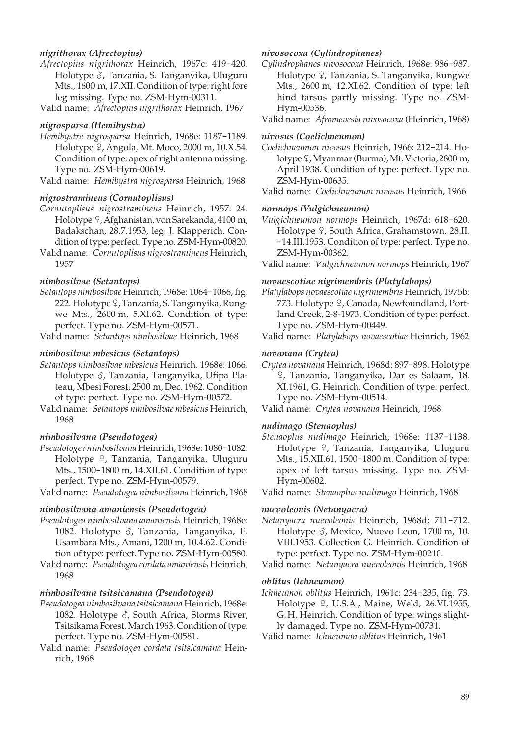## *nigrithorax (Afrectopius)*

- *Afrectopius nigrithorax* Heinrich, 1967c: 419-420. Holotype  $\delta$ , Tanzania, S. Tanganyika, Uluguru Mts., 1600 m, 17.XII. Condition of type: right fore leg missing. Type no. ZSM-Hym-00311.
- Valid name: *Afrectopius nigrithorax* Heinrich, 1967

#### *nigrosparsa (Hemibystra)*

*Hemibystra nigrosparsa* Heinrich, 1968e: 1187-1189. Holotype  $9$ , Angola, Mt. Moco, 2000 m, 10.X.54. Condition of type: apex of right antenna missing. Type no. ZSM-Hym-00619.

Valid name: *Hemibystra nigrosparsa* Heinrich, 1968

#### *nigrostramineus (Cornutoplisus)*

- *Cornutoplisus nigrostramineus* Heinrich, 1957: 24. Holotype <sup>9</sup>, Afghanistan, von Sarekanda, 4100 m, Badakschan, 28.7.1953, leg. J. Klapperich. Condition of type: perfect. Type no. ZSM-Hym-00820.
- Valid name: *Cornutoplisus nigrostramineus* Heinrich, 1957

#### *nimbosilvae (Setantops)*

*Setantops nimbosilvae* Heinrich, 1968e: 1064-1066, fig. 222. Holotype 9, Tanzania, S. Tanganyika, Rungwe Mts., 2600 m, 5.XI.62. Condition of type: perfect. Type no. ZSM-Hym-00571.

Valid name: *Setantops nimbosilvae* Heinrich, 1968

#### *nimbosilvae mbesicus (Setantops)*

- *Setantops nimbosilvae mbesicus* Heinrich, 1968e: 1066. Holotype  $\delta$ , Tanzania, Tanganyika, Ufipa Plateau, Mbesi Forest, 2500 m, Dec. 1962. Condition of type: perfect. Type no. ZSM-Hym-00572.
- Valid name: *Setantops nimbosilvae mbesicus* Heinrich, 1968

#### *nimbosilvana (Pseudotogea)*

- *Pseudotogea nimbosilvana* Heinrich, 1968e: 1080-1082. Holotype <sup>Q</sup>, Tanzania, Tanganyika, Uluguru Mts., 1500-1800 m, 14.XII.61. Condition of type: perfect. Type no. ZSM-Hym-00579.
- Valid name: *Pseudotogea nimbosilvana* Heinrich, 1968

#### *nimbosilvana amaniensis (Pseudotogea)*

- *Pseudotogea nimbosilvana amaniensis* Heinrich, 1968e: 1082. Holotype  $\delta$ , Tanzania, Tanganyika, E. Usambara Mts., Amani, 1200 m, 10.4.62. Condition of type: perfect. Type no. ZSM-Hym-00580.
- Valid name: *Pseudotogea cordata amaniensis* Heinrich, 1968

#### *nimbosilvana tsitsicamana (Pseudotogea)*

- *Pseudotogea nimbosilvana tsitsicamana* Heinrich, 1968e: 1082. Holotype  $\delta$ , South Africa, Storms River, Tsitsikama Forest. March 1963. Condition of type: perfect. Type no. ZSM-Hym-00581.
- Valid name: *Pseudotogea cordata tsitsicamana* Heinrich, 1968

#### *nivosocoxa (Cylindrophanes)*

- *Cylindrophanes nivosocoxa* Heinrich, 1968e: 986-987. Holotype <sup>Q</sup>, Tanzania, S. Tanganyika, Rungwe Mts., 2600 m, 12.XI.62. Condition of type: left hind tarsus partly missing. Type no. ZSM-Hym-00536.
- Valid name: *Afromevesia nivosocoxa* (Heinrich, 1968)

#### *nivosus (Coelichneumon)*

- *Coelichneumon nivosus* Heinrich, 1966: 212-214. Holotype <sup> $\varphi$ </sup>, Myanmar (Burma), Mt. Victoria, 2800 m, April 1938. Condition of type: perfect. Type no. ZSM-Hym-00635.
- Valid name: *Coelichneumon nivosus* Heinrich, 1966

## *normops (Vulgichneumon)*

- *Vulgichneumon normops* Heinrich, 1967d: 618-620. Holotype 9, South Africa, Grahamstown, 28.II. -14.III.1953. Condition of type: perfect. Type no. ZSM-Hym-00362.
- Valid name: *Vulgichneumon normops* Heinrich, 1967

#### *novaescotiae nigrimembris (Platylabops)*

- *Platylabops novaescotiae nigrimembris* Heinrich, 1975b: 773. Holotype  $9$ , Canada, Newfoundland, Portland Creek, 2-8-1973. Condition of type: perfect. Type no. ZSM-Hym-00449.
- Valid name: *Platylabops novaescotiae* Heinrich, 1962

#### *novanana (Crytea)*

- *Crytea novanana* Heinrich, 1968d: 897-898. Holotype W, Tanzania, Tanganyika, Dar es Salaam, 18. XI.1961, G. Heinrich. Condition of type: perfect. Type no. ZSM-Hym-00514.
- Valid name: *Crytea novanana* Heinrich, 1968

#### *nudimago (Stenaoplus)*

- *Stenaoplus nudimago* Heinrich, 1968e: 1137-1138. Holotype <sup>Q</sup>, Tanzania, Tanganyika, Uluguru Mts., 15.XII.61, 1500-1800 m. Condition of type: apex of left tarsus missing. Type no. ZSM-Hym-00602.
- Valid name: *Stenaoplus nudimago* Heinrich, 1968

#### *nuevoleonis (Netanyacra)*

- *Netanyacra nuevoleonis* Heinrich, 1968d: 711-712. Holotype  $\delta$ , Mexico, Nuevo Leon, 1700 m, 10. VIII.1953. Collection G. Heinrich. Condition of type: perfect. Type no. ZSM-Hym-00210.
- Valid name: *Netanyacra nuevoleonis* Heinrich, 1968

## *oblitus (Ichneumon)*

*Ichneumon oblitus* Heinrich, 1961c: 234-235, fig. 73. Holotype 9, U.S.A., Maine, Weld, 26.VI.1955, G. H. Heinrich. Condition of type: wings slightly damaged. Type no. ZSM-Hym-00731.

Valid name: *Ichneumon oblitus* Heinrich, 1961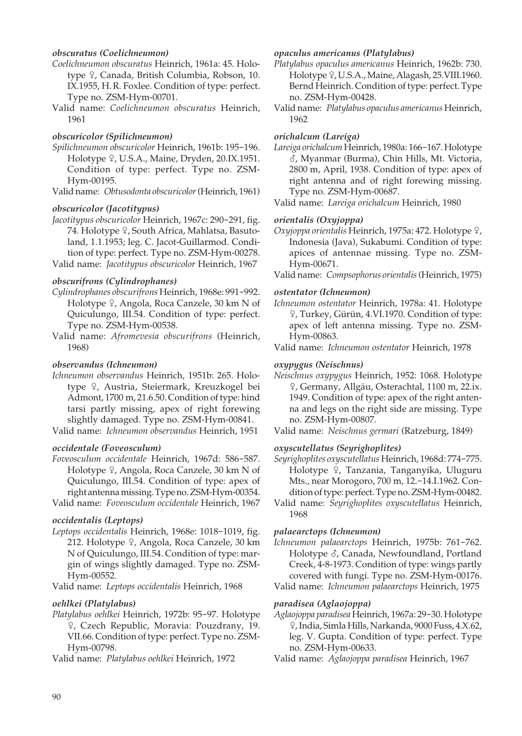## *obscuratus (Coelichneumon)*

- *Coelichneumon obscuratus* Heinrich, 1961a: 45. Holotype <sup>Q</sup>, Canada, British Columbia, Robson, 10. IX.1955, H. R. Foxlee. Condition of type: perfect. Type no. ZSM-Hym-00701.
- Valid name: *Coelichneumon obscuratus* Heinrich, 1961

## *obscuricolor (Spilichneumon)*

- *Spilichneumon obscuricolor* Heinrich, 1961b: 195-196. Holotype <sup>Q</sup>, U.S.A., Maine, Dryden, 20.IX.1951. Condition of type: perfect. Type no. ZSM-Hym-00195.
- Valid name: *Obtusodonta obscuricolor* (Heinrich, 1961)

## *obscuricolor (Jacotitypus)*

*Jacotitypus obscuricolor* Heinrich, 1967c: 290-291, fig. 74. Holotype 9, South Africa, Mahlatsa, Basutoland, 1.1.1953; leg. C. Jacot-Guillarmod. Condition of type: perfect. Type no. ZSM-Hym-00278. Valid name: *Jacotitypus obscuricolor* Heinrich, 1967

## *obscurifrons (Cylindrophanes)*

- *Cylindrophanes obscurifrons* Heinrich, 1968e: 991-992. Holotype  $\frac{1}{2}$ , Angola, Roca Canzele, 30 km N of Quiculungo, III.54. Condition of type: perfect. Type no. ZSM-Hym-00538.
- Valid name: *Afromevesia obscurifrons* (Heinrich, 1968)

#### *observandus (Ichneumon)*

*Ichneumon observandus* Heinrich, 1951b: 265. Holotype <sup>Q</sup>, Austria, Steiermark, Kreuzkogel bei Admont, 1700 m, 21.6.50. Condition of type: hind tarsi partly missing, apex of right forewing slightly damaged. Type no. ZSM-Hym-00841.

Valid name: *Ichneumon observandus* Heinrich, 1951

#### *occidentale (Foveosculum)*

- *Foveosculum occidentale* Heinrich, 1967d: 586-587. Holotype <sup>Q</sup>, Angola, Roca Canzele, 30 km N of Quiculungo, III.54. Condition of type: apex of right antenna missing. Type no. ZSM-Hym-00354.
- Valid name: *Foveosculum occidentale* Heinrich, 1967

## *occidentalis (Leptops)*

*Leptops occidentalis* Heinrich, 1968e: 1018-1019, fig. 212. Holotype 9, Angola, Roca Canzele, 30 km N of Quiculungo, III.54. Condition of type: margin of wings slightly damaged. Type no. ZSM-Hym-00552.

Valid name: *Leptops occidentalis* Heinrich, 1968

#### *oehlkei (Platylabus)*

*Platylabus oehlkei* Heinrich, 1972b: 95-97. Holotype W, Czech Republic, Moravia: Pouzdrany, 19. VII.66. Condition of type: perfect. Type no. ZSM-Hym-00798.

Valid name: *Platylabus oehlkei* Heinrich, 1972

#### *opaculus americanus (Platylabus)*

- *Platylabus opaculus americanus* Heinrich, 1962b: 730. Holotype  $9$ , U.S.A., Maine, Alagash, 25.VIII.1960. Bernd Heinrich. Condition of type: perfect. Type no. ZSM-Hym-00428.
- Valid name: *Platylabus opaculus americanus* Heinrich, 1962

## *orichalcum (Lareiga)*

- *Lareiga orichalcum* Heinrich, 1980a: 166-167. Holotype M, Myanmar (Burma), Chin Hills, Mt. Victoria, 2800 m, April, 1938. Condition of type: apex of right antenna and of right forewing missing. Type no. ZSM-Hym-00687.
- Valid name: *Lareiga orichalcum* Heinrich, 1980

## *orientalis (Oxyjoppa)*

- *Oxyjoppa orientalis* Heinrich, 1975a: 472. Holotype  $\varphi$ , Indonesia (Java), Sukabumi. Condition of type: apices of antennae missing. Type no. ZSM-Hym-00671.
- Valid name: *Compsophorus orientalis* (Heinrich, 1975)

#### *ostentator (Ichneumon)*

- *Ichneumon ostentator* Heinrich, 1978a: 41. Holotype W, Turkey, Gürün, 4.VI.1970. Condition of type: apex of left antenna missing. Type no. ZSM-Hym-00863.
- Valid name: *Ichneumon ostentator* Heinrich, 1978

#### *oxypygus (Neischnus)*

- *Neischnus oxypygus* Heinrich, 1952: 1068. Holotype W, Germany, Allgäu, Osterachtal, 1100 m, 22.ix. 1949. Condition of type: apex of the right antenna and legs on the right side are missing. Type no. ZSM-Hym-00807.
- Valid name: *Neischnus germari* (Ratzeburg, 1849)

#### *oxyscutellatus (Seyrighoplites)*

*Seyrighoplites oxyscutellatus* Heinrich, 1968d: 774-775. Holotype <sup>Q</sup>, Tanzania, Tanganyika, Uluguru Mts., near Morogoro, 700 m, 12.-14.I.1962. Condition of type: perfect. Type no. ZSM-Hym-00482.

Valid name: *Seyrighoplites oxyscutellatus* Heinrich, 1968

#### *palaearctops (Ichneumon)*

*Ichneumon palaearctops* Heinrich, 1975b: 761-762. Holotype  $\delta$ , Canada, Newfoundland, Portland Creek, 4-8-1973. Condition of type: wings partly covered with fungi. Type no. ZSM-Hym-00176. Valid name: *Ichneumon palaearctops* Heinrich, 1975

## *paradisea (Aglaojoppa)*

- *Aglaojoppa paradisea* Heinrich, 1967a: 29-30. Holotype W, India, Simla Hills, Narkanda, 9000 Fuss, 4.X.62, leg. V. Gupta. Condition of type: perfect. Type no. ZSM-Hym-00633.
- Valid name: *Aglaojoppa paradisea* Heinrich, 1967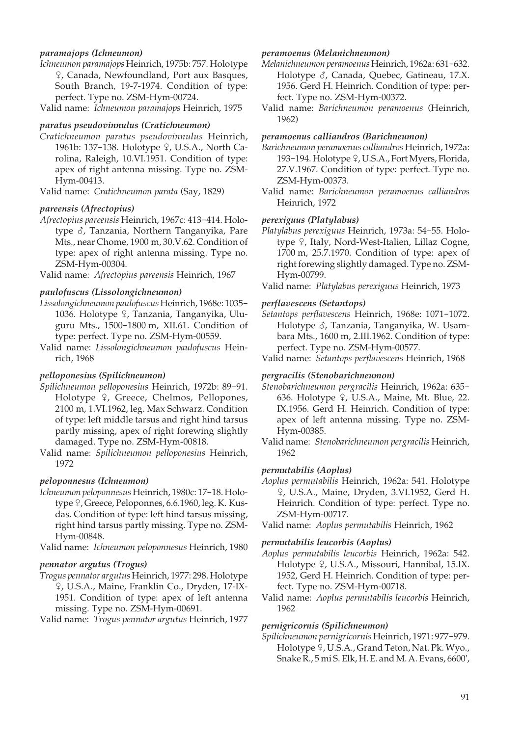## *paramajops (Ichneumon)*

*Ichneumon paramajops* Heinrich, 1975b: 757. Holotype W, Canada, Newfoundland, Port aux Basques, South Branch, 19-7-1974. Condition of type: perfect. Type no. ZSM-Hym-00724.

Valid name: *Ichneumon paramajops* Heinrich, 1975

## *paratus pseudovinnulus (Cratichneumon)*

*Cratichneumon paratus pseudovinnulus* Heinrich, 1961b: 137-138. Holotype 9, U.S.A., North Carolina, Raleigh, 10.VI.1951. Condition of type: apex of right antenna missing. Type no. ZSM-Hym-00413.

Valid name: *Cratichneumon parata* (Say, 1829)

## *pareensis (Afrectopius)*

*Afrectopius pareensis* Heinrich, 1967c: 413-414. Holotype  $\delta$ , Tanzania, Northern Tanganyika, Pare Mts., near Chome, 1900 m, 30.V.62. Condition of type: apex of right antenna missing. Type no. ZSM-Hym-00304.

Valid name: *Afrectopius pareensis* Heinrich, 1967

## *paulofuscus (Lissolongichneumon)*

- *Lissolongichneumon paulofuscus* Heinrich, 1968e: 1035- 1036. Holotype <sup>Q</sup>, Tanzania, Tanganyika, Uluguru Mts., 1500-1800 m, XII.61. Condition of type: perfect. Type no. ZSM-Hym-00559.
- Valid name: *Lissolongichneumon paulofuscus* Heinrich, 1968

#### *pelloponesius (Spilichneumon)*

- *Spilichneumon pelloponesius* Heinrich, 1972b: 89-91. Holotype  $9$ , Greece, Chelmos, Pellopones, 2100 m, 1.VI.1962, leg. Max Schwarz. Condition of type: left middle tarsus and right hind tarsus partly missing, apex of right forewing slightly damaged. Type no. ZSM-Hym-00818.
- Valid name: *Spilichneumon pelloponesius* Heinrich, 1972

## *peloponnesus (Ichneumon)*

- *Ichneumon peloponnesus* Heinrich, 1980c: 17-18. Holotype  $\frac{1}{7}$ , Greece, Peloponnes, 6.6.1960, leg. K. Kusdas. Condition of type: left hind tarsus missing, right hind tarsus partly missing. Type no. ZSM-Hym-00848.
- Valid name: *Ichneumon peloponnesus* Heinrich, 1980

#### *pennator argutus (Trogus)*

*Trogus pennator argutus* Heinrich, 1977: 298. Holotype W, U.S.A., Maine, Franklin Co., Dryden, 17-IX-1951. Condition of type: apex of left antenna missing. Type no. ZSM-Hym-00691.

Valid name: *Trogus pennator argutus* Heinrich, 1977

#### *peramoenus (Melanichneumon)*

- *Melanichneumon peramoenus* Heinrich, 1962a: 631-632. Holotype  $\delta$ , Canada, Quebec, Gatineau, 17.X. 1956. Gerd H. Heinrich. Condition of type: perfect. Type no. ZSM-Hym-00372.
- Valid name: *Barichneumon peramoenus* (Heinrich, 1962)

#### *peramoenus calliandros (Barichneumon)*

- *Barichneumon peramoenus calliandros* Heinrich, 1972a: 193-194. Holotype  $9$ , U.S.A., Fort Myers, Florida, 27.V.1967. Condition of type: perfect. Type no. ZSM-Hym-00373.
- Valid name: *Barichneumon peramoenus calliandros* Heinrich, 1972

## *perexiguus (Platylabus)*

*Platylabus perexiguus* Heinrich, 1973a: 54-55. Holotype 9, Italy, Nord-West-Italien, Lillaz Cogne, 1700 m, 25.7.1970. Condition of type: apex of right forewing slightly damaged. Type no. ZSM-Hym-00799.

#### *perflavescens (Setantops)*

*Setantops perflavescens* Heinrich, 1968e: 1071-1072. Holotype  $\delta$ , Tanzania, Tanganyika, W. Usambara Mts., 1600 m, 2.III.1962. Condition of type: perfect. Type no. ZSM-Hym-00577.

Valid name: *Setantops perflavescens* Heinrich, 1968

## *pergracilis (Stenobarichneumon)*

- *Stenobarichneumon pergracilis* Heinrich, 1962a: 635- 636. Holotype 9, U.S.A., Maine, Mt. Blue, 22. IX.1956. Gerd H. Heinrich. Condition of type: apex of left antenna missing. Type no. ZSM-Hym-00385.
- Valid name: *Stenobarichneumon pergracilis* Heinrich, 1962

#### *permutabilis (Aoplus)*

- *Aoplus permutabilis* Heinrich, 1962a: 541. Holotype W, U.S.A., Maine, Dryden, 3.VI.1952, Gerd H. Heinrich. Condition of type: perfect. Type no. ZSM-Hym-00717.
- Valid name: *Aoplus permutabilis* Heinrich, 1962

#### *permutabilis leucorbis (Aoplus)*

- *Aoplus permutabilis leucorbis* Heinrich, 1962a: 542. Holotype <sup>Q</sup>, U.S.A., Missouri, Hannibal, 15.IX. 1952, Gerd H. Heinrich. Condition of type: perfect. Type no. ZSM-Hym-00718.
- Valid name: *Aoplus permutabilis leucorbis* Heinrich, 1962

#### *pernigricornis (Spilichneumon)*

*Spilichneumon pernigricornis* Heinrich, 1971: 977-979. Holotype  $9$ , U.S.A., Grand Teton, Nat. Pk. Wyo., Snake R., 5 mi S. Elk, H. E. and M. A. Evans, 6600',

Valid name: *Platylabus perexiguus* Heinrich, 1973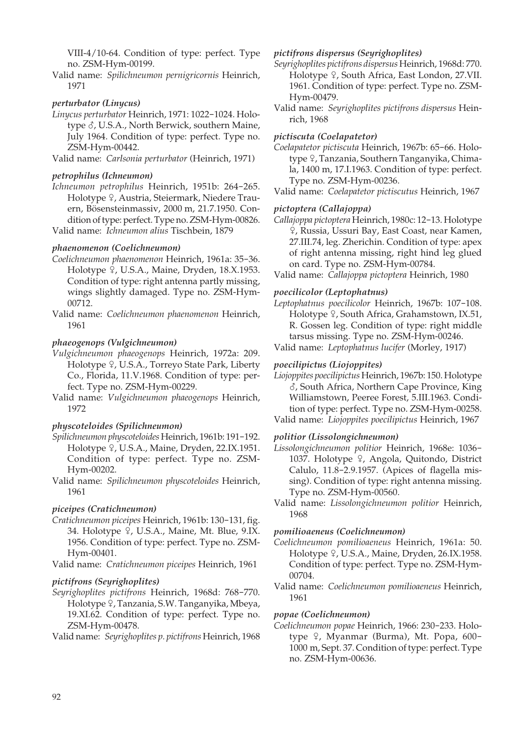VIII-4/10-64. Condition of type: perfect. Type no. ZSM-Hym-00199.

Valid name: *Spilichneumon pernigricornis* Heinrich, 1971

## *perturbator (Linycus)*

*Linycus perturbator* Heinrich, 1971: 1022-1024. Holotype  $\delta$ , U.S.A., North Berwick, southern Maine, July 1964. Condition of type: perfect. Type no. ZSM-Hym-00442.

Valid name: *Carlsonia perturbator* (Heinrich, 1971)

## *petrophilus (Ichneumon)*

*Ichneumon petrophilus* Heinrich, 1951b: 264-265. Holotype 9, Austria, Steiermark, Niedere Trauern, Bösensteinmassiv, 2000 m, 21.7.1950. Condition of type: perfect. Type no. ZSM-Hym-00826.

Valid name: *Ichneumon alius* Tischbein, 1879

## *phaenomenon (Coelichneumon)*

- *Coelichneumon phaenomenon* Heinrich, 1961a: 35-36. Holotype <sup>Q</sup>, U.S.A., Maine, Dryden, 18.X.1953. Condition of type: right antenna partly missing, wings slightly damaged. Type no. ZSM-Hym- 00712.
- Valid name: *Coelichneumon phaenomenon* Heinrich, 1961

## *phaeogenops (Vulgichneumon)*

- *Vulgichneumon phaeogenops* Heinrich, 1972a: 209. Holotype <sup>Q</sup>, U.S.A., Torreyo State Park, Liberty Co., Florida, 11.V.1968. Condition of type: perfect. Type no. ZSM-Hym-00229.
- Valid name: *Vulgichneumon phaeogenops* Heinrich, 1972

## *physcoteloides (Spilichneumon)*

- *Spilichneumon physcoteloides* Heinrich, 1961b: 191-192. Holotype <sub>9</sub>, U.S.A., Maine, Dryden, 22.IX.1951. Condition of type: perfect. Type no. ZSM-Hym-00202.
- Valid name: *Spilichneumon physcoteloides* Heinrich, 1961

## *piceipes (Cratichneumon)*

- *Cratichneumon piceipes* Heinrich, 1961b: 130-131, fig. 34. Holotype  $9$ , U.S.A., Maine, Mt. Blue, 9.IX. 1956. Condition of type: perfect. Type no. ZSM-Hym-00401.
- Valid name: *Cratichneumon piceipes* Heinrich, 1961

## *pictifrons (Seyrighoplites)*

*Seyrighoplites pictifrons* Heinrich, 1968d: 768-770. Holotype ?, Tanzania, S.W. Tanganyika, Mbeya, 19.XI.62. Condition of type: perfect. Type no. ZSM-Hym-00478.

Valid name: *Seyrighoplites p. pictifrons* Heinrich, 1968

#### *pictifrons dispersus (Seyrighoplites)*

- *Seyrighoplites pictifrons dispersus* Heinrich, 1968d: 770. Holotype  $9$ , South Africa, East London, 27.VII. 1961. Condition of type: perfect. Type no. ZSM-Hym-00479.
- Valid name: *Seyrighoplites pictifrons dispersus* Heinrich, 1968

#### *pictiscuta (Coelapatetor)*

*Coelapatetor pictiscuta* Heinrich, 1967b: 65-66. Holotype <sup>Q</sup>, Tanzania, Southern Tanganyika, Chimala, 1400 m, 17.I.1963. Condition of type: perfect. Type no. ZSM-Hym-00236.

Valid name: *Coelapatetor pictiscutus* Heinrich, 1967

## *pictoptera (Callajoppa)*

*Callajoppa pictoptera* Heinrich, 1980c: 12-13. Holotype W, Russia, Ussuri Bay, East Coast, near Kamen, 27.III.74, leg. Zherichin. Condition of type: apex of right antenna missing, right hind leg glued on card. Type no. ZSM-Hym-00784.

Valid name: *Callajoppa pictoptera* Heinrich, 1980

## *poecilicolor (Leptophatnus)*

*Leptophatnus poecilicolor* Heinrich, 1967b: 107-108. Holotype <sup>Q</sup>, South Africa, Grahamstown, IX.51, R. Gossen leg. Condition of type: right middle tarsus missing. Type no. ZSM-Hym-00246.

Valid name: *Leptophatnus lucifer* (Morley, 1917)

## *poecilipictus (Liojoppites)*

*Liojoppites poecilipictus* Heinrich, 1967b: 150. Holotype M, South Africa, Northern Cape Province, King Williamstown, Peeree Forest, 5.III.1963. Condition of type: perfect. Type no. ZSM-Hym-00258. Valid name: *Liojoppites poecilipictus* Heinrich, 1967

#### *politior (Lissolongichneumon)*

*Lissolongichneumon politior* Heinrich, 1968e: 1036- 1037. Holotype 9, Angola, Quitondo, District Calulo, 11.8-2.9.1957. (Apices of flagella missing). Condition of type: right antenna missing. Type no. ZSM-Hym-00560.

Valid name: *Lissolongichneumon politior* Heinrich, 1968

#### *pomilioaeneus (Coelichneumon)*

- *Coelichneumon pomilioaeneus* Heinrich, 1961a: 50. Holotype <sup>Q</sup>, U.S.A., Maine, Dryden, 26.IX.1958. Condition of type: perfect. Type no. ZSM-Hym- 00704.
- Valid name: *Coelichneumon pomilioaeneus* Heinrich, 1961

#### *popae (Coelichneumon)*

*Coelichneumon popae* Heinrich, 1966: 230-233. Holotype  $9$ , Myanmar (Burma), Mt. Popa, 600-1000 m, Sept. 37. Condition of type: perfect. Type no. ZSM-Hym-00636.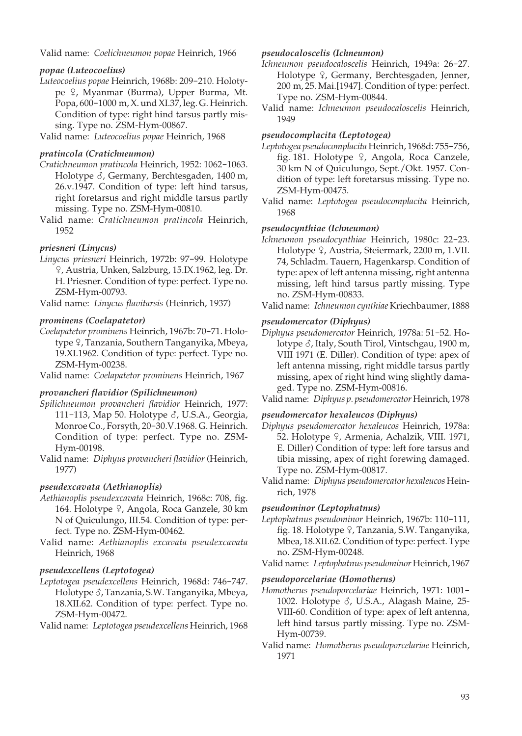Valid name: *Coelichneumon popae* Heinrich, 1966

## *popae (Luteocoelius)*

*Luteocoelius popae* Heinrich, 1968b: 209-210. Holotype <sup> $Q$ </sup>, Myanmar (Burma), Upper Burma, Mt. Popa, 600-1000 m, X. und XI.37, leg. G. Heinrich. Condition of type: right hind tarsus partly missing. Type no.  $\overline{Z}$ SM-Hym-00867.

Valid name: *Luteocoelius popae* Heinrich, 1968

## *pratincola (Cratichneumon)*

- *Cratichneumon pratincola* Heinrich, 1952: 1062-1063. Holotype  $\delta$ , Germany, Berchtesgaden, 1400 m, 26.v.1947. Condition of type: left hind tarsus, right foretarsus and right middle tarsus partly missing. Type no. ZSM-Hym-00810.
- Valid name: *Cratichneumon pratincola* Heinrich, 1952

## *priesneri (Linycus)*

*Linycus priesneri* Heinrich, 1972b: 97-99. Holotype W, Austria, Unken, Salzburg, 15.IX.1962, leg. Dr. H. Priesner. Condition of type: perfect. Type no. ZSM-Hym-00793.

Valid name: *Linycus flavitarsis* (Heinrich, 1937)

## *prominens (Coelapatetor)*

- *Coelapatetor prominens* Heinrich, 1967b: 70-71. Holotype <sup>Q</sup>, Tanzania, Southern Tanganyika, Mbeya, 19.XI.1962. Condition of type: perfect. Type no. ZSM-Hym-00238.
- Valid name: *Coelapatetor prominens* Heinrich, 1967

## *provancheri flavidior (Spilichneumon)*

- *Spilichneumon provancheri flavidior* Heinrich, 1977: 111-113, Map 50. Holotype  $\delta$ , U.S.A., Georgia, Monroe Co., Forsyth, 20-30.V.1968. G. Heinrich. Condition of type: perfect. Type no. ZSM-Hym-00198.
- Valid name: *Diphyus provancheri flavidior* (Heinrich, 1977)

## *pseudexcavata (Aethianoplis)*

- *Aethianoplis pseudexcavata* Heinrich, 1968c: 708, fig. 164. Holotype 9, Angola, Roca Ganzele, 30 km N of Quiculungo, III.54. Condition of type: perfect. Type no. ZSM-Hym-00462.
- Valid name: *Aethianoplis excavata pseudexcavata* Heinrich, 1968

## *pseudexcellens (Leptotogea)*

*Leptotogea pseudexcellens* Heinrich, 1968d: 746-747. Holotype  $\delta$ , Tanzania, S.W. Tanganyika, Mbeya, 18.XII.62. Condition of type: perfect. Type no. ZSM-Hym-00472.

Valid name: *Leptotogea pseudexcellens* Heinrich, 1968

## *pseudocaloscelis (Ichneumon)*

- *Ichneumon pseudocaloscelis* Heinrich, 1949a: 26-27. Holotype <sup>Q</sup>, Germany, Berchtesgaden, Jenner, 200 m, 25. Mai.[1947]. Condition of type: perfect. Type no. ZSM-Hym-00844.
- Valid name: *Ichneumon pseudocaloscelis* Heinrich, 1949

## *pseudocomplacita (Leptotogea)*

- *Leptotogea pseudocomplacita* Heinrich, 1968d: 755-756, fig. 181. Holotype  $\frac{1}{2}$ , Angola, Roca Canzele, 30 km N of Quiculungo, Sept./Okt. 1957. Condition of type: left foretarsus missing. Type no. ZSM-Hym-00475.
- Valid name: *Leptotogea pseudocomplacita* Heinrich, 1968

## *pseudocynthiae (Ichneumon)*

- *Ichneumon pseudocynthiae* Heinrich, 1980c: 22-23. Holotype  $9$ , Austria, Steiermark, 2200 m, 1.VII. 74, Schladm. Tauern, Hagenkarsp. Condition of type: apex of left antenna missing, right antenna missing, left hind tarsus partly missing. Type no. ZSM-Hym-00833.
- Valid name: *Ichneumon cynthiae* Kriechbaumer, 1888

## *pseudomercator (Diphyus)*

- *Diphyus pseudomercator* Heinrich, 1978a: 51-52. Holotype  $\delta$ , Italy, South Tirol, Vintschgau, 1900 m, VIII 1971 (E. Diller). Condition of type: apex of left antenna missing, right middle tarsus partly missing, apex of right hind wing slightly damaged. Type no. ZSM-Hym-00816.
- Valid name: *Diphyus p. pseudomercator* Heinrich, 1978

## *pseudomercator hexaleucos (Diphyus)*

- *Diphyus pseudomercator hexaleucos* Heinrich, 1978a: 52. Holotype <sup>Q</sup>, Armenia, Achalzik, VIII. 1971, E. Diller) Condition of type: left fore tarsus and tibia missing, apex of right forewing damaged. Type no. ZSM-Hym-00817.
- Valid name: *Diphyus pseudomercator hexaleucos* Heinrich, 1978

## *pseudominor (Leptophatnus)*

- *Leptophatnus pseudominor* Heinrich, 1967b: 110-111, fig. 18. Holotype  $\sqrt{ }$ , Tanzania, S.W. Tanganyika, Mbea, 18.XII.62. Condition of type: perfect. Type no. ZSM-Hym-00248.
- Valid name: *Leptophatnus pseudominor* Heinrich, 1967

## *pseudoporcelariae (Homotherus)*

- *Homotherus pseudoporcelariae* Heinrich, 1971: 1001- 1002. Holotype  $\delta$ , U.S.A., Alagash Maine, 25-VIII-60. Condition of type: apex of left antenna, left hind tarsus partly missing. Type no. ZSM-Hym-00739.
- Valid name: *Homotherus pseudoporcelariae* Heinrich, 1971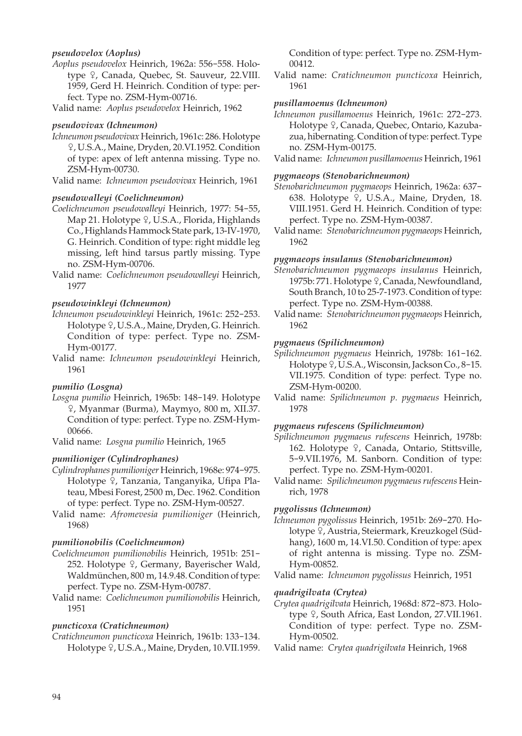## *pseudovelox (Aoplus)*

*Aoplus pseudovelox* Heinrich, 1962a: 556-558. Holotype <sup>o</sup>, Canada, Quebec, St. Sauveur, 22.VIII. 1959, Gerd H. Heinrich. Condition of type: perfect. Type no. ZSM-Hym-00716.

Valid name: *Aoplus pseudovelox* Heinrich, 1962

#### *pseudovivax (Ichneumon)*

- *Ichneumon pseudovivax* Heinrich, 1961c: 286. Holotype W, U.S.A., Maine, Dryden, 20.VI.1952. Condition of type: apex of left antenna missing. Type no. ZSM-Hym-00730.
- Valid name: *Ichneumon pseudovivax* Heinrich, 1961

#### *pseudowalleyi (Coelichneumon)*

- *Coelichneumon pseudowalleyi* Heinrich, 1977: 54-55, Map 21. Holotype  $\frac{1}{2}$ , U.S.A., Florida, Highlands Co., Highlands Hammock State park, 13-IV-1970, G. Heinrich. Condition of type: right middle leg missing, left hind tarsus partly missing. Type no. ZSM-Hym-00706.
- Valid name: *Coelichneumon pseudowalleyi* Heinrich, 1977

#### *pseudowinkleyi (Ichneumon)*

- *Ichneumon pseudowinkleyi* Heinrich, 1961c: 252-253. Holotype <sup>Q</sup>, U.S.A., Maine, Dryden, G. Heinrich. Condition of type: perfect. Type no. ZSM-Hym-00177.
- Valid name: *Ichneumon pseudowinkleyi* Heinrich, 1961

#### *pumilio (Losgna)*

- *Losgna pumilio* Heinrich, 1965b: 148-149. Holotype W, Myanmar (Burma), Maymyo, 800 m, XII.37. Condition of type: perfect. Type no. ZSM-Hym- 00666.
- Valid name: *Losgna pumilio* Heinrich, 1965

#### *pumilioniger (Cylindrophanes)*

- *Cylindrophanes pumilioniger* Heinrich, 1968e: 974-975. Holotype <sup>Q</sup>, Tanzania, Tanganyika, Ufipa Plateau, Mbesi Forest, 2500 m, Dec. 1962. Condition of type: perfect. Type no. ZSM-Hym-00527.
- Valid name: *Afromevesia pumilioniger* (Heinrich, 1968)

#### *pumilionobilis (Coelichneumon)*

- *Coelichneumon pumilionobilis* Heinrich, 1951b: 251- 252. Holotype 9, Germany, Bayerischer Wald, Waldmünchen, 800 m, 14.9.48. Condition of type: perfect. Type no. ZSM-Hym-00787.
- Valid name: *Coelichneumon pumilionobilis* Heinrich, 1951

#### *puncticoxa (Cratichneumon)*

*Cratichneumon puncticoxa* Heinrich, 1961b: 133-134. Holotype  $9$ , U.S.A., Maine, Dryden, 10.VII.1959. Condition of type: perfect. Type no. ZSM-Hym- 00412.

Valid name: *Cratichneumon puncticoxa* Heinrich, 1961

#### *pusillamoenus (Ichneumon)*

- *Ichneumon pusillamoenus* Heinrich, 1961c: 272-273. Holotype <sup>2</sup>, Canada, Quebec, Ontario, Kazubazua, hibernating. Condition of type: perfect. Type no. ZSM-Hym-00175.
- Valid name: *Ichneumon pusillamoenus* Heinrich, 1961

## *pygmaeops (Stenobarichneumon)*

- *Stenobarichneumon pygmaeops* Heinrich, 1962a: 637- 638. Holotype 9, U.S.A., Maine, Dryden, 18. VIII.1951. Gerd H. Heinrich. Condition of type: perfect. Type no. ZSM-Hym-00387.
- Valid name: *Stenobarichneumon pygmaeops* Heinrich, 1962

#### *pygmaeops insulanus (Stenobarichneumon)*

- *Stenobarichneumon pygmaeops insulanus* Heinrich, 1975b: 771. Holotype  $\varphi$ , Canada, Newfoundland, South Branch, 10 to 25-7-1973. Condition of type: perfect. Type no. ZSM-Hym-00388.
- Valid name: *Stenobarichneumon pygmaeops* Heinrich, 1962

#### *pygmaeus (Spilichneumon)*

- *Spilichneumon pygmaeus* Heinrich, 1978b: 161-162. Holotype  $9$ , U.S.A., Wisconsin, Jackson Co., 8-15. VII.1975. Condition of type: perfect. Type no. ZSM-Hym-00200.
- Valid name: *Spilichneumon p. pygmaeus* Heinrich, 1978

#### *pygmaeus rufescens (Spilichneumon)*

- *Spilichneumon pygmaeus rufescens* Heinrich, 1978b: 162. Holotype  $9$ , Canada, Ontario, Stittsville, 5-9.VII.1976, M. Sanborn. Condition of type: perfect. Type no. ZSM-Hym-00201.
- Valid name: *Spilichneumon pygmaeus rufescens* Heinrich, 1978

#### *pygolissus (Ichneumon)*

*Ichneumon pygolissus* Heinrich, 1951b: 269-270. Holotype <sup>Q</sup>, Austria, Steiermark, Kreuzkogel (Südhang), 1600 m, 14.VI.50. Condition of type: apex of right antenna is missing. Type no. ZSM-Hym-00852.

Valid name: *Ichneumon pygolissus* Heinrich, 1951

#### *quadrigilvata (Crytea)*

*Crytea quadrigilvata* Heinrich, 1968d: 872-873. Holotype 9, South Africa, East London, 27.VII.1961. Condition of type: perfect. Type no. ZSM-Hym-00502.

Valid name: *Crytea quadrigilvata* Heinrich, 1968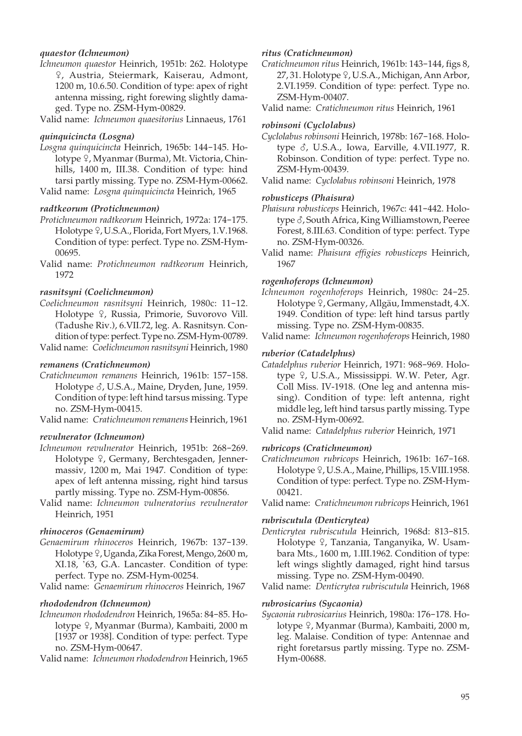## *quaestor (Ichneumon)*

*Ichneumon quaestor* Heinrich, 1951b: 262. Holotype W, Austria, Steiermark, Kaiserau, Admont, 1200 m, 10.6.50. Condition of type: apex of right antenna missing, right forewing slightly damaged. Type no. ZSM-Hym-00829.

Valid name: *Ichneumon quaesitorius* Linnaeus, 1761

#### *quinquicincta (Losgna)*

- *Losgna quinquicincta* Heinrich, 1965b: 144-145. Holotype <sup>Q</sup>, Myanmar (Burma), Mt. Victoria, Chinhills, 1400 m, III.38. Condition of type: hind tarsi partly missing. Type no. ZSM-Hym-00662.
- Valid name: *Losgna quinquicincta* Heinrich, 1965

## *radtkeorum (Protichneumon)*

- *Protichneumon radtkeorum* Heinrich, 1972a: 174-175. Holotype  $9$ , U.S.A., Florida, Fort Myers, 1.V.1968. Condition of type: perfect. Type no. ZSM-Hym- 00695.
- Valid name: *Protichneumon radtkeorum* Heinrich, 1972

## *rasnitsyni (Coelichneumon)*

- *Coelichneumon rasnitsyni* Heinrich, 1980c: 11-12. Holotype <sup>Q</sup>, Russia, Primorie, Suvorovo Vill. (Tadushe Riv.), 6.VII.72, leg. A. Rasnitsyn. Condition of type: perfect. Type no. ZSM-Hym-00789.
- Valid name: *Coelichneumon rasnitsyni* Heinrich, 1980

## *remanens (Cratichneumon)*

*Cratichneumon remanens* Heinrich, 1961b: 157-158. Holotype  $\delta$ , U.S.A., Maine, Dryden, June, 1959. Condition of type: left hind tarsus missing. Type no. ZSM-Hym-00415.

Valid name: *Cratichneumon remanens* Heinrich, 1961

### *revulnerator (Ichneumon)*

- *Ichneumon revulnerator* Heinrich, 1951b: 268-269. Holotype <sup>Q</sup>, Germany, Berchtesgaden, Jennermassiv, 1200 m, Mai 1947. Condition of type: apex of left antenna missing, right hind tarsus partly missing. Type no. ZSM-Hym-00856.
- Valid name: *Ichneumon vulneratorius revulnerator* Heinrich, 1951

#### *rhinoceros (Genaemirum)*

*Genaemirum rhinoceros* Heinrich, 1967b: 137-139. Holotype <sup>Q</sup>, Uganda, Zika Forest, Mengo, 2600 m, XI.18, '63, G.A. Lancaster. Condition of type: perfect. Type no. ZSM-Hym-00254.

Valid name: *Genaemirum rhinoceros* Heinrich, 1967

#### *rhododendron (Ichneumon)*

*Ichneumon rhododendron* Heinrich, 1965a: 84-85. Holotype 9, Myanmar (Burma), Kambaiti, 2000 m [1937 or 1938]. Condition of type: perfect. Type no. ZSM-Hym-00647.

Valid name: *Ichneumon rhododendron* Heinrich, 1965

## *ritus (Cratichneumon)*

*Cratichneumon ritus* Heinrich, 1961b: 143-144, figs 8,  $27, 31$ . Holotype  $9$ , U.S.A., Michigan, Ann Arbor, 2.VI.1959. Condition of type: perfect. Type no. ZSM-Hym-00407.

Valid name: *Cratichneumon ritus* Heinrich, 1961

## *robinsoni (Cyclolabus)*

*Cyclolabus robinsoni* Heinrich, 1978b: 167-168. Holotype  $\delta$ , U.S.A., Iowa, Earville, 4.VII.1977, R. Robinson. Condition of type: perfect. Type no. ZSM-Hym-00439.

Valid name: *Cyclolabus robinsoni* Heinrich, 1978

## *robusticeps (Phaisura)*

- *Phaisura robusticeps* Heinrich, 1967c: 441-442. Holotype  $\delta$ , South Africa, King Williamstown, Peeree Forest, 8.III.63. Condition of type: perfect. Type no. ZSM-Hym-00326.
- Valid name: *Phaisura effigies robusticeps* Heinrich, 1967

## *rogenhoferops (Ichneumon)*

*Ichneumon rogenhoferops* Heinrich, 1980c: 24-25. Holotype ?, Germany, Allgäu, Immenstadt, 4.X. 1949. Condition of type: left hind tarsus partly missing. Type no. ZSM-Hym-00835.

Valid name: *Ichneumon rogenhoferops* Heinrich, 1980

## *ruberior (Catadelphus)*

- *Catadelphus ruberior* Heinrich, 1971: 968-969. Holotype 9, U.S.A., Mississippi. W.W. Peter, Agr. Coll Miss. IV-1918. (One leg and antenna missing). Condition of type: left antenna, right middle leg, left hind tarsus partly missing. Type no. ZSM-Hym-00692.
- Valid name: *Catadelphus ruberior* Heinrich, 1971

#### *rubricops (Cratichneumon)*

*Cratichneumon rubricops* Heinrich, 1961b: 167-168. Holotype  $9$ , U.S.A., Maine, Phillips, 15.VIII.1958. Condition of type: perfect. Type no. ZSM-Hym- 00421.

Valid name: *Cratichneumon rubricops* Heinrich, 1961

#### *rubriscutula (Denticrytea)*

*Denticrytea rubriscutula* Heinrich, 1968d: 813-815. Holotype <sup>Q</sup>, Tanzania, Tanganyika, W. Usambara Mts., 1600 m, 1.III.1962. Condition of type: left wings slightly damaged, right hind tarsus missing. Type no. ZSM-Hym-00490.

Valid name: *Denticrytea rubriscutula* Heinrich, 1968

#### *rubrosicarius (Sycaonia)*

*Sycaonia rubrosicarius* Heinrich, 1980a: 176-178. Holotype º, Myanmar (Burma), Kambaiti, 2000 m, leg. Malaise. Condition of type: Antennae and right foretarsus partly missing. Type no. ZSM-Hym-00688.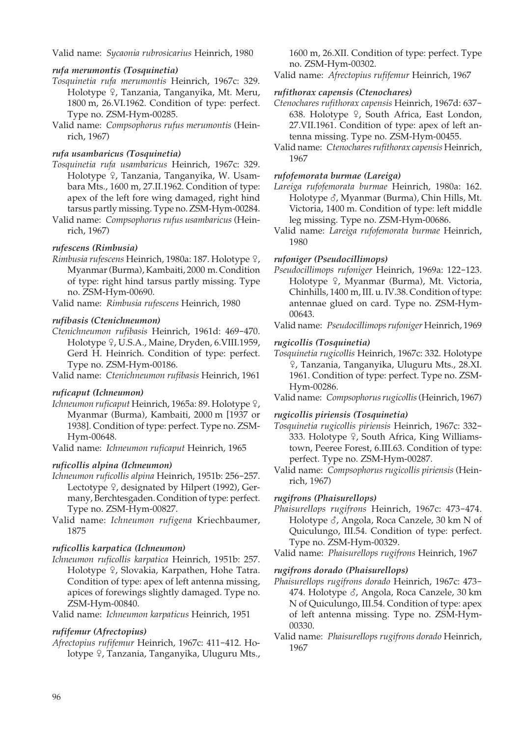Valid name: *Sycaonia rubrosicarius* Heinrich, 1980

#### *rufa merumontis (Tosquinetia)*

- *Tosquinetia rufa merumontis* Heinrich, 1967c: 329. Holotype <sup>Q</sup>, Tanzania, Tanganyika, Mt. Meru, 1800 m, 26.VI.1962. Condition of type: perfect. Type no. ZSM-Hym-00285.
- Valid name: *Compsophorus rufus merumontis* (Heinrich, 1967)

## *rufa usambaricus (Tosquinetia)*

- *Tosquinetia rufa usambaricus* Heinrich, 1967c: 329. Holotype <sup>Q</sup>, Tanzania, Tanganyika, W. Usambara Mts., 1600 m, 27.II.1962. Condition of type: apex of the left fore wing damaged, right hind tarsus partly missing. Type no. ZSM-Hym-00284.
- Valid name: *Compsophorus rufus usambaricus* (Heinrich, 1967)

## *rufescens (Rimbusia)*

*Rimbusia rufescens* Heinrich, 1980a: 187. Holotype ?, Myanmar (Burma), Kambaiti, 2000 m. Condition of type: right hind tarsus partly missing. Type no. ZSM-Hym-00690.

Valid name: *Rimbusia rufescens* Heinrich, 1980

## *rufibasis (Ctenichneumon)*

*Ctenichneumon rufibasis* Heinrich, 1961d: 469-470. Holotype  $9$ , U.S.A., Maine, Dryden, 6.VIII.1959, Gerd H. Heinrich. Condition of type: perfect. Type no. ZSM-Hym-00186.

Valid name: *Ctenichneumon rufibasis* Heinrich, 1961

## *ruficaput (Ichneumon)*

*Ichneumon ruficaput* Heinrich, 1965a: 89. Holotype ?, Myanmar (Burma), Kambaiti, 2000 m [1937 or 1938]. Condition of type: perfect. Type no. ZSM-Hym-00648.

Valid name: *Ichneumon ruficaput* Heinrich, 1965

## *ruficollis alpina (Ichneumon)*

- *Ichneumon ruficollis alpina* Heinrich, 1951b: 256-257. Lectotype  $\frac{1}{2}$ , designated by Hilpert (1992), Germany, Berchtesgaden. Condition of type: perfect. Type no. ZSM-Hym-00827.
- Valid name: *Ichneumon rufigena* Kriechbaumer, 1875

## *ruficollis karpatica (Ichneumon)*

*Ichneumon ruficollis karpatica* Heinrich, 1951b: 257. Holotype <sup>Q</sup>, Slovakia, Karpathen, Hohe Tatra. Condition of type: apex of left antenna missing, apices of forewings slightly damaged. Type no. ZSM-Hym-00840.

Valid name: *Ichneumon karpaticus* Heinrich, 1951

## *rufifemur (Afrectopius)*

*Afrectopius rufifemur* Heinrich, 1967c: 411-412. Holotype <sup>Q</sup>, Tanzania, Tanganyika, Uluguru Mts., 1600 m, 26.XII. Condition of type: perfect. Type no. ZSM-Hym-00302.

Valid name: *Afrectopius rufifemur* Heinrich, 1967

#### *rufithorax capensis (Ctenochares)*

- *Ctenochares rufithorax capensis* Heinrich, 1967d: 637- 638. Holotype  $\frac{1}{2}$ , South Africa, East London, 27.VII.1961. Condition of type: apex of left antenna missing. Type no. ZSM-Hym-00455.
- Valid name: *Ctenochares rufithorax capensis* Heinrich, 1967

## *rufofemorata burmae (Lareiga)*

- *Lareiga rufofemorata burmae* Heinrich, 1980a: 162. Holotype  $\delta$ , Myanmar (Burma), Chin Hills, Mt. Victoria, 1400 m. Condition of type: left middle leg missing. Type no. ZSM-Hym-00686.
- Valid name: *Lareiga rufofemorata burmae* Heinrich, 1980

## *rufoniger (Pseudocillimops)*

- *Pseudocillimops rufoniger* Heinrich, 1969a: 122-123. Holotype <sup>Q</sup>, Myanmar (Burma), Mt. Victoria, Chinhills, 1400 m, III. u. IV.38. Condition of type: antennae glued on card. Type no. ZSM-Hym- 00643.
- Valid name: *Pseudocillimops rufoniger* Heinrich, 1969

## *rugicollis (Tosquinetia)*

- *Tosquinetia rugicollis* Heinrich, 1967c: 332. Holotype W, Tanzania, Tanganyika, Uluguru Mts., 28.XI. 1961. Condition of type: perfect. Type no. ZSM-Hym-00286.
- Valid name: *Compsophorus rugicollis* (Heinrich, 1967)

## *rugicollis piriensis (Tosquinetia)*

- *Tosquinetia rugicollis piriensis* Heinrich, 1967c: 332- 333. Holotype 9, South Africa, King Williamstown, Peeree Forest, 6.III.63. Condition of type: perfect. Type no. ZSM-Hym-00287.
- Valid name: *Compsophorus rugicollis piriensis* (Heinrich, 1967)

#### *rugifrons (Phaisurellops)*

*Phaisurellops rugifrons* Heinrich, 1967c: 473-474. Holotype  $\delta$ , Angola, Roca Canzele, 30 km N of Quiculungo, III.54. Condition of type: perfect. Type no. ZSM-Hym-00329.

Valid name: *Phaisurellops rugifrons* Heinrich, 1967

#### *rugifrons dorado (Phaisurellops)*

- *Phaisurellops rugifrons dorado* Heinrich, 1967c: 473- 474. Holotype  $\delta$ , Angola, Roca Canzele, 30 km N of Quiculungo, III.54. Condition of type: apex of left antenna missing. Type no. ZSM-Hym- 00330.
- Valid name: *Phaisurellops rugifrons dorado* Heinrich, 1967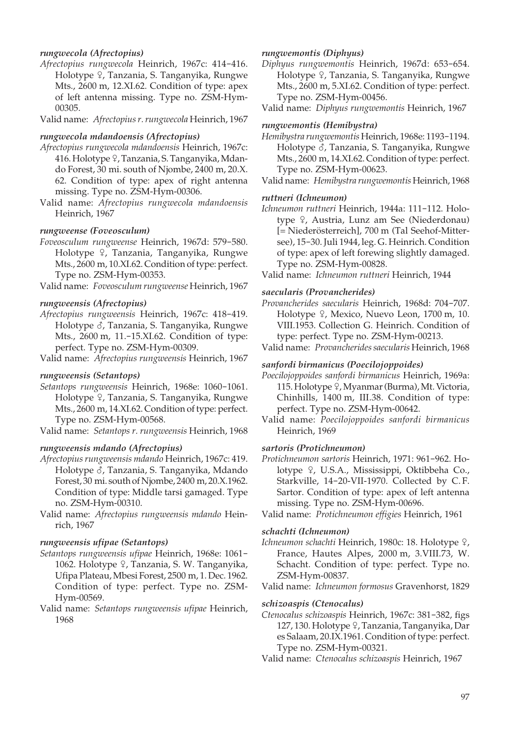## *rungwecola (Afrectopius)*

- *Afrectopius rungwecola* Heinrich, 1967c: 414-416. Holotype <sup>2</sup>, Tanzania, S. Tanganyika, Rungwe Mts., 2600 m, 12.XI.62. Condition of type: apex of left antenna missing. Type no. ZSM-Hym- 00305.
- Valid name: *Afrectopius r. rungwecola* Heinrich, 1967

#### *rungwecola mdandoensis (Afrectopius)*

- *Afrectopius rungwecola mdandoensis* Heinrich, 1967c: 416. Holotype 9, Tanzania, S. Tanganyika, Mdando Forest, 30 mi. south of Njombe, 2400 m, 20.X. 62. Condition of type: apex of right antenna missing. Type no. ZSM-Hym-00306.
- Valid name: *Afrectopius rungwecola mdandoensis* Heinrich, 1967

## *rungweense (Foveosculum)*

*Foveosculum rungweense* Heinrich, 1967d: 579-580. Holotype <sup>Q</sup>, Tanzania, Tanganyika, Rungwe Mts., 2600 m, 10.XI.62. Condition of type: perfect. Type no. ZSM-Hym-00353.

Valid name: *Foveosculum rungweense* Heinrich, 1967

#### *rungweensis (Afrectopius)*

*Afrectopius rungweensis* Heinrich, 1967c: 418-419. Holotype  $\delta$ , Tanzania, S. Tanganyika, Rungwe Mts., 2600 m, 11.-15.XI.62. Condition of type: perfect. Type no. ZSM-Hym-00309.

Valid name: *Afrectopius rungweensis* Heinrich, 1967

#### *rungweensis (Setantops)*

*Setantops rungweensis* Heinrich, 1968e: 1060-1061. Holotype <sup>Q</sup>, Tanzania, S. Tanganyika, Rungwe Mts., 2600 m, 14.XI.62. Condition of type: perfect. Type no. ZSM-Hym-00568.

Valid name: *Setantops r. rungweensis* Heinrich, 1968

## *rungweensis mdando (Afrectopius)*

- *Afrectopius rungweensis mdando* Heinrich, 1967c: 419. Holotype  $\delta$ , Tanzania, S. Tanganyika, Mdando Forest, 30 mi. south of Njombe, 2400 m, 20.X.1962. Condition of type: Middle tarsi gamaged. Type no. ZSM-Hym-00310.
- Valid name: *Afrectopius rungweensis mdando* Heinrich, 1967

#### *rungweensis ufipae (Setantops)*

- *Setantops rungweensis ufipae* Heinrich, 1968e: 1061- 1062. Holotype 9, Tanzania, S. W. Tanganyika, Ufipa Plateau, Mbesi Forest, 2500 m, 1. Dec. 1962. Condition of type: perfect. Type no. ZSM-Hym-00569.
- Valid name: *Setantops rungweensis ufipae* Heinrich, 1968

#### *rungwemontis (Diphyus)*

*Diphyus rungwemontis* Heinrich, 1967d: 653-654. Holotype <sup>Q</sup>, Tanzania, S. Tanganyika, Rungwe Mts., 2600 m, 5.XI.62. Condition of type: perfect. Type no. ZSM-Hym-00456.

Valid name: *Diphyus rungwemontis* Heinrich, 1967

#### *rungwemontis (Hemibystra)*

- *Hemibystra rungwemontis* Heinrich, 1968e: 1193-1194. Holotype  $\delta$ , Tanzania, S. Tanganyika, Rungwe Mts., 2600 m, 14.XI.62. Condition of type: perfect. Type no. ZSM-Hym-00623.
- Valid name: *Hemibystra rungwemontis* Heinrich, 1968

#### *ruttneri (Ichneumon)*

*Ichneumon ruttneri* Heinrich, 1944a: 111-112. Holotype  $\varphi$ , Austria, Lunz am See (Niederdonau) [= Niederösterreich], 700 m (Tal Seehof-Mittersee), 15-30. Juli 1944, leg. G. Heinrich. Condition of type: apex of left forewing slightly damaged. Type no. ZSM-Hym-00828.

Valid name: *Ichneumon ruttneri* Heinrich, 1944

#### *saecularis (Provancherides)*

- *Provancherides saecularis* Heinrich, 1968d: 704-707. Holotype  $9$ , Mexico, Nuevo Leon, 1700 m, 10. VIII.1953. Collection G. Heinrich. Condition of type: perfect. Type no. ZSM-Hym-00213.
- Valid name: *Provancherides saecularis* Heinrich, 1968

#### *sanfordi birmanicus (Poecilojoppoides)*

- *Poecilojoppoides sanfordi birmanicus* Heinrich, 1969a: 115. Holotype  $\varphi$ , Myanmar (Burma), Mt. Victoria, Chinhills, 1400 m, III.38. Condition of type: perfect. Type no. ZSM-Hym-00642.
- Valid name: *Poecilojoppoides sanfordi birmanicus* Heinrich, 1969

#### *sartoris (Protichneumon)*

*Protichneumon sartoris* Heinrich, 1971: 961-962. Holotype º, U.S.A., Mississippi, Oktibbeha Co., Starkville, 14-20-VII-1970. Collected by C. F. Sartor. Condition of type: apex of left antenna missing. Type no. ZSM-Hym-00696.

Valid name: *Protichneumon effigies* Heinrich, 1961

#### *schachti (Ichneumon)*

*Ichneumon schachti* Heinrich, 1980c: 18. Holotype ?, France, Hautes Alpes, 2000 m, 3.VIII.73, W. Schacht. Condition of type: perfect. Type no. ZSM-Hym-00837.

Valid name: *Ichneumon formosus* Gravenhorst, 1829

## *schizoaspis (Ctenocalus)*

- *Ctenocalus schizoaspis* Heinrich, 1967c: 381-382, figs 127, 130. Holotype ?, Tanzania, Tanganyika, Dar es Salaam, 20.IX.1961. Condition of type: perfect. Type no. ZSM-Hym-00321.
- Valid name: *Ctenocalus schizoaspis* Heinrich, 1967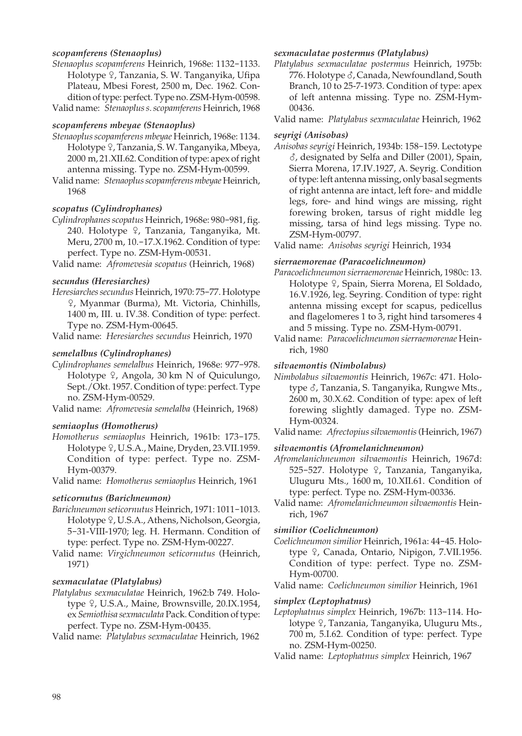## *scopamferens (Stenaoplus)*

- *Stenaoplus scopamferens* Heinrich, 1968e: 1132-1133. Holotype 9, Tanzania, S. W. Tanganyika, Ufipa Plateau, Mbesi Forest, 2500 m, Dec. 1962. Condition of type: perfect. Type no. ZSM-Hym-00598.
- Valid name: *Stenaoplus s. scopamferens* Heinrich, 1968

## *scopamferens mbeyae (Stenaoplus)*

- *Stenaoplus scopamferens mbeyae* Heinrich, 1968e: 1134. Holotype 9, Tanzania, S. W. Tanganyika, Mbeya, 2000 m, 21.XII.62. Condition of type: apex of right antenna missing. Type no. ZSM-Hym-00599.
- Valid name: *Stenaoplus scopamferens mbeyae* Heinrich, 1968

## *scopatus (Cylindrophanes)*

*Cylindrophanes scopatus* Heinrich, 1968e: 980-981, fig. 240. Holotype 9, Tanzania, Tanganyika, Mt. Meru, 2700 m, 10.-17.X.1962. Condition of type: perfect. Type no. ZSM-Hym-00531.

Valid name: *Afromevesia scopatus* (Heinrich, 1968)

## *secundus (Heresiarches)*

*Heresiarches secundus* Heinrich, 1970: 75-77. Holotype W, Myanmar (Burma), Mt. Victoria, Chinhills, 1400 m, III. u. IV.38. Condition of type: perfect. Type no. ZSM-Hym-00645.

Valid name: *Heresiarches secundus* Heinrich, 1970

## *semelalbus (Cylindrophanes)*

*Cylindrophanes semelalbus* Heinrich, 1968e: 977-978. Holotype  $9$ , Angola, 30 km N of Quiculungo, Sept./Okt. 1957. Condition of type: perfect. Type no. ZSM-Hym-00529.

Valid name: *Afromevesia semelalba* (Heinrich, 1968)

#### *semiaoplus (Homotherus)*

*Homotherus semiaoplus* Heinrich, 1961b: 173-175. Holotype <sup>Q</sup>, U.S.A., Maine, Dryden, 23.VII.1959. Condition of type: perfect. Type no. ZSM-Hym-00379.

Valid name: *Homotherus semiaoplus* Heinrich, 1961

#### *seticornutus (Barichneumon)*

- *Barichneumon seticornutus* Heinrich, 1971: 1011-1013. Holotype <sup>Q</sup>, U.S.A., Athens, Nicholson, Georgia, 5-31-VIII-1970; leg. H. Hermann. Condition of type: perfect. Type no. ZSM-Hym-00227.
- Valid name: *Virgichneumon seticornutus* (Heinrich, 1971)

## *sexmaculatae (Platylabus)*

- *Platylabus sexmaculatae* Heinrich, 1962:b 749. Holotype <sup>Q</sup>, U.S.A., Maine, Brownsville, 20.IX.1954, ex *Semiothisa sexmaculata* Pack. Condition of type: perfect. Type no. ZSM-Hym-00435.
- Valid name: *Platylabus sexmaculatae* Heinrich, 1962

#### *sexmaculatae postermus (Platylabus)*

*Platylabus sexmaculatae postermus* Heinrich, 1975b: 776. Holotype  $\delta$ , Canada, Newfoundland, South Branch, 10 to 25-7-1973. Condition of type: apex of left antenna missing. Type no. ZSM-Hym- 00436.

## Valid name: *Platylabus sexmaculatae* Heinrich, 1962

## *seyrigi (Anisobas)*

*Anisobas seyrigi* Heinrich, 1934b: 158-159. Lectotype  $\delta$ , designated by Selfa and Diller (2001), Spain, Sierra Morena, 17.IV.1927, A. Seyrig. Condition of type: left antenna missing, only basal segments of right antenna are intact, left fore- and middle legs, fore- and hind wings are missing, right forewing broken, tarsus of right middle leg missing, tarsa of hind legs missing. Type no. ZSM-Hym-00797.

Valid name: *Anisobas seyrigi* Heinrich, 1934

## *sierraemorenae (Paracoelichneumon)*

- *Paracoelichneumon sierraemorenae* Heinrich, 1980c: 13. Holotype <sup>Q</sup>, Spain, Sierra Morena, El Soldado, 16.V.1926, leg. Seyring. Condition of type: right antenna missing except for scapus, pedicellus and flagelomeres 1 to 3, right hind tarsomeres 4 and 5 missing. Type no. ZSM-Hym-00791.
- Valid name: *Paracoelichneumon sierraemorenae* Heinrich, 1980

## *silvaemontis (Nimbolabus)*

- *Nimbolabus silvaemontis* Heinrich, 1967c: 471. Holotype  $\delta$ , Tanzania, S. Tanganyika, Rungwe Mts., 2600 m, 30.X.62. Condition of type: apex of left forewing slightly damaged. Type no. ZSM-Hym-00324.
- Valid name: *Afrectopius silvaemontis* (Heinrich, 1967)

#### *silvaemontis (Afromelanichneumon)*

- *Afromelanichneumon silvaemontis* Heinrich, 1967d: 525-527. Holotype ♀, Tanzania, Tanganyika, Uluguru Mts., 1600 m, 10.XII.61. Condition of type: perfect. Type no. ZSM-Hym-00336.
- Valid name: *Afromelanichneumon silvaemontis* Heinrich, 1967

#### *similior (Coelichneumon)*

*Coelichneumon similior* Heinrich, 1961a: 44-45. Holotype <sup>9</sup>, Canada, Ontario, Nipigon, 7.VII.1956. Condition of type: perfect. Type no. ZSM-Hym-00700.

Valid name: *Coelichneumon similior* Heinrich, 1961

#### *simplex (Leptophatnus)*

- *Leptophatnus simplex* Heinrich, 1967b: 113-114. Holotype 9, Tanzania, Tanganyika, Uluguru Mts., 700 m, 5.I.62. Condition of type: perfect. Type no. ZSM-Hym-00250.
- Valid name: *Leptophatnus simplex* Heinrich, 1967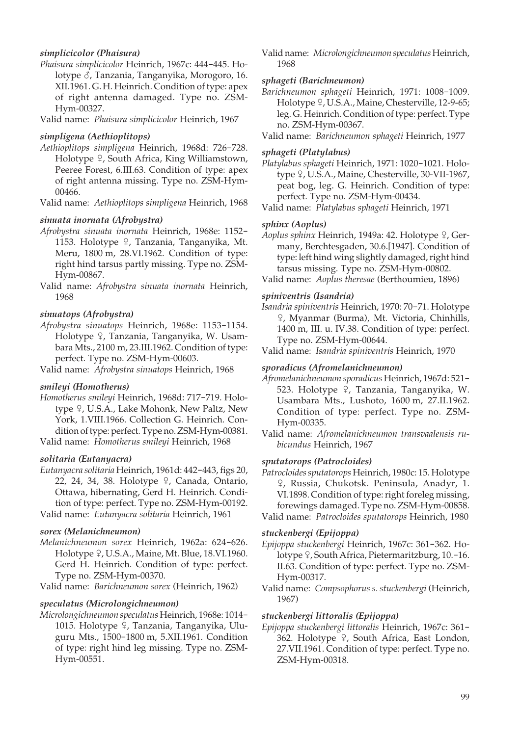## *simplicicolor (Phaisura)*

*Phaisura simplicicolor* Heinrich, 1967c: 444-445. Holotype  $\delta$ , Tanzania, Tanganyika, Morogoro, 16. XII.1961. G. H. Heinrich. Condition of type: apex of right antenna damaged. Type no. ZSM-Hym-00327.

Valid name: *Phaisura simplicicolor* Heinrich, 1967

#### *simpligena (Aethioplitops)*

*Aethioplitops simpligena* Heinrich, 1968d: 726-728. Holotype  $\frac{1}{2}$ , South Africa, King Williamstown, Peeree Forest, 6.III.63. Condition of type: apex of right antenna missing. Type no. ZSM-Hym- 00466.

Valid name: *Aethioplitops simpligena* Heinrich, 1968

#### *sinuata inornata (Afrobystra)*

- *Afrobystra sinuata inornata* Heinrich, 1968e: 1152- 1153. Holotype  $\varphi$ , Tanzania, Tanganyika, Mt. Meru, 1800 m, 28.VI.1962. Condition of type: right hind tarsus partly missing. Type no. ZSM-Hym-00867.
- Valid name: *Afrobystra sinuata inornata* Heinrich, 1968

## *sinuatops (Afrobystra)*

*Afrobystra sinuatops* Heinrich, 1968e: 1153-1154. Holotype <sup>Q</sup>, Tanzania, Tanganyika, W. Usambara Mts., 2100 m, 23.III.1962. Condition of type: perfect. Type no. ZSM-Hym-00603.

Valid name: *Afrobystra sinuatops* Heinrich, 1968

## *smileyi (Homotherus)*

*Homotherus smileyi* Heinrich, 1968d: 717-719. Holotype <sup>Q</sup>, U.S.A., Lake Mohonk, New Paltz, New York, 1.VIII.1966. Collection G. Heinrich. Condition of type: perfect. Type no. ZSM-Hym-00381.

Valid name: *Homotherus smileyi* Heinrich, 1968

#### *solitaria (Eutanyacra)*

*Eutanyacra solitaria* Heinrich, 1961d: 442-443, figs 20, 22, 24, 34, 38. Holotype 9, Canada, Ontario, Ottawa, hibernating, Gerd H. Heinrich. Condition of type: perfect. Type no. ZSM-Hym-00192. Valid name: *Eutanyacra solitaria* Heinrich, 1961

## *sorex (Melanichneumon)*

*Melanichneumon sorex* Heinrich, 1962a: 624-626. Holotype <sup>Q</sup>, U.S.A., Maine, Mt. Blue, 18.VI.1960. Gerd H. Heinrich. Condition of type: perfect. Type no. ZSM-Hym-00370.

Valid name: *Barichneumon sorex* (Heinrich, 1962)

## *speculatus (Microlongichneumon)*

*Microlongichneumon speculatus* Heinrich, 1968e: 1014- 1015. Holotype 9, Tanzania, Tanganyika, Uluguru Mts., 1500-1800 m, 5.XII.1961. Condition of type: right hind leg missing. Type no. ZSM-Hym-00551.

Valid name: *Microlongichneumon speculatus* Heinrich, 1968

#### *sphageti (Barichneumon)*

*Barichneumon sphageti* Heinrich, 1971: 1008-1009. Holotype  $9$ , U.S.A., Maine, Chesterville, 12-9-65; leg. G. Heinrich. Condition of type: perfect. Type no. ZSM-Hym-00367.

Valid name: *Barichneumon sphageti* Heinrich, 1977

#### *sphageti (Platylabus)*

- *Platylabus sphageti* Heinrich, 1971: 1020-1021. Holotype <sup>Q</sup>, U.S.A., Maine, Chesterville, 30-VII-1967, peat bog, leg. G. Heinrich. Condition of type: perfect. Type no. ZSM-Hym-00434.
- Valid name: *Platylabus sphageti* Heinrich, 1971

## *sphinx (Aoplus)*

- Aoplus sphinx Heinrich, 1949a: 42. Holotype  $9$ , Germany, Berchtesgaden, 30.6.[1947]. Condition of type: left hind wing slightly damaged, right hind tarsus missing. Type no. ZSM-Hym-00802.
- Valid name: *Aoplus theresae* (Berthoumieu, 1896)

### *spiniventris (Isandria)*

*Isandria spiniventris* Heinrich, 1970: 70-71. Holotype W, Myanmar (Burma), Mt. Victoria, Chinhills, 1400 m, III. u. IV.38. Condition of type: perfect. Type no. ZSM-Hym-00644.

Valid name: *Isandria spiniventris* Heinrich, 1970

#### *sporadicus (Afromelanichneumon)*

- *Afromelanichneumon sporadicus* Heinrich, 1967d: 521- 523. Holotype  $\varphi$ , Tanzania, Tanganyika, W. Usambara Mts., Lushoto, 1600 m, 27.II.1962. Condition of type: perfect. Type no. ZSM-Hym-00335.
- Valid name: *Afromelanichneumon transvaalensis rubicundus* Heinrich, 1967

#### *sputatorops (Patrocloides)*

*Patrocloides sputatorops* Heinrich, 1980c: 15. Holotype W, Russia, Chukotsk. Peninsula, Anadyr, 1. VI.1898. Condition of type: right foreleg missing, forewings damaged. Type no. ZSM-Hym-00858. Valid name: *Patrocloides sputatorops* Heinrich, 1980

#### *stuckenbergi (Epijoppa)*

- *Epijoppa stuckenbergi* Heinrich, 1967c: 361-362. Holotype  $\frac{1}{2}$ , South Africa, Pietermaritzburg, 10.-16. II.63. Condition of type: perfect. Type no. ZSM-Hym-00317.
- Valid name: *Compsophorus s. stuckenbergi* (Heinrich, 1967)

#### *stuckenbergi littoralis (Epijoppa)*

*Epijoppa stuckenbergi littoralis* Heinrich, 1967c: 361- 362. Holotype 9, South Africa, East London, 27.VII.1961. Condition of type: perfect. Type no. ZSM-Hym-00318.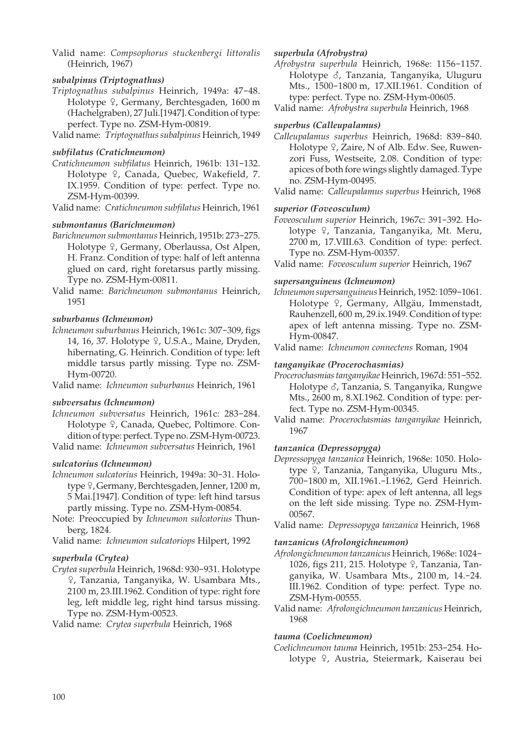Valid name: *Compsophorus stuckenbergi littoralis* (Heinrich, 1967)

## *subalpinus (Triptognathus)*

- *Triptognathus subalpinus* Heinrich, 1949a: 47-48. Holotype <sup> $Q$ </sup>, Germany, Berchtesgaden, 1600 m (Hachelgraben), 27 Juli.[1947]. Condition of type: perfect. Type no. ZSM-Hym-00819.
- Valid name: *Triptognathus subalpinus* Heinrich, 1949

## *subfilatus (Cratichneumon)*

*Cratichneumon subfilatus* Heinrich, 1961b: 131-132. Holotype <sup>Q</sup>, Canada, Quebec, Wakefield, 7. IX.1959. Condition of type: perfect. Type no. ZSM-Hym-00399.

Valid name: *Cratichneumon subfilatus* Heinrich, 1961

## *submontanus (Barichneumon)*

- *Barichneumon submontanus* Heinrich, 1951b: 273-275. Holotype <sup>Q</sup>, Germany, Oberlaussa, Ost Alpen, H. Franz. Condition of type: half of left antenna glued on card, right foretarsus partly missing. Type no. ZSM-Hym-00811.
- Valid name: *Barichneumon submontanus* Heinrich, 1951

## *suburbanus (Ichneumon)*

*Ichneumon suburbanus* Heinrich, 1961c: 307-309, figs 14, 16, 37. Holotype <sup>Q</sup>, U.S.A., Maine, Dryden, hibernating, G. Heinrich. Condition of type: left middle tarsus partly missing. Type no. ZSM-Hym-00720.

Valid name: *Ichneumon suburbanus* Heinrich, 1961

## *subversatus (Ichneumon)*

*Ichneumon subversatus* Heinrich, 1961c: 283-284. Holotype 9, Canada, Quebec, Poltimore. Condition of type: perfect. Type no. ZSM-Hym-00723.

Valid name: *Ichneumon subversatus* Heinrich, 1961

## *sulcatorius (Ichneumon)*

- *Ichneumon sulcatorius* Heinrich, 1949a: 30-31. Holotype <sup>Q</sup>, Germany, Berchtesgaden, Jenner, 1200 m, 5 Mai.[1947]. Condition of type: left hind tarsus partly missing. Type no. ZSM-Hym-00854.
- Note: Preoccupied by *Ichneumon sulcatorius* Thunberg, 1824.

Valid name: *Ichneumon sulcatoriops* Hilpert, 1992

## *superbula (Crytea)*

*Crytea superbula* Heinrich, 1968d: 930-931. Holotype W, Tanzania, Tanganyika, W. Usambara Mts., 2100 m, 23.III.1962. Condition of type: right fore leg, left middle leg, right hind tarsus missing. Type no. ZSM-Hym-00523.

Valid name: *Crytea superbula* Heinrich, 1968

## *superbula (Afrobystra)*

*Afrobystra superbula* Heinrich, 1968e: 1156-1157. Holotype  $\delta$ , Tanzania, Tanganyika, Uluguru Mts., 1500-1800 m, 17.XII.1961. Condition of type: perfect. Type no. ZSM-Hym-00605.

Valid name: *Afrobystra superbula* Heinrich, 1968

## *superbus (Calleupalamus)*

- *Calleupalamus superbus* Heinrich, 1968d: 839-840. Holotype  $9$ , Zaire, N of Alb. Edw. See, Ruwenzori Fuss, Westseite, 2.08. Condition of type: apices of both fore wings slightly damaged. Type no. ZSM-Hym-00495.
- Valid name: *Calleupalamus superbus* Heinrich, 1968

## *superior (Foveosculum)*

*Foveosculum superior* Heinrich, 1967c: 391-392. Holotype <sup>Q</sup>, Tanzania, Tanganyika, Mt. Meru, 2700 m, 17.VIII.63. Condition of type: perfect. Type no. ZSM-Hym-00357.

Valid name: *Foveosculum superior* Heinrich, 1967

## *supersanguineus (Ichneumon)*

*Ichneumon supersanguineus* Heinrich, 1952: 1059-1061. Holotype ?, Germany, Allgäu, Immenstadt, Rauhenzell, 600 m, 29.ix.1949. Condition of type: apex of left antenna missing. Type no. ZSM-Hym-00847.

Valid name: *Ichneumon connectens* Roman, 1904

## *tanganyikae (Procerochasmias)*

*Procerochasmias tanganyikae* Heinrich, 1967d: 551-552. Holotype  $\delta$ , Tanzania, S. Tanganyika, Rungwe Mts., 2600 m, 8.XI.1962. Condition of type: perfect. Type no. ZSM-Hym-00345.

Valid name: *Procerochasmias tanganyikae* Heinrich, 1967

## *tanzanica (Depressopyga)*

- *Depressopyga tanzanica* Heinrich, 1968e: 1050. Holotype <sup> $\Omega$ </sup>, Tanzania, Tanganyika, Uluguru Mts., 700-1800 m, XII.1961.-I.1962, Gerd Heinrich. Condition of type: apex of left antenna, all legs on the left side missing. Type no. ZSM-Hym- 00567.
- Valid name: *Depressopyga tanzanica* Heinrich, 1968

## *tanzanicus (Afrolongichneumon)*

*Afrolongichneumon tanzanicus* Heinrich, 1968e: 1024- 1026, figs 211, 215. Holotype 9, Tanzania, Tanganyika, W. Usambara Mts., 2100 m, 14.-24. III.1962. Condition of type: perfect. Type no. ZSM-Hym-00555.

Valid name: *Afrolongichneumon tanzanicus* Heinrich, 1968

## *tauma (Coelichneumon)*

*Coelichneumon tauma* Heinrich, 1951b: 253-254. Holotype <sup>Q</sup>, Austria, Steiermark, Kaiserau bei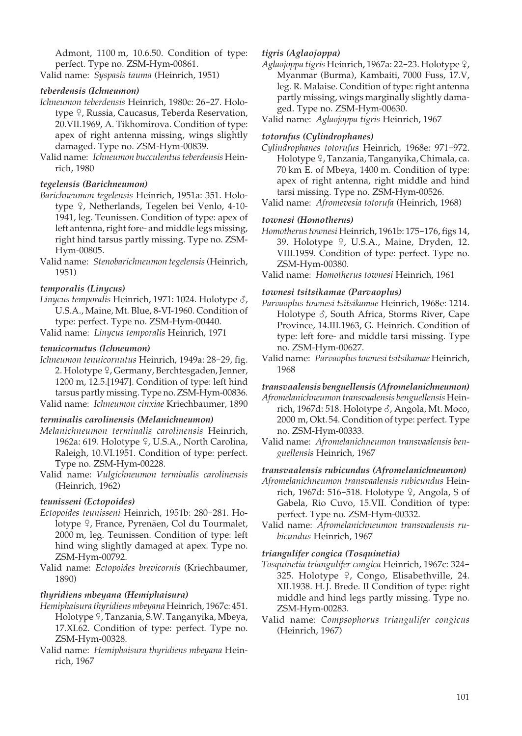Admont, 1100 m, 10.6.50. Condition of type: perfect. Type no. ZSM-Hym-00861.

Valid name: *Syspasis tauma* (Heinrich, 1951)

# *teberdensis (Ichneumon)*

- *Ichneumon teberdensis* Heinrich, 1980c: 26-27. Holotype  $\frac{1}{2}$ , Russia, Caucasus, Teberda Reservation, 20.VII.1969, A. Tikhomirova. Condition of type: apex of right antenna missing, wings slightly damaged. Type no. ZSM-Hym-00839.
- Valid name: *Ichneumon bucculentus teberdensis* Heinrich, 1980

# *tegelensis (Barichneumon)*

- *Barichneumon tegelensis* Heinrich, 1951a: 351. Holotype º, Netherlands, Tegelen bei Venlo, 4-10-1941, leg. Teunissen. Condition of type: apex of left antenna, right fore- and middle legs missing, right hind tarsus partly missing. Type no. ZSM-Hym-00805.
- Valid name: *Stenobarichneumon tegelensis* (Heinrich, 1951)

# *temporalis (Linycus)*

- Linycus temporalis Heinrich, 1971: 1024. Holotype  $\delta$ , U.S.A., Maine, Mt. Blue, 8-VI-1960. Condition of type: perfect. Type no. ZSM-Hym-00440.
- Valid name: *Linycus temporalis* Heinrich, 1971

# *tenuicornutus (Ichneumon)*

*Ichneumon tenuicornutus* Heinrich, 1949a: 28-29, fig. 2. Holotype <sup>Q</sup>, Germany, Berchtesgaden, Jenner, 1200 m, 12.5.[1947]. Condition of type: left hind tarsus partly missing. Type no. ZSM-Hym-00836. Valid name: *Ichneumon cinxiae* Kriechbaumer, 1890

# *terminalis carolinensis (Melanichneumon)*

- *Melanichneumon terminalis carolinensis* Heinrich, 1962a: 619. Holotype 9, U.S.A., North Carolina, Raleigh, 10.VI.1951. Condition of type: perfect. Type no. ZSM-Hym-00228.
- Valid name: *Vulgichneumon terminalis carolinensis* (Heinrich, 1962)

# *teunisseni (Ectopoides)*

- *Ectopoides teunisseni* Heinrich, 1951b: 280-281. Holotype 9, France, Pyrenäen, Col du Tourmalet, 2000 m, leg. Teunissen. Condition of type: left hind wing slightly damaged at apex. Type no. ZSM-Hym-00792.
- Valid name: *Ectopoides brevicornis* (Kriechbaumer, 1890)

# *thyridiens mbeyana (Hemiphaisura)*

- *Hemiphaisura thyridiens mbeyana* Heinrich, 1967c: 451. Holotype ?, Tanzania, S.W. Tanganyika, Mbeya, 17.XI.62. Condition of type: perfect. Type no. ZSM-Hym-00328.
- Valid name: *Hemiphaisura thyridiens mbeyana* Heinrich, 1967

# *tigris (Aglaojoppa)*

Aglaojoppa tigris Heinrich, 1967a: 22-23. Holotype <sup>Q</sup>, Myanmar (Burma), Kambaiti, 7000 Fuss, 17.V, leg. R. Malaise. Condition of type: right antenna partly missing, wings marginally slightly damaged. Type no. ZSM-Hym-00630.

Valid name: *Aglaojoppa tigris* Heinrich, 1967

# *totorufus (Cylindrophanes)*

- *Cylindrophanes totorufus* Heinrich, 1968e: 971-972. Holotype ?, Tanzania, Tanganyika, Chimala, ca. 70 km E. of Mbeya, 1400 m. Condition of type: apex of right antenna, right middle and hind tarsi missing. Type no. ZSM-Hym-00526.
- Valid name: *Afromevesia totorufa* (Heinrich, 1968)

# *townesi (Homotherus)*

- *Homotherus townesi* Heinrich, 1961b: 175-176, figs 14, 39. Holotype 9, U.S.A., Maine, Dryden, 12. VIII.1959. Condition of type: perfect. Type no. ZSM-Hym-00380.
- Valid name: *Homotherus townesi* Heinrich, 1961

# *townesi tsitsikamae (Parvaoplus)*

- *Parvaoplus townesi tsitsikamae* Heinrich, 1968e: 1214. Holotype  $\delta$ , South Africa, Storms River, Cape Province, 14.III.1963, G. Heinrich. Condition of type: left fore- and middle tarsi missing. Type no. ZSM-Hym-00627.
- Valid name: *Parvaoplus townesi tsitsikamae* Heinrich, 1968

*transvaalensis benguellensis (Afromelanichneumon)*

- *Afromelanichneumon transvaalensis benguellensis* Heinrich, 1967d: 518. Holotype  $\delta$ , Angola, Mt. Moco, 2000 m, Okt. 54. Condition of type: perfect. Type no. ZSM-Hym-00333.
- Valid name: *Afromelanichneumon transvaalensis benguellensis* Heinrich, 1967

# *transvaalensis rubicundus (Afromelanichneumon)*

- *Afromelanichneumon transvaalensis rubicundus* Heinrich, 1967d: 516–518. Holotype  $\frac{9}{7}$ , Angola, S of Gabela, Rio Cuvo, 15.VII. Condition of type: perfect. Type no. ZSM-Hym-00332.
- Valid name: *Afromelanichneumon transvaalensis rubicundus* Heinrich, 1967

# *triangulifer congica (Tosquinetia)*

- *Tosquinetia triangulifer congica* Heinrich, 1967c: 324- 325. Holotype  $9$ , Congo, Elisabethville, 24. XII.1938. H. J. Brede. II Condition of type: right middle and hind legs partly missing. Type no. ZSM-Hym-00283.
- Valid name: *Compsophorus triangulifer congicus* (Heinrich, 1967)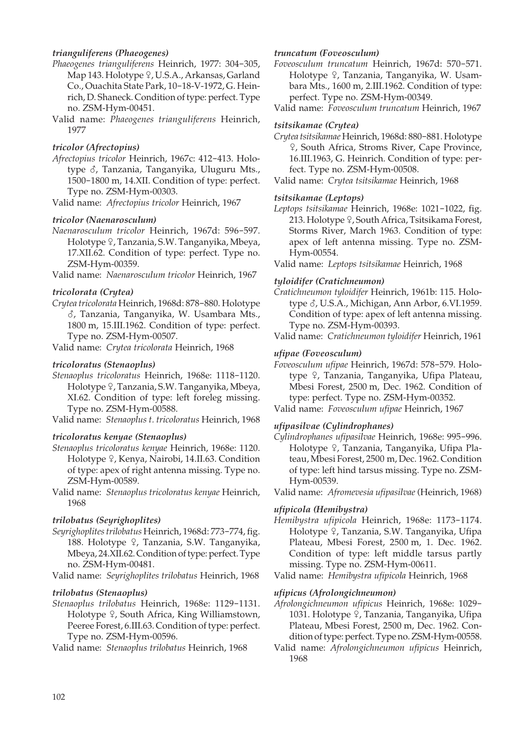## *trianguliferens (Phaeogenes)*

- *Phaeogenes trianguliferens* Heinrich, 1977: 304-305, Map 143. Holotype  $9$ , U.S.A., Arkansas, Garland Co., Ouachita State Park, 10-18-V-1972, G. Heinrich, D. Shaneck. Condition of type: perfect. Type no. ZSM-Hym-00451.
- Valid name: *Phaeogenes trianguliferens* Heinrich, 1977

## *tricolor (Afrectopius)*

*Afrectopius tricolor* Heinrich, 1967c: 412-413. Holotype  $\delta$ , Tanzania, Tanganyika, Uluguru Mts., 1500-1800 m, 14.XII. Condition of type: perfect. Type no. ZSM-Hym-00303.

Valid name: *Afrectopius tricolor* Heinrich, 1967

## *tricolor (Naenarosculum)*

*Naenarosculum tricolor* Heinrich, 1967d: 596-597. Holotype ?, Tanzania, S.W. Tanganyika, Mbeya, 17.XII.62. Condition of type: perfect. Type no. ZSM-Hym-00359.

Valid name: *Naenarosculum tricolor* Heinrich, 1967

## *tricolorata (Crytea)*

*Crytea tricolorata* Heinrich, 1968d: 878-880. Holotype M, Tanzania, Tanganyika, W. Usambara Mts., 1800 m, 15.III.1962. Condition of type: perfect. Type no. ZSM-Hym-00507.

Valid name: *Crytea tricolorata* Heinrich, 1968

## *tricoloratus (Stenaoplus)*

*Stenaoplus tricoloratus* Heinrich, 1968e: 1118-1120. Holotype ?, Tanzania, S.W. Tanganyika, Mbeya, XI.62. Condition of type: left foreleg missing. Type no. ZSM-Hym-00588.

Valid name: *Stenaoplus t. tricoloratus* Heinrich, 1968

## *tricoloratus kenyae (Stenaoplus)*

- *Stenaoplus tricoloratus kenyae* Heinrich, 1968e: 1120. Holotype <sup>Q</sup>, Kenya, Nairobi, 14.II.63. Condition of type: apex of right antenna missing. Type no. ZSM-Hym-00589.
- Valid name: *Stenaoplus tricoloratus kenyae* Heinrich, 1968

## *trilobatus (Seyrighoplites)*

*Seyrighoplites trilobatus* Heinrich, 1968d: 773-774, fig. 188. Holotype 9, Tanzania, S.W. Tanganyika, Mbeya, 24.XII.62. Condition of type: perfect. Type no. ZSM-Hym-00481.

Valid name: *Seyrighoplites trilobatus* Heinrich, 1968

## *trilobatus (Stenaoplus)*

*Stenaoplus trilobatus* Heinrich, 1968e: 1129-1131. Holotype <sup>Q</sup>, South Africa, King Williamstown, Peeree Forest, 6.III.63. Condition of type: perfect. Type no. ZSM-Hym-00596.

Valid name: *Stenaoplus trilobatus* Heinrich, 1968

## *truncatum (Foveosculum)*

*Foveosculum truncatum* Heinrich, 1967d: 570-571. Holotype  $\varphi$ , Tanzania, Tanganyika, W. Usambara Mts., 1600 m, 2.III.1962. Condition of type: perfect. Type no. ZSM-Hym-00349.

Valid name: *Foveosculum truncatum* Heinrich, 1967

## *tsitsikamae (Crytea)*

*Crytea tsitsikamae* Heinrich, 1968d: 880-881. Holotype W, South Africa, Stroms River, Cape Province, 16.III.1963, G. Heinrich. Condition of type: perfect. Type no. ZSM-Hym-00508.

Valid name: *Crytea tsitsikamae* Heinrich, 1968

## *tsitsikamae (Leptops)*

*Leptops tsitsikamae* Heinrich, 1968e: 1021-1022, fig. 213. Holotype 9, South Africa, Tsitsikama Forest, Storms River, March 1963. Condition of type: apex of left antenna missing. Type no. ZSM-Hym-00554.

Valid name: *Leptops tsitsikamae* Heinrich, 1968

## *tyloidifer (Cratichneumon)*

*Cratichneumon tyloidifer* Heinrich, 1961b: 115. Holotype  $\delta$ , U.S.A., Michigan, Ann Arbor, 6.VI.1959. Condition of type: apex of left antenna missing. Type no. ZSM-Hym-00393.

Valid name: *Cratichneumon tyloidifer* Heinrich, 1961

## *ufipae (Foveosculum)*

*Foveosculum ufipae* Heinrich, 1967d: 578-579. Holotype <sup>Q</sup>, Tanzania, Tanganyika, Ufipa Plateau, Mbesi Forest, 2500 m, Dec. 1962. Condition of type: perfect. Type no. ZSM-Hym-00352.

Valid name: *Foveosculum ufipae* Heinrich, 1967

## *ufipasilvae (Cylindrophanes)*

*Cylindrophanes ufipasilvae* Heinrich, 1968e: 995-996. Holotype <sup>Q</sup>, Tanzania, Tanganyika, Ufipa Plateau, Mbesi Forest, 2500 m, Dec. 1962. Condition of type: left hind tarsus missing. Type no. ZSM-Hym-00539.

Valid name: *Afromevesia ufipasilvae* (Heinrich, 1968)

## *ufipicola (Hemibystra)*

*Hemibystra ufipicola* Heinrich, 1968e: 1173-1174. Holotype <sup>Q</sup>, Tanzania, S.W. Tanganyika, Ufipa Plateau, Mbesi Forest, 2500 m, 1. Dec. 1962. Condition of type: left middle tarsus partly missing. Type no. ZSM-Hym-00611.

Valid name: *Hemibystra ufipicola* Heinrich, 1968

## *ufipicus (Afrolongichneumon)*

*Afrolongichneumon ufipicus* Heinrich, 1968e: 1029- 1031. Holotype <sup>Q</sup>, Tanzania, Tanganyika, Ufipa Plateau, Mbesi Forest, 2500 m, Dec. 1962. Condition of type: perfect. Type no. ZSM-Hym-00558.

Valid name: *Afrolongichneumon ufipicus* Heinrich, 1968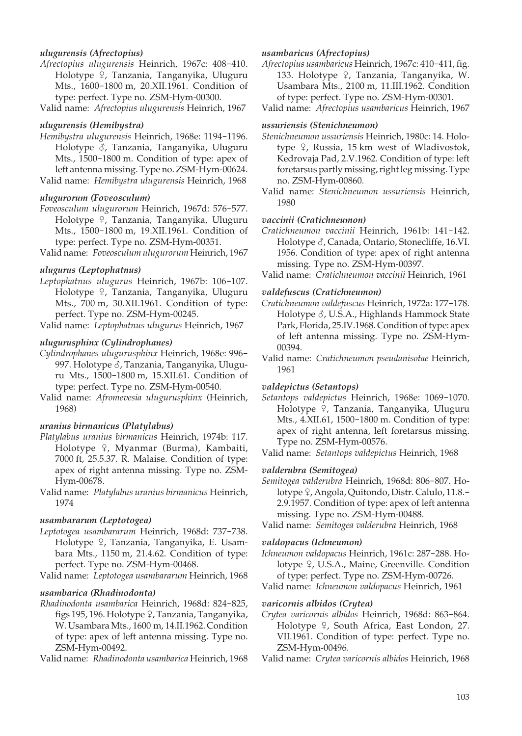## *ulugurensis (Afrectopius)*

- *Afrectopius ulugurensis* Heinrich, 1967c: 408-410. Holotype  $\varphi$ , Tanzania, Tanganyika, Uluguru Mts., 1600-1800 m, 20.XII.1961. Condition of type: perfect. Type no. ZSM-Hym-00300.
- Valid name: *Afrectopius ulugurensis* Heinrich, 1967

#### *ulugurensis (Hemibystra)*

*Hemibystra ulugurensis* Heinrich, 1968e: 1194-1196. Holotype  $\delta$ , Tanzania, Tanganyika, Uluguru Mts., 1500-1800 m. Condition of type: apex of left antenna missing. Type no. ZSM-Hym-00624. Valid name: *Hemibystra ulugurensis* Heinrich, 1968

#### *ulugurorum (Foveosculum)*

- *Foveosculum ulugurorum* Heinrich, 1967d: 576-577. Holotype <sup>Q</sup>, Tanzania, Tanganyika, Uluguru Mts., 1500-1800 m, 19.XII.1961. Condition of type: perfect. Type no. ZSM-Hym-00351.
- Valid name: *Foveosculum ulugurorum* Heinrich, 1967

#### *ulugurus (Leptophatnus)*

*Leptophatnus ulugurus* Heinrich, 1967b: 106-107. Holotype <sup>Q</sup>, Tanzania, Tanganyika, Uluguru Mts., 700 m, 30.XII.1961. Condition of type: perfect. Type no. ZSM-Hym-00245.

Valid name: *Leptophatnus ulugurus* Heinrich, 1967

#### *ulugurusphinx (Cylindrophanes)*

- *Cylindrophanes ulugurusphinx* Heinrich, 1968e: 996- 997. Holotype  $\delta$ , Tanzania, Tanganyika, Uluguru Mts., 1500-1800 m, 15.XII.61. Condition of type: perfect. Type no. ZSM-Hym-00540.
- Valid name: *Afromevesia ulugurusphinx* (Heinrich, 1968)

#### *uranius birmanicus (Platylabus)*

- *Platylabus uranius birmanicus* Heinrich, 1974b: 117. Holotype <sup>Q</sup>, Myanmar (Burma), Kambaiti, 7000 ft, 25.5.37. R. Malaise. Condition of type: apex of right antenna missing. Type no. ZSM-Hym-00678.
- Valid name: *Platylabus uranius birmanicus* Heinrich, 1974

#### *usambararum (Leptotogea)*

- *Leptotogea usambararum* Heinrich, 1968d: 737-738. Holotype 9, Tanzania, Tanganyika, E. Usambara Mts., 1150 m, 21.4.62. Condition of type: perfect. Type no. ZSM-Hym-00468.
- Valid name: *Leptotogea usambararum* Heinrich, 1968

#### *usambarica (Rhadinodonta)*

*Rhadinodonta usambarica* Heinrich, 1968d: 824-825, figs 195, 196. Holotype ?, Tanzania, Tanganyika, W. Usambara Mts., 1600 m, 14.II.1962. Condition of type: apex of left antenna missing. Type no. ZSM-Hym-00492.

Valid name: *Rhadinodonta usambarica* Heinrich, 1968

#### *usambaricus (Afrectopius)*

- *Afrectopius usambaricus* Heinrich, 1967c: 410-411, fig. 133. Holotype  $\varphi$ , Tanzania, Tanganyika, W. Usambara Mts., 2100 m, 11.III.1962. Condition of type: perfect. Type no. ZSM-Hym-00301.
- Valid name: *Afrectopius usambaricus* Heinrich, 1967

## *ussuriensis (Stenichneumon)*

- *Stenichneumon ussuriensis* Heinrich, 1980c: 14. Holotype  $9$ , Russia, 15 km west of Wladivostok, Kedrovaja Pad, 2.V.1962. Condition of type: left foretarsus partly missing, right leg missing. Type no. ZSM-Hym-00860.
- Valid name: *Stenichneumon ussuriensis* Heinrich, 1980

#### *vaccinii (Cratichneumon)*

*Cratichneumon vaccinii* Heinrich, 1961b: 141-142. Holotype  $\delta$ , Canada, Ontario, Stonecliffe, 16.VI. 1956. Condition of type: apex of right antenna missing. Type no. ZSM-Hym-00397.

Valid name: *Cratichneumon vaccinii* Heinrich, 1961

## *valdefuscus (Cratichneumon)*

- *Cratichneumon valdefuscus* Heinrich, 1972a: 177-178. Holotype  $\delta$ , U.S.A., Highlands Hammock State Park, Florida, 25.IV.1968. Condition of type: apex of left antenna missing. Type no. ZSM-Hym- 00394.
- Valid name: *Cratichneumon pseudanisotae* Heinrich, 1961

#### *valdepictus (Setantops)*

*Setantops valdepictus* Heinrich, 1968e: 1069-1070. Holotype  $\varphi$ , Tanzania, Tanganyika, Uluguru Mts., 4.XII.61, 1500-1800 m. Condition of type: apex of right antenna, left foretarsus missing. Type no. ZSM-Hym-00576.

Valid name: *Setantops valdepictus* Heinrich, 1968

#### *valderubra (Semitogea)*

*Semitogea valderubra* Heinrich, 1968d: 806-807. Holotype  $\frac{1}{2}$ , Angola, Quitondo, Distr. Calulo, 11.8.-2.9.1957. Condition of type: apex of left antenna missing. Type no. ZSM-Hym-00488.

Valid name: *Semitogea valderubra* Heinrich, 1968

#### *valdopacus (Ichneumon)*

*Ichneumon valdopacus* Heinrich, 1961c: 287-288. Holotype 9, U.S.A., Maine, Greenville. Condition of type: perfect. Type no. ZSM-Hym-00726.

Valid name: *Ichneumon valdopacus* Heinrich, 1961

#### *varicornis albidos (Crytea)*

- *Crytea varicornis albidos* Heinrich, 1968d: 863-864. Holotype  $9$ , South Africa, East London, 27. VII.1961. Condition of type: perfect. Type no. ZSM-Hym-00496.
- Valid name: *Crytea varicornis albidos* Heinrich, 1968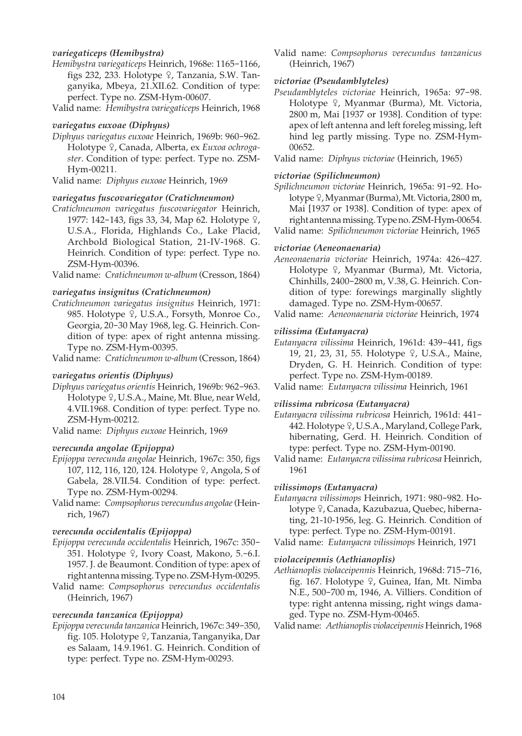## *variegaticeps (Hemibystra)*

- *Hemibystra variegaticeps* Heinrich, 1968e: 1165-1166, figs 232, 233. Holotype  $9$ , Tanzania, S.W. Tanganyika, Mbeya, 21.XII.62. Condition of type: perfect. Type no. ZSM-Hym-00607.
- Valid name: *Hemibystra variegaticeps* Heinrich, 1968

#### *variegatus euxoae (Diphyus)*

*Diphyus variegatus euxoae* Heinrich, 1969b: 960-962. Holotype <sup>2</sup>, Canada, Alberta, ex *Euxoa ochrogaster*. Condition of type: perfect. Type no. ZSM-Hym-00211.

Valid name: *Diphyus euxoae* Heinrich, 1969

#### *variegatus fuscovariegator (Cratichneumon)*

*Cratichneumon variegatus fuscovariegator* Heinrich, 1977: 142-143, figs 33, 34, Map 62. Holotype  $\frac{6}{5}$ , U.S.A., Florida, Highlands Co., Lake Placid, Archbold Biological Station, 21-IV-1968. G. Heinrich. Condition of type: perfect. Type no. ZSM-Hym-00396.

Valid name: *Cratichneumon w-album* (Cresson, 1864)

## *variegatus insignitus (Cratichneumon)*

*Cratichneumon variegatus insignitus* Heinrich, 1971: 985. Holotype 9, U.S.A., Forsyth, Monroe Co., Georgia, 20-30 May 1968, leg. G. Heinrich. Condition of type: apex of right antenna missing. Type no. ZSM-Hym-00395.

Valid name: *Cratichneumon w-album* (Cresson, 1864)

#### *variegatus orientis (Diphyus)*

*Diphyus variegatus orientis* Heinrich, 1969b: 962-963. Holotype <sup>Q</sup>, U.S.A., Maine, Mt. Blue, near Weld, 4.VII.1968. Condition of type: perfect. Type no. ZSM-Hym-00212.

Valid name: *Diphyus euxoae* Heinrich, 1969

## *verecunda angolae (Epijoppa)*

- *Epijoppa verecunda angolae* Heinrich, 1967c: 350, figs 107, 112, 116, 120, 124. Holotype  $\frac{9}{7}$ , Angola, S of Gabela, 28.VII.54. Condition of type: perfect. Type no. ZSM-Hym-00294.
- Valid name: *Compsophorus verecundus angolae* (Heinrich, 1967)

#### *verecunda occidentalis (Epijoppa)*

- *Epijoppa verecunda occidentalis* Heinrich, 1967c: 350- 351. Holotype  $9$ , Ivory Coast, Makono, 5.-6.I. 1957. J. de Beaumont. Condition of type: apex of right antenna missing. Type no. ZSM-Hym-00295.
- Valid name: *Compsophorus verecundus occidentalis* (Heinrich, 1967)

#### *verecunda tanzanica (Epijoppa)*

*Epijoppa verecunda tanzanica* Heinrich, 1967c: 349-350, fig. 105. Holotype ?, Tanzania, Tanganyika, Dar es Salaam, 14.9.1961. G. Heinrich. Condition of type: perfect. Type no. ZSM-Hym-00293.

Valid name: *Compsophorus verecundus tanzanicus* (Heinrich, 1967)

#### *victoriae (Pseudamblyteles)*

*Pseudamblyteles victoriae* Heinrich, 1965a: 97-98. Holotype <sup>Q</sup>, Myanmar (Burma), Mt. Victoria, 2800 m, Mai [1937 or 1938]. Condition of type: apex of left antenna and left foreleg missing, left hind leg partly missing. Type no. ZSM-Hym- 00652.

Valid name: *Diphyus victoriae* (Heinrich, 1965)

## *victoriae (Spilichneumon)*

- *Spilichneumon victoriae* Heinrich, 1965a: 91-92. Holotype ?, Myanmar (Burma), Mt. Victoria, 2800 m, Mai [1937 or 1938]. Condition of type: apex of right antenna missing. Type no. ZSM-Hym-00654.
- Valid name: *Spilichneumon victoriae* Heinrich, 1965

## *victoriae (Aeneonaenaria)*

- *Aeneonaenaria victoriae* Heinrich, 1974a: 426-427. Holotype <sup>Q</sup>, Myanmar (Burma), Mt. Victoria, Chinhills, 2400-2800 m, V.38, G. Heinrich. Condition of type: forewings marginally slightly damaged. Type no. ZSM-Hym-00657.
- Valid name: *Aeneonaenaria victoriae* Heinrich, 1974

#### *vilissima (Eutanyacra)*

*Eutanyacra vilissima* Heinrich, 1961d: 439-441, figs 19, 21, 23, 31, 55. Holotype 9, U.S.A., Maine, Dryden, G. H. Heinrich. Condition of type: perfect. Type no. ZSM-Hym-00189.

Valid name: *Eutanyacra vilissima* Heinrich, 1961

#### *vilissima rubricosa (Eutanyacra)*

*Eutanyacra vilissima rubricosa* Heinrich, 1961d: 441- 442. Holotype  $9$ , U.S.A., Maryland, College Park, hibernating, Gerd. H. Heinrich. Condition of type: perfect. Type no. ZSM-Hym-00190.

Valid name: *Eutanyacra vilissima rubricosa* Heinrich, 1961

#### *vilissimops (Eutanyacra)*

*Eutanyacra vilissimops* Heinrich, 1971: 980-982. Holotype 9, Canada, Kazubazua, Quebec, hibernating, 21-10-1956, leg. G. Heinrich. Condition of type: perfect. Type no. ZSM-Hym-00191.

Valid name: *Eutanyacra vilissimops* Heinrich, 1971

#### *violaceipennis (Aethianoplis)*

*Aethianoplis violaceipennis* Heinrich, 1968d: 715-716, fig. 167. Holotype 9, Guinea, Ifan, Mt. Nimba N.E., 500-700 m, 1946, A. Villiers. Condition of type: right antenna missing, right wings damaged. Type no. ZSM-Hym-00465.

Valid name: *Aethianoplis violaceipennis* Heinrich, 1968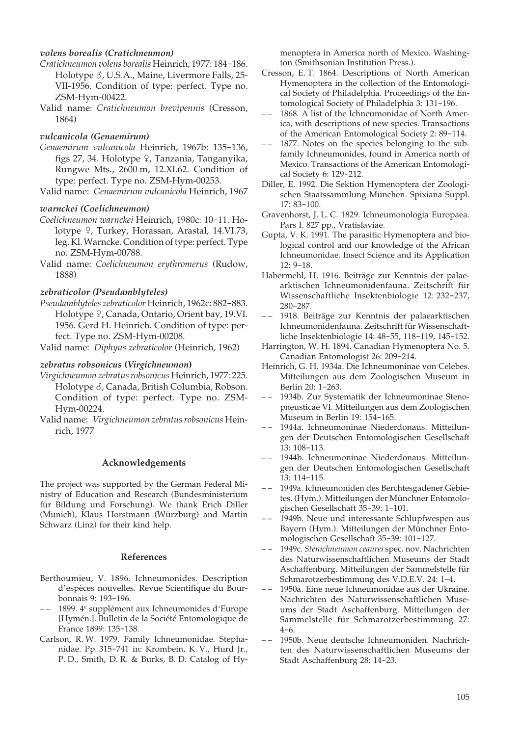## *volens borealis (Cratichneumon)*

- *Cratichneumon volens borealis* Heinrich, 1977: 184-186. Holotype  $\delta$ , U.S.A., Maine, Livermore Falls, 25-VII-1956. Condition of type: perfect. Type no. ZSM-Hym-00422.
- Valid name: *Cratichneumon brevipennis* (Cresson, 1864)

#### *vulcanicola (Genaemirum)*

- *Genaemirum vulcanicola* Heinrich, 1967b: 135-136, figs 27, 34. Holotype  $\frac{1}{2}$ , Tanzania, Tanganyika, Rungwe Mts., 2600 m, 12.XI.62. Condition of type: perfect. Type no. ZSM-Hym-00253.
- Valid name: *Genaemirum vulcanicola* Heinrich, 1967

## *warnckei (Coelichneumon)*

- *Coelichneumon warnckei* Heinrich, 1980c: 10-11. Holotype 9, Turkey, Horassan, Arastal, 14.VI.73, leg. Kl. Warncke. Condition of type: perfect. Type no. ZSM-Hym-00788.
- Valid name: *Coelichneumon erythromerus* (Rudow, 1888)

## *zebraticolor (Pseudamblyteles)*

*Pseudamblyteles zebraticolor* Heinrich, 1962c: 882-883. Holotype 9, Canada, Ontario, Orient bay, 19.VI. 1956. Gerd H. Heinrich. Condition of type: perfect. Type no. ZSM-Hym-00208.

Valid name: *Diphyus zebraticolor* (Heinrich, 1962)

#### *zebratus robsonicus* **(***Virgichneumon***)**

- *Virgichneumon zebratus robsonicus* Heinrich, 1977: 225. Holotype  $\delta$ , Canada, British Columbia, Robson. Condition of type: perfect. Type no. ZSM-Hym-00224.
- Valid name: *Virgichneumon zebratus robsonicus* Heinrich, 1977

#### **Acknowledgements**

The project was supported by the German Federal Ministry of Education and Research (Bundesministerium für Bildung und Forschung). We thank Erich Diller (Munich), Klaus Horstmann (Würzburg) and Martin Schwarz (Linz) for their kind help.

#### **References**

- Berthoumieu, V. 1896. Ichneumonides. Description d'espèces nouvelles. Revue Scientifique du Bourbonnais 9: 193-196.
- – 1899. 4e supplément aux Ichneumonides d'Europe [Hymén.]. Bulletin de la Société Entomologique de France 1899: 135-138.
- Carlson, R. W. 1979. Family Ichneumonidae. Stephanidae. Pp. 315-741 in: Krombein, K. V., Hurd Jr., P. D., Smith, D. R. & Burks, B. D. Catalog of Hy-

menoptera in America north of Mexico. Washington (Smithsonian Institution Press.).

- Cresson, E. T. 1864. Descriptions of North American Hymenoptera in the collection of the Entomological Society of Philadelphia. Proceedings of the Entomological Society of Philadelphia 3: 131-196.
- 1868. A list of the Ichneumonidae of North America, with descriptions of new species. Transactions of the American Entomological Society 2: 89-114.
- – 1877. Notes on the species belonging to the subfamily Ichneumonides, found in America north of Mexico. Transactions of the American Entomological Society 6: 129-212.
- Diller, E. 1992. Die Sektion Hymenoptera der Zoologischen Staatssammlung München. Spixiana Suppl. 17: 83-100.
- Gravenhorst, J. L. C. 1829. Ichneumonologia Europaea. Pars I. 827 pp., Vratislaviae.
- Gupta, V. K. 1991. The parasitic Hymenoptera and biological control and our knowledge of the African Ichneumonidae. Insect Science and its Application 12: 9-18.
- Habermehl, H. 1916. Beiträge zur Kenntnis der palaearktischen Ichneumonidenfauna. Zeitschrift für Wissenschaftliche Insektenbiologie 12: 232-237, 280-287.
- – 1918. Beiträge zur Kenntnis der palaearktischen Ichneumonidenfauna. Zeitschrift für Wissenschaftliche Insektenbiologie 14: 48-55, 118-119, 145-152.
- Harrington, W. H. 1894. Canadian Hymenoptera No. 5. Canadian Entomologist 26: 209-214.
- Heinrich, G. H. 1934a. Die Ichneumoninae von Celebes. Mitteilungen aus dem Zoologischen Museum in Berlin 20: 1-263.
- – 1934b. Zur Systematik der Ichneumoninae Stenopneusticae VI. Mitteilungen aus dem Zoologischen Museum in Berlin 19: 154-165.
- – 1944a. Ichneumoninae Niederdonaus. Mitteilungen der Deutschen Entomologischen Gesellschaft 13: 108-113.
- – 1944b. Ichneumoninae Niederdonaus. Mitteilungen der Deutschen Entomologischen Gesellschaft 13: 114-115.
- 1949a. Ichneumoniden des Berchtesgadener Gebietes. (Hym.). Mitteilungen der Münchner Entomologischen Gesellschaft 35-39: 1-101.
- 1949b. Neue und interessante Schlupfwespen aus Bayern (Hym.). Mitteilungen der Münchner Entomologischen Gesellschaft 35-39: 101-127.
- – 1949c. *Stenichneumon ceaurei* spec. nov. Nachrichten des Naturwissenschaftlichen Museums der Stadt Aschaffenburg. Mitteilungen der Sammelstelle für Schmarotzerbestimmung des V.D.E.V. 24: 1-4.
- – 1950a. Eine neue Ichneumonidae aus der Ukraine. Nachrichten des Naturwissenschaftlichen Museums der Stadt Aschaffenburg. Mitteilungen der Sammelstelle für Schmarotzerbestimmung 27: 4-6.
- – 1950b. Neue deutsche Ichneumoniden. Nachrichten des Naturwissenschaftlichen Museums der Stadt Aschaffenburg 28: 14-23.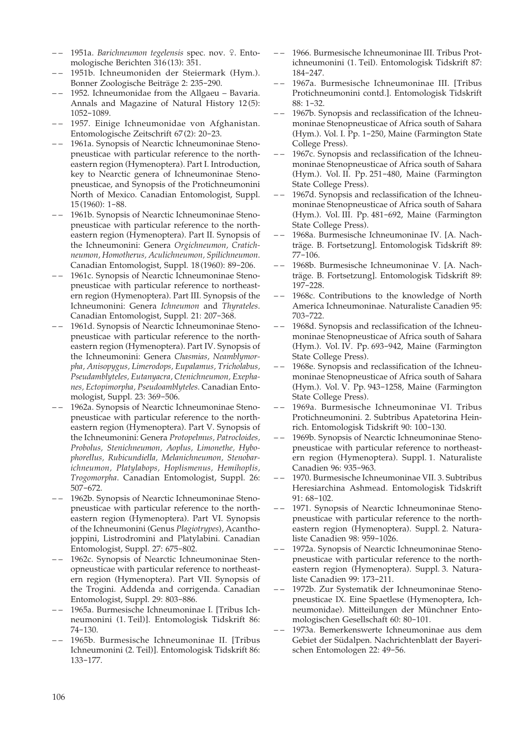- – 1951a. *Barichneumon tegelensis* spec. nov. W. Entomologische Berichten 316 (13): 351.
- 1951b. Ichneumoniden der Steiermark (Hym.). Bonner Zoologische Beiträge 2: 235-290.
- – 1952. Ichneumonidae from the Allgaeu Bavaria. Annals and Magazine of Natural History 12 (5): 1052-1089.
- – 1957. Einige Ichneumonidae von Afghanistan. Entomologische Zeitschrift 67 (2): 20-23.
- – 1961a. Synopsis of Nearctic Ichneumoninae Stenopneusticae with particular reference to the northeastern region (Hymenoptera). Part I. Introduction, key to Nearctic genera of Ichneumoninae Stenopneusticae, and Synopsis of the Protichneumonini North of Mexico. Canadian Entomologist, Suppl. 15 (1960): 1-88.
- – 1961b. Synopsis of Nearctic Ichneumoninae Stenopneusticae with particular reference to the northeastern region (Hymenoptera). Part II. Synopsis of the Ichneumonini: Genera *Orgichneumon, Cratichneumon, Homotherus, Aculichneumon, Spilichneumon*. Canadian Entomologist, Suppl. 18 (1960): 89-206.
- – 1961c. Synopsis of Nearctic Ichneumoninae Stenopneusticae with particular reference to northeastern region (Hymenoptera). Part III. Synopsis of the Ichneumonini: Genera *Ichneumon* and *Thyrateles*. Canadian Entomologist, Suppl. 21: 207-368.
- – 1961d. Synopsis of Nearctic Ichneumoninae Stenopneusticae with particular reference to the northeastern region (Hymenoptera). Part IV. Synopsis of the Ichneumonini: Genera *Chasmias, Neamblymorpha, Anisopygus, Limerodops, Eupalamus, Tricholabus, Pseudamblyteles, Eutanyacra, Ctenichneumon, Exephanes, Ectopimorpha, Pseudoamblyteles*. Canadian Entomologist, Suppl. 23: 369-506.
- – 1962a. Synopsis of Nearctic Ichneumoninae Stenopneusticae with particular reference to the northeastern region (Hymenoptera). Part V. Synopsis of the Ichneumonini: Genera *Protopelmus, Patrocloides, Probolus, Stenichneumon, Aoplus, Limonethe, Hybophorellus, Rubicundiella, Melanichneumon, Stenobarichneumon, Platylabops, Hoplismenus, Hemihoplis, Trogomorpha*. Canadian Entomologist, Suppl. 26: 507-672.
- – 1962b. Synopsis of Nearctic Ichneumoninae Stenopneusticae with particular reference to the northeastern region (Hymenoptera). Part VI. Synopsis of the Ichneumonini (Genus *Plagiotrypes*), Acanthojoppini, Listrodromini and Platylabini. Canadian Entomologist, Suppl. 27: 675-802.
- 1962c. Synopsis of Nearctic Ichneumoninae Stenopneusticae with particular reference to northeastern region (Hymenoptera). Part VII. Synopsis of the Trogini. Addenda and corrigenda. Canadian Entomologist, Suppl. 29: 803-886.
- – 1965a. Burmesische Ichneumoninae I. [Tribus Ichneumonini (1. Teil)]. Entomologisk Tidskrift 86: 74-130.
- – 1965b. Burmesische Ichneumoninae II. [Tribus Ichneumonini (2. Teil)]. Entomologisk Tidskrift 86: 133-177.
- – 1966. Burmesische Ichneumoninae III. Tribus Protichneumonini (1. Teil). Entomologisk Tidskrift 87: 184-247.
- – 1967a. Burmesische Ichneumoninae III. [Tribus Protichneumonini contd.]. Entomologisk Tidskrift 88: 1-32.
- 1967b. Synopsis and reclassification of the Ichneumoninae Stenopneusticae of Africa south of Sahara (Hym.). Vol. I. Pp. 1-250, Maine (Farmington State College Press).
- 1967c. Synopsis and reclassification of the Ichneumoninae Stenopneusticae of Africa south of Sahara (Hym.). Vol. II. Pp. 251-480, Maine (Farmington State College Press).
- 1967d. Synopsis and reclassification of the Ichneumoninae Stenopneusticae of Africa south of Sahara (Hym.). Vol. III. Pp. 481-692, Maine (Farmington State College Press).
- 1968a. Burmesische Ichneumoninae IV. [A. Nachträge. B. Fortsetzung]. Entomologisk Tidskrift 89: 77-106.
- 1968b. Burmesische Ichneumoninae V. [A. Nachträge. B. Fortsetzung]. Entomologisk Tidskrift 89: 197-228.
- – 1968c. Contributions to the knowledge of North America Ichneumoninae. Naturaliste Canadien 95: 703-722.
- – 1968d. Synopsis and reclassification of the Ichneumoninae Stenopneusticae of Africa south of Sahara (Hym.). Vol. IV. Pp. 693-942, Maine (Farmington State College Press).
- 1968e. Synopsis and reclassification of the Ichneumoninae Stenopneusticae of Africa south of Sahara (Hym.). Vol. V. Pp. 943-1258, Maine (Farmington State College Press).
- 1969a. Burmesische Ichneumoninae VI. Tribus Protichneumonini. 2. Subtribus Apatetorina Heinrich. Entomologisk Tidskrift 90: 100-130.
- – 1969b. Synopsis of Nearctic Ichneumoninae Stenopneusticae with particular reference to northeastern region (Hymenoptera). Suppl. 1. Naturaliste Canadien 96: 935-963.
- – 1970. Burmesische Ichneumoninae VII. 3. Subtribus Heresiarchina Ashmead. Entomologisk Tidskrift 91: 68-102.
- – 1971. Synopsis of Nearctic Ichneumoninae Stenopneusticae with particular reference to the northeastern region (Hymenoptera). Suppl. 2. Naturaliste Canadien 98: 959-1026.
- 1972a. Synopsis of Nearctic Ichneumoninae Stenopneusticae with particular reference to the northeastern region (Hymenoptera). Suppl. 3. Naturaliste Canadien 99: 173-211.
- – 1972b. Zur Systematik der Ichneumoninae Stenopneusticae IX. Eine Spaetlese (Hymenoptera, Ichneumonidae). Mitteilungen der Münchner Entomologischen Gesellschaft 60: 80-101.
- – 1973a. Bemerkenswerte Ichneumoninae aus dem Gebiet der Südalpen. Nachrichtenblatt der Bayerischen Entomologen 22: 49-56.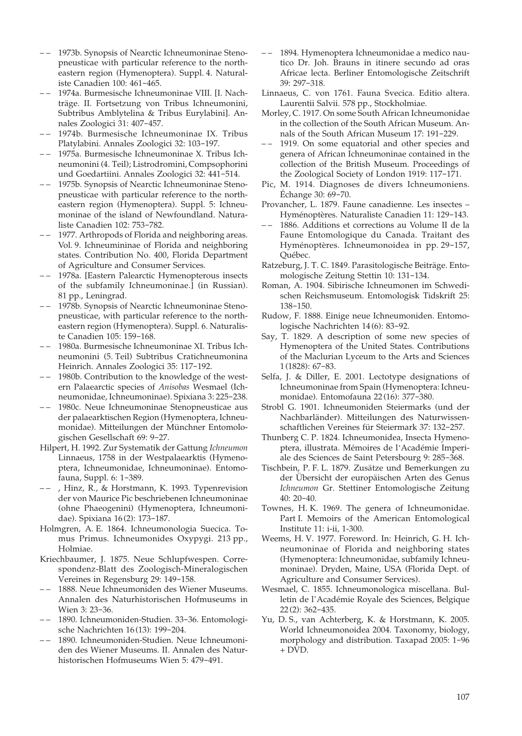- – 1973b. Synopsis of Nearctic Ichneumoninae Stenopneusticae with particular reference to the northeastern region (Hymenoptera). Suppl. 4. Naturaliste Canadien 100: 461-465.
- – 1974a. Burmesische Ichneumoninae VIII. [I. Nachträge. II. Fortsetzung von Tribus Ichneumonini, Subtribus Amblytelina & Tribus Eurylabini]. Annales Zoologici 31: 407-457.
- – 1974b. Burmesische Ichneumoninae IX. Tribus Platylabini. Annales Zoologici 32: 103-197.
- – 1975a. Burmesische Ichneumoninae X. Tribus Ichneumonini (4. Teil); Listrodromini, Compsophorini und Goedartiini. Annales Zoologici 32: 441-514.
- – 1975b. Synopsis of Nearctic Ichneumoninae Stenopneusticae with particular reference to the northeastern region (Hymenoptera). Suppl. 5: Ichneumoninae of the island of Newfoundland. Naturaliste Canadien 102: 753-782.
- 1977. Arthropods of Florida and neighboring areas. Vol. 9. Ichneumininae of Florida and neighboring states. Contribution No. 400, Florida Department of Agriculture and Consumer Services.
- – 1978a. [Eastern Palearctic Hymenopterous insects of the subfamily Ichneumoninae.] (in Russian). 81 pp., Leningrad.
- – 1978b. Synopsis of Nearctic Ichneumoninae Stenopneusticae, with particular reference to the northeastern region (Hymenoptera). Suppl. 6. Naturaliste Canadien 105: 159-168.
- – 1980a. Burmesische Ichneumoninae XI. Tribus Ichneumonini (5. Teil) Subtribus Cratichneumonina Heinrich. Annales Zoologici 35: 117-192.
- – 1980b. Contribution to the knowledge of the western Palaearctic species of *Anisobas* Wesmael (Ichneumonidae, Ichneumoninae). Spixiana 3: 225-238.
- 1980c. Neue Ichneumoninae Stenopneusticae aus der palaearktischen Region (Hymenoptera, Ichneumonidae). Mitteilungen der Münchner Entomologischen Gesellschaft 69: 9-27.
- Hilpert, H. 1992. Zur Systematik der Gattung *Ichneumon* Linnaeus, 1758 in der Westpalaearktis (Hymenoptera, Ichneumonidae, Ichneumoninae). Entomofauna, Suppl. 6: 1-389.
- , Hinz, R., & Horstmann, K. 1993. Typenrevision der von Maurice Pic beschriebenen Ichneumoninae (ohne Phaeogenini) (Hymenoptera, Ichneumonidae). Spixiana 16 (2): 173-187.
- Holmgren, A. E. 1864. Ichneumonologia Suecica. Tomus Primus. Ichneumonides Oxypygi. 213 pp., Holmiae.
- Kriechbaumer, J. 1875. Neue Schlupfwespen. Correspondenz-Blatt des Zoologisch-Mineralogischen Vereines in Regensburg 29: 149-158.
- – 1888. Neue Ichneumoniden des Wiener Museums. Annalen des Naturhistorischen Hofmuseums in Wien 3: 23-36.
- – 1890. Ichneumoniden-Studien. 33-36. Entomologische Nachrichten 16 (13): 199-204.
- 1890. Ichneumoniden-Studien. Neue Ichneumoniden des Wiener Museums. II. Annalen des Naturhistorischen Hofmuseums Wien 5: 479-491.
- – 1894. Hymenoptera Ichneumonidae a medico nautico Dr. Joh. Brauns in itinere secundo ad oras Africae lecta. Berliner Entomologische Zeitschrift 39: 297-318.
- Linnaeus, C. von 1761. Fauna Svecica. Editio altera. Laurentii Salvii. 578 pp., Stockholmiae.
- Morley, C. 1917. On some South African Ichneumonidae in the collection of the South African Museum. Annals of the South African Museum 17: 191-229.
- – 1919. On some equatorial and other species and genera of African Ichneumoninae contained in the collection of the British Museum. Proceedings of the Zoological Society of London 1919: 117-171.
- Pic, M. 1914. Diagnoses de divers Ichneumoniens. Échange 30: 69-70.
- Provancher, L. 1879. Faune canadienne. Les insectes Hyménoptères. Naturaliste Canadien 11: 129-143.
- 1886. Additions et corrections au Volume II de la Faune Entomologique du Canada. Traitant des Hyménoptères. Ichneumonoidea in pp. 29-157, Québec.
- Ratzeburg, J. T. C. 1849. Parasitologische Beiträge. Entomologische Zeitung Stettin 10: 131-134.
- Roman, A. 1904. Sibirische Ichneumonen im Schwedischen Reichsmuseum. Entomologisk Tidskrift 25: 138-150.
- Rudow, F. 1888. Einige neue Ichneumoniden. Entomologische Nachrichten 14 (6): 83-92.
- Say, T. 1829. A description of some new species of Hymenoptera of the United States. Contributions of the Maclurian Lyceum to the Arts and Sciences 1 (1828): 67-83.
- Selfa, J. & Diller, E. 2001. Lectotype designations of Ichneumoninae from Spain (Hymenoptera: Ichneumonidae). Entomofauna 22 (16): 377-380.
- Strobl G. 1901. Ichneumoniden Steiermarks (und der Nachbarländer). Mitteilungen des Naturwissenschaftlichen Vereines für Steiermark 37: 132-257.
- Thunberg C. P. 1824. Ichneumonidea, Insecta Hymenoptera, illustrata. Mémoires de l'Académie Imperiale des Sciences de Saint Petersbourg 9: 285-368.
- Tischbein, P. F. L. 1879. Zusätze und Bemerkungen zu der Übersicht der europäischen Arten des Genus *Ichneumon* Gr. Stettiner Entomologische Zeitung 40: 20-40.
- Townes, H. K. 1969. The genera of Ichneumonidae. Part I. Memoirs of the American Entomological Institute 11: i-ii, 1-300.
- Weems, H. V. 1977. Foreword. In: Heinrich, G. H. Ichneumoninae of Florida and neighboring states (Hymenoptera: Ichneumonidae, subfamily Ichneumoninae). Dryden, Maine, USA (Florida Dept. of Agriculture and Consumer Services).
- Wesmael, C. 1855. Ichneumonologica miscellana. Bulletin de l'Académie Royale des Sciences, Belgique 22 (2): 362-435.
- Yu, D. S., van Achterberg, K. & Horstmann, K. 2005. World Ichneumonoidea 2004. Taxonomy, biology, morphology and distribution. Taxapad 2005: 1-96 + DVD.